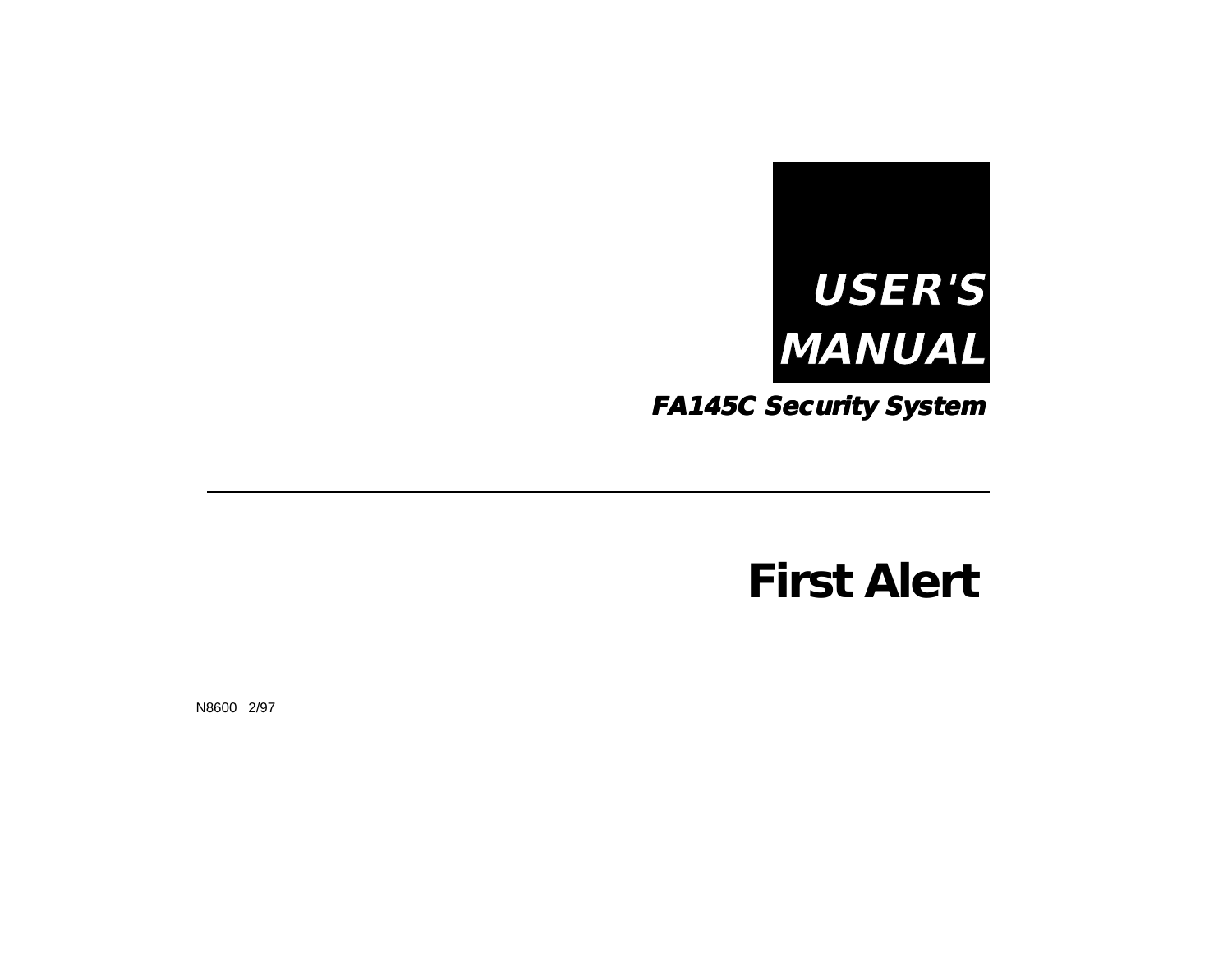

**FA145C Security System**

# *First Alert*

N8600 2/97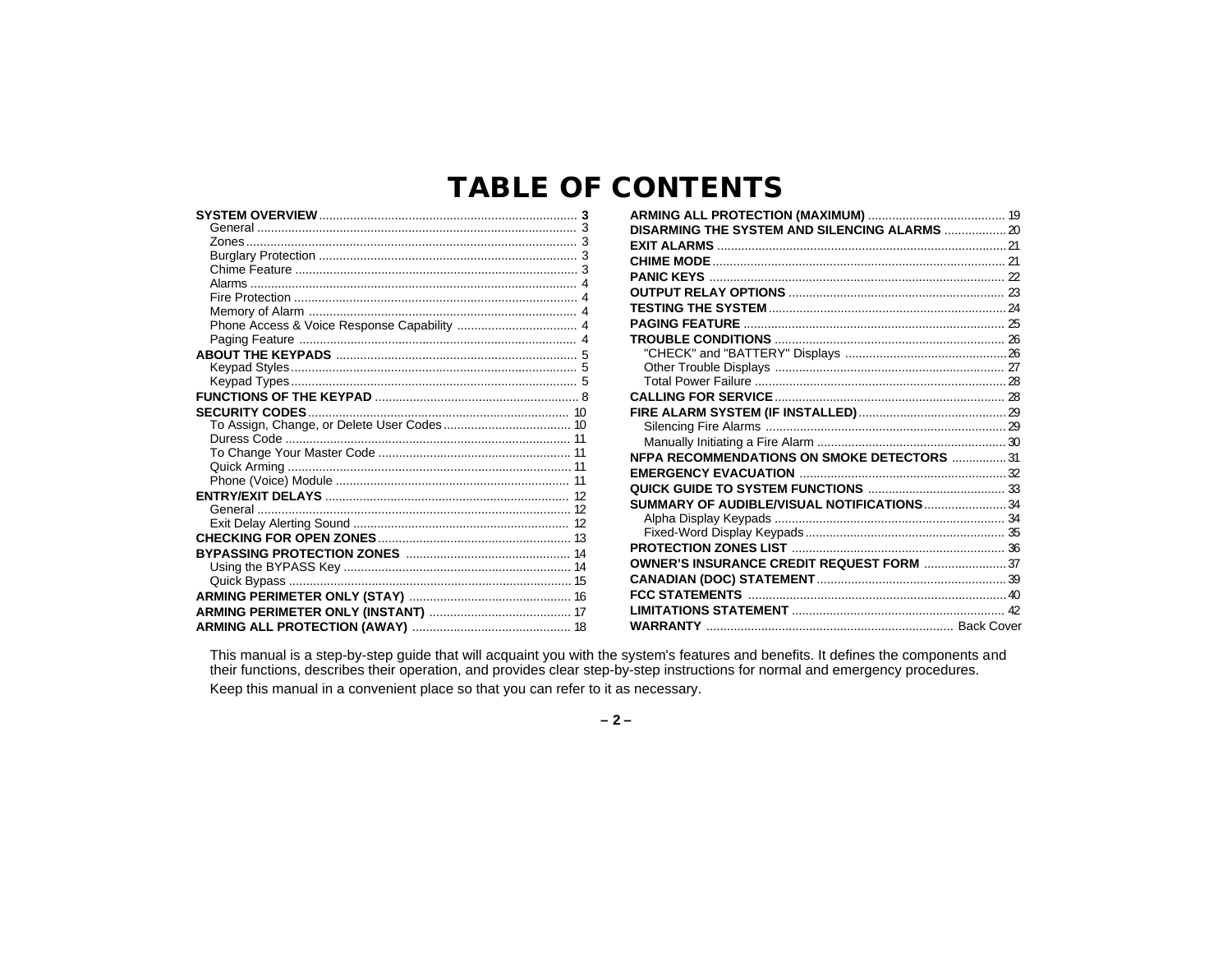### **TABLE OF CONTENTS**

| DISARMING THE SYSTEM AND SILENCING ALARMS  20 |  |
|-----------------------------------------------|--|
|                                               |  |
|                                               |  |
|                                               |  |
|                                               |  |
|                                               |  |
|                                               |  |
|                                               |  |
|                                               |  |
|                                               |  |
|                                               |  |
|                                               |  |
|                                               |  |
|                                               |  |
|                                               |  |
| NFPA RECOMMENDATIONS ON SMOKE DETECTORS  31   |  |
|                                               |  |
|                                               |  |
| SUMMARY OF AUDIBLE/VISUAL NOTIFICATIONS34     |  |
|                                               |  |
|                                               |  |
|                                               |  |
| OWNER'S INSURANCE CREDIT REQUEST FORM  37     |  |
|                                               |  |
|                                               |  |
|                                               |  |
|                                               |  |
|                                               |  |

This manual is a step-by-step guide that will acquaint you with the system's features and benefits. It defines the components and their functions, describes their operation, and provides clear step-by-step instructions for Keep this manual in a convenient place so that you can refer to it as necessary.

 $-2-$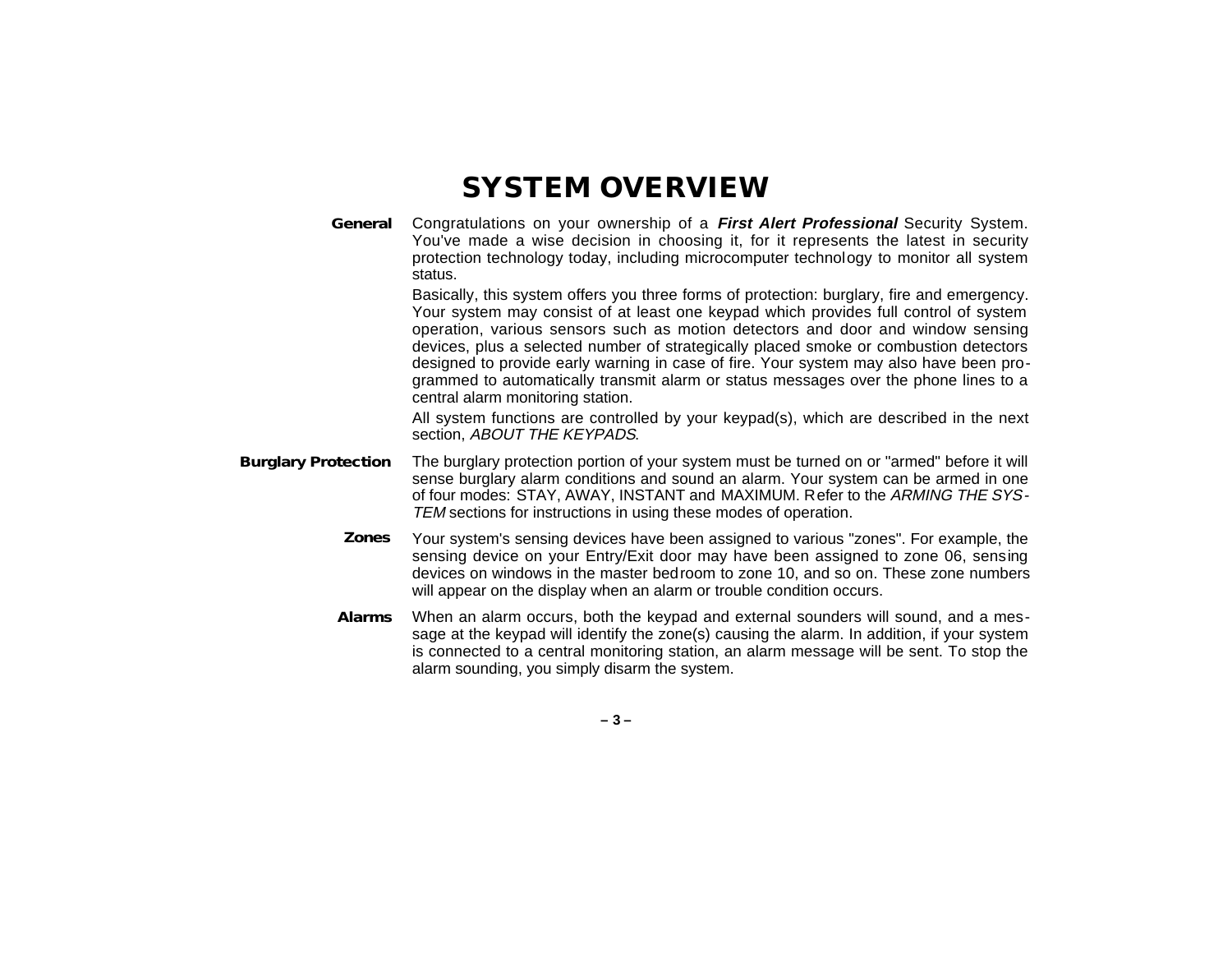### **SYSTEM OVERVIEW**

**General** Congratulations on your ownership of a **First Alert Professional** Security System. You've made a wise decision in choosing it, for it represents the latest in security protection technology today, including microcomputer technology to monitor all system status.

> Basically, this system offers you three forms of protection: burglary, fire and emergency. Your system may consist of at least one keypad which provides full control of system operation, various sensors such as motion detectors and door and window sensing devices, plus a selected number of strategically placed smoke or combustion detectors designed to provide early warning in case of fire. Your system may also have been programmed to automatically transmit alarm or status messages over the phone lines to a central alarm monitoring station.

> All system functions are controlled by your keypad(s), which are described in the next section, ABOUT THE KEYPADS.

- **Burglary Protection** The burglary protection portion of your system must be turned on or "armed" before it will sense burglary alarm conditions and sound an alarm. Your system can be armed in one of four modes: STAY, AWAY, INSTANT and MAXIMUM. Refer to the ARMING THE SYS-TEM sections for instructions in using these modes of operation.
	- **Zones** Your system's sensing devices have been assigned to various "zones". For example, the sensing device on your Entry/Exit door may have been assigned to zone 06, sensing devices on windows in the master bedroom to zone 10, and so on. These zone numbers will appear on the display when an alarm or trouble condition occurs.
	- **Alarms** When an alarm occurs, both the keypad and external sounders will sound, and a message at the keypad will identify the zone(s) causing the alarm. In addition, if your system is connected to a central monitoring station, an alarm message will be sent. To stop the alarm sounding, you simply disarm the system.

**– 3 –**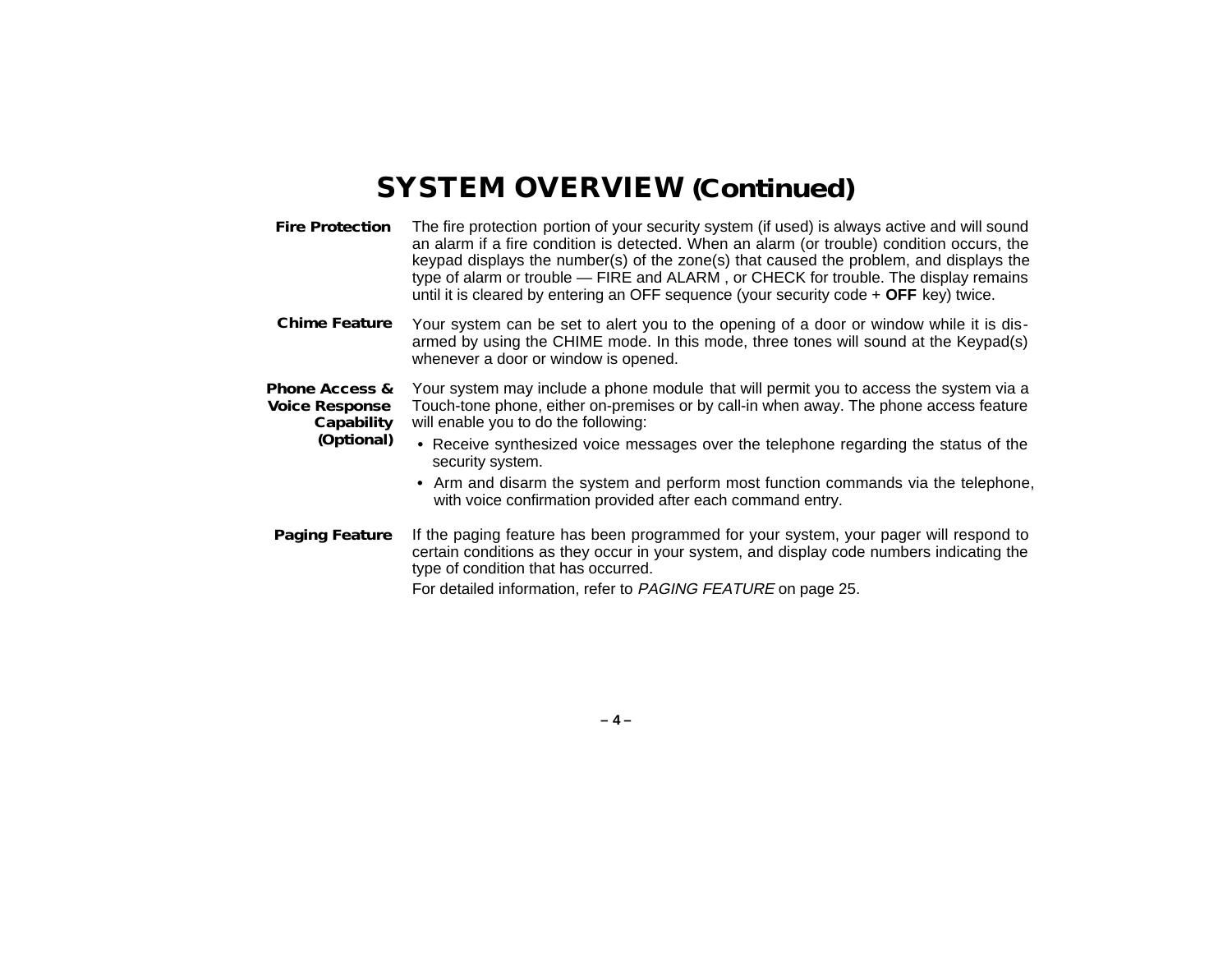### **SYSTEM OVERVIEW (Continued)**

- **Fire Protection** The fire protection portion of your security system (if used) is always active and will sound an alarm if a fire condition is detected. When an alarm (or trouble) condition occurs, the keypad displays the number(s) of the zone(s) that caused the problem, and displays the type of alarm or trouble — FIRE and ALARM , or CHECK for trouble. The display remains until it is cleared by entering an OFF sequence (your security code + **OFF** key) twice.
- **Chime Feature** Your system can be set to alert you to the opening of a door or window while it is disarmed by using the CHIME mode. In this mode, three tones will sound at the Keypad(s) whenever a door or window is opened.
- **Phone Access & Voice Response Capability** Your system may include a phone module that will permit you to access the system via a Touch-tone phone, either on-premises or by call-in when away. The phone access feature will enable you to do the following:
	- **(Optional) •** Receive synthesized voice messages over the telephone regarding the status of the security system.
		- **•** Arm and disarm the system and perform most function commands via the telephone, with voice confirmation provided after each command entry.
- **Paging Feature** If the paging feature has been programmed for your system, your pager will respond to certain conditions as they occur in your system, and display code numbers indicating the type of condition that has occurred. For detailed information, refer to PAGING FEATURE on page 25.

**– 4 –**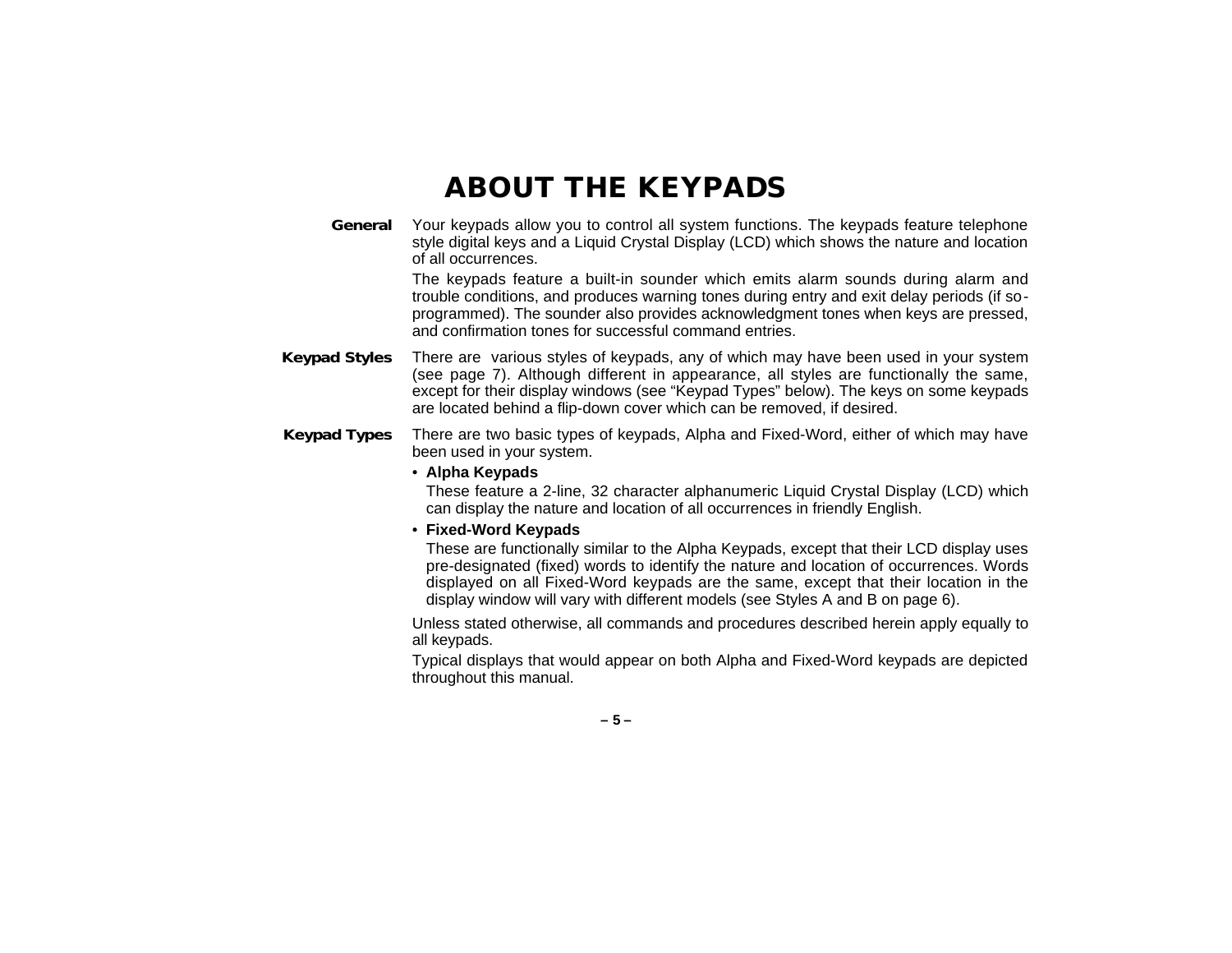### **ABOUT THE KEYPADS**

**General** Your keypads allow you to control all system functions. The keypads feature telephone style digital keys and a Liquid Crystal Display (LCD) which shows the nature and location of all occurrences.

> The keypads feature a built-in sounder which emits alarm sounds during alarm and trouble conditions, and produces warning tones during entry and exit delay periods (if soprogrammed). The sounder also provides acknowledgment tones when keys are pressed, and confirmation tones for successful command entries.

- **Keypad Styles** There are various styles of keypads, any of which may have been used in your system (see page 7). Although different in appearance, all styles are functionally the same, except for their display windows (see "Keypad Types" below). The keys on some keypads are located behind a flip-down cover which can be removed, if desired.
- **Keypad Types** There are two basic types of keypads, Alpha and Fixed-Word, either of which may have been used in your system.

#### • **Alpha Keypads**

These feature a 2-line, 32 character alphanumeric Liquid Crystal Display (LCD) which can display the nature and location of all occurrences in friendly English.

#### • **Fixed-Word Keypads**

These are functionally similar to the Alpha Keypads, except that their LCD display uses pre-designated (fixed) words to identify the nature and location of occurrences. Words displayed on all Fixed-Word keypads are the same, except that their location in the display window will vary with different models (see Styles A and B on page 6).

Unless stated otherwise, all commands and procedures described herein apply equally to all keypads.

Typical displays that would appear on both Alpha and Fixed-Word keypads are depicted throughout this manual.

**– 5 –**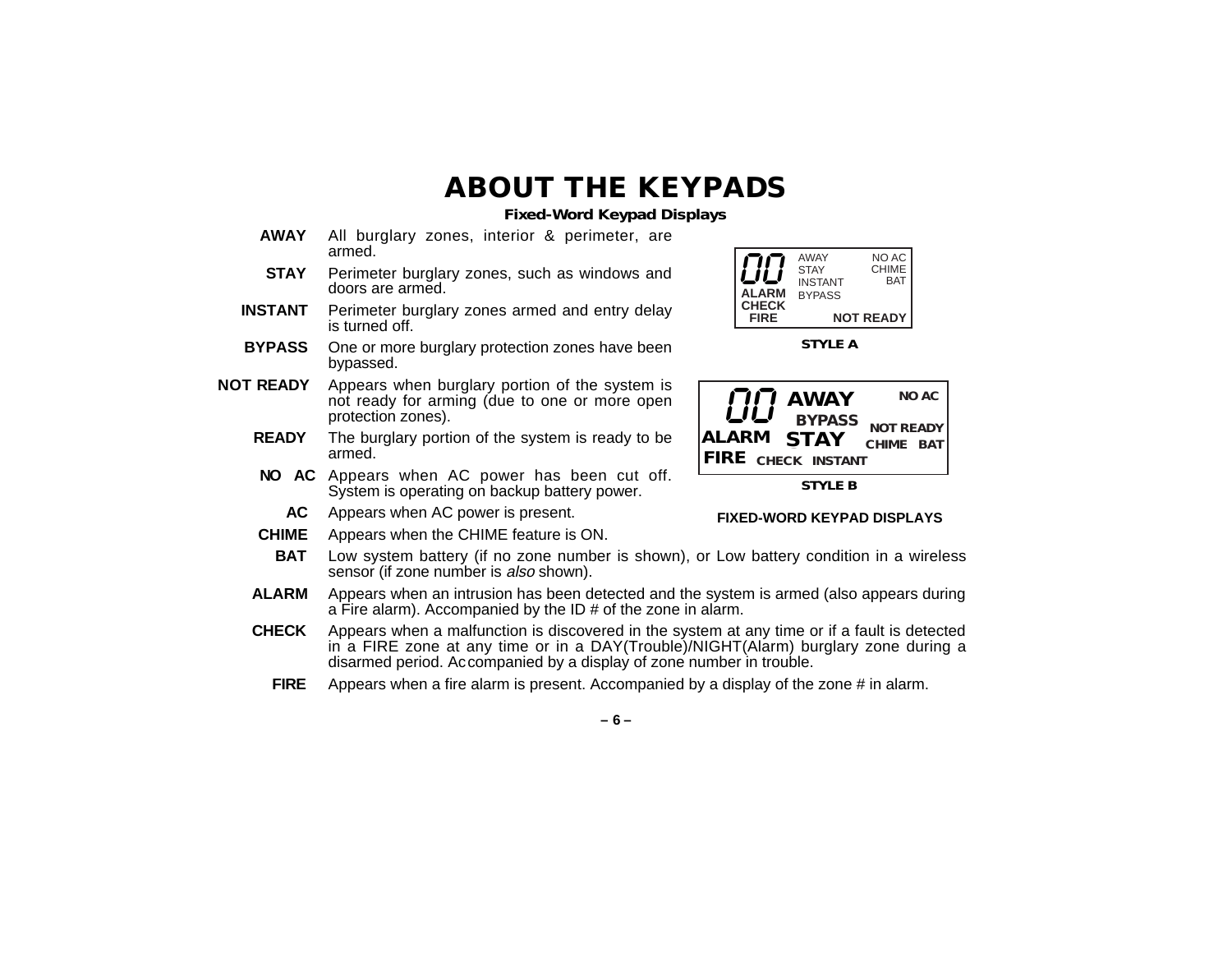### **ABOUT THE KEYPADS**

**Fixed-Word Keypad Displays**

- **AWAY** All burglary zones, interior & perimeter, are armed.
- **STAY** Perimeter burglary zones, such as windows and doors are armed.
- **INSTANT** Perimeter burglary zones armed and entry delay is turned off.
- **BYPASS** One or more burglary protection zones have been bypassed.
- **NOT READY** Appears when burglary portion of the system is not ready for arming (due to one or more open protection zones).
	- **READY** The burglary portion of the system is ready to be armed.
	- **NO AC** Appears when AC power has been cut off. System is operating on backup battery power.
		- **AC** Appears when AC power is present.
	- **CHIME** Appears when the CHIME feature is ON.



**STYLE A**



**STYLE B**

#### **FIXED-WORD KEYPAD DISPLAYS**

- **BAT** Low system battery (if no zone number is shown), or Low battery condition in a wireless sensor (if zone number is also shown).
- **ALARM** Appears when an intrusion has been detected and the system is armed (also appears during a Fire alarm). Accompanied by the ID # of the zone in alarm.
- **CHECK** Appears when a malfunction is discovered in the system at any time or if a fault is detected in a FIRE zone at any time or in a DAY(Trouble)/NIGHT(Alarm) burglary zone during a disarmed period. Accompanied by a display of zone number in trouble.
	- **FIRE** Appears when a fire alarm is present. Accompanied by a display of the zone # in alarm.

**– 6 –**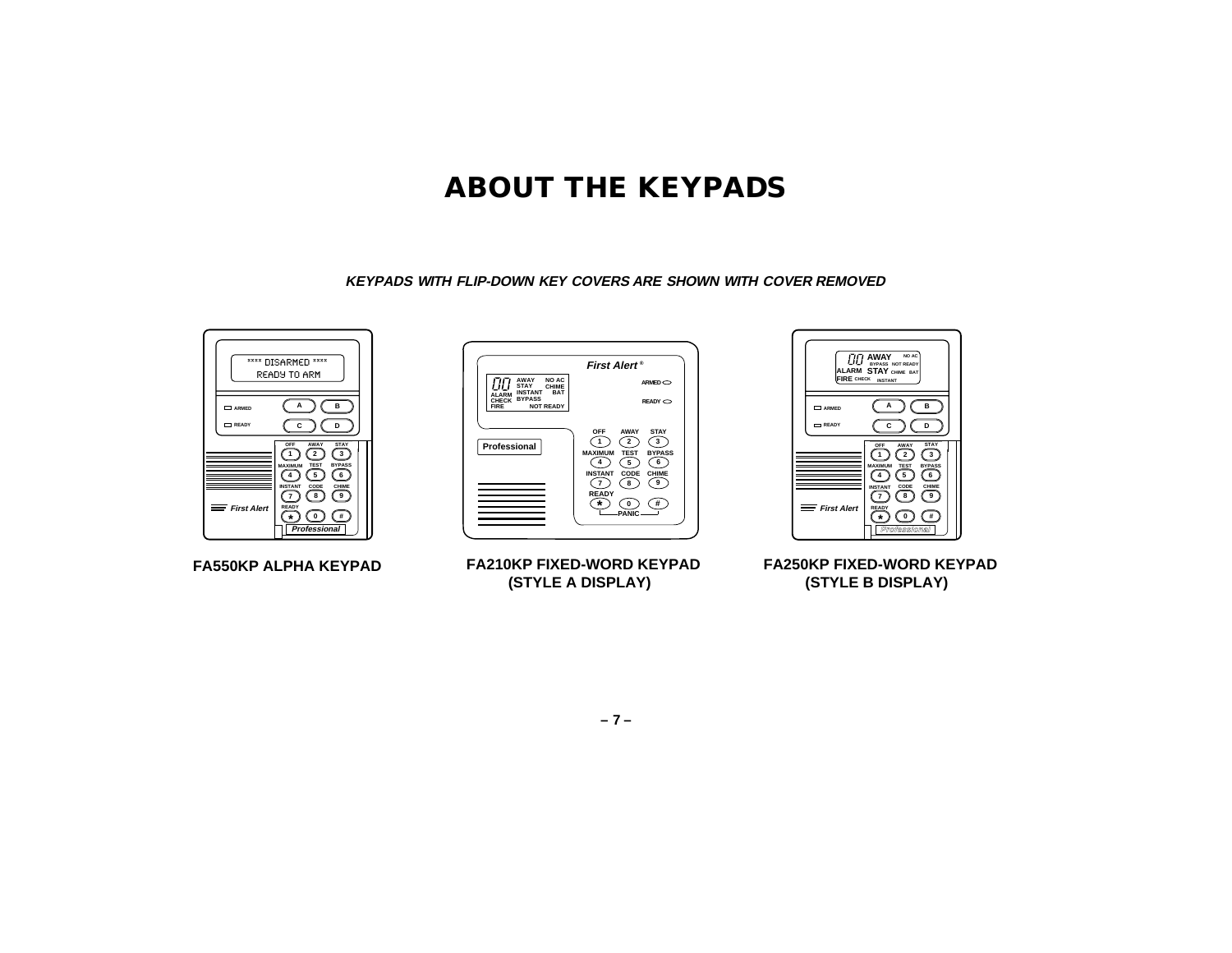### **ABOUT THE KEYPADS**

**KEYPADS WITH FLIP-DOWN KEY COVERS ARE SHOWN WITH COVER REMOVED**



(STYLE A DISPLAY)  **(STYLE A DISPLAY)**

**FA250KP FIXED-WORD KEYPAD FA250KP FIXED-WORD KEYPAD** (STYLE B DISPLAY)  **(STYLE B DISPLAY)**

**– 7 –**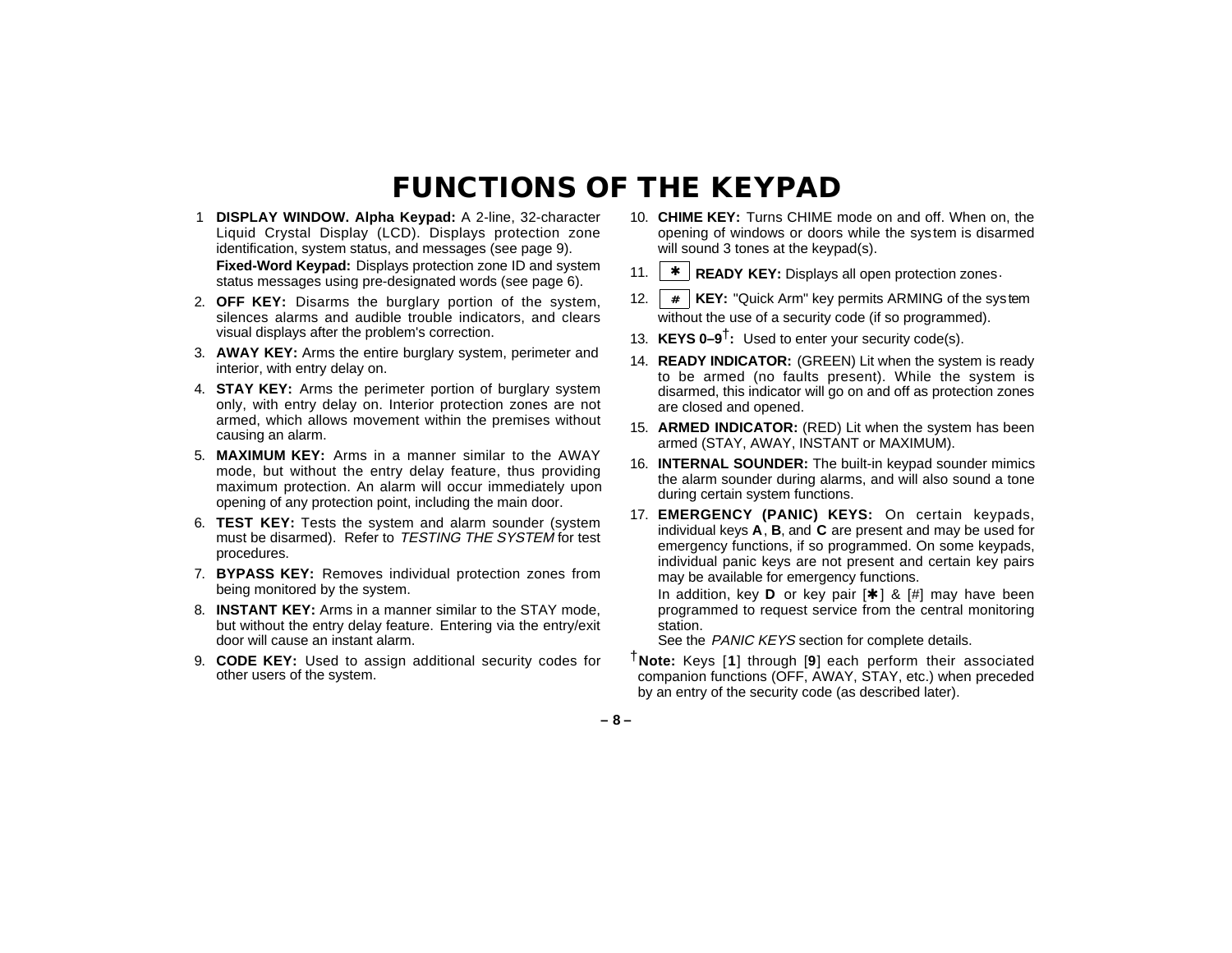### **FUNCTIONS OF THE KEYPAD**

- 1 **DISPLAY WINDOW. Alpha Keypad:** A 2-line, 32-character Liquid Crystal Display (LCD). Displays protection zone identification, system status, and messages (see page 9). **Fixed-Word Keypad:** Displays protection zone ID and system status messages using pre-designated words (see page 6).
- 2. **OFF KEY:** Disarms the burglary portion of the system, silences alarms and audible trouble indicators, and clears visual displays after the problem's correction.
- 3. **AWAY KEY:** Arms the entire burglary system, perimeter and interior, with entry delay on.
- 4. **STAY KEY:** Arms the perimeter portion of burglary system only, with entry delay on. Interior protection zones are not armed, which allows movement within the premises without causing an alarm.
- 5. **MAXIMUM KEY:** Arms in a manner similar to the AWAY mode, but without the entry delay feature, thus providing maximum protection. An alarm will occur immediately upon opening of any protection point, including the main door.
- 6. **TEST KEY:** Tests the system and alarm sounder (system must be disarmed). Refer to TESTING THE SYSTEM for test procedures.
- 7. **BYPASS KEY:** Removes individual protection zones from being monitored by the system.
- 8. **INSTANT KEY:** Arms in a manner similar to the STAY mode, but without the entry delay feature. Entering via the entry/exit door will cause an instant alarm.
- 9. **CODE KEY:** Used to assign additional security codes for other users of the system.
- 10. **CHIME KEY:** Turns CHIME mode on and off. When on, the opening of windows or doors while the system is disarmed will sound 3 tones at the keypad(s).
- 11. ✱ **READY KEY:** Displays all open protection zones.
- 12. **# KEY:** "Quick Arm" key permits ARMING of the system without the use of a security code (if so programmed).
- 13. **KEYS 0–9**†**:** Used to enter your security code(s).
- 14. **READY INDICATOR:** (GREEN) Lit when the system is ready to be armed (no faults present). While the system is disarmed, this indicator will go on and off as protection zones are closed and opened.
- 15. **ARMED INDICATOR:** (RED) Lit when the system has been armed (STAY, AWAY, INSTANT or MAXIMUM).
- 16. **INTERNAL SOUNDER:** The built-in keypad sounder mimics the alarm sounder during alarms, and will also sound a tone during certain system functions.
- 17. **EMERGENCY (PANIC) KEYS:** On certain keypads, individual keys **A**, **B**, and **C** are present and may be used for emergency functions, if so programmed. On some keypads, individual panic keys are not present and certain key pairs may be available for emergency functions.

In addition, key **D** or key pair [ ✱ ] & [#] may have been programmed to request service from the central monitoring station.

See the PANIC KEYS section for complete details.

†**Note:** Keys [**1**] through [**9**] each perform their associated companion functions (OFF, AWAY, STAY, etc.) when preceded by an entry of the security code (as described later).

**– 8 –**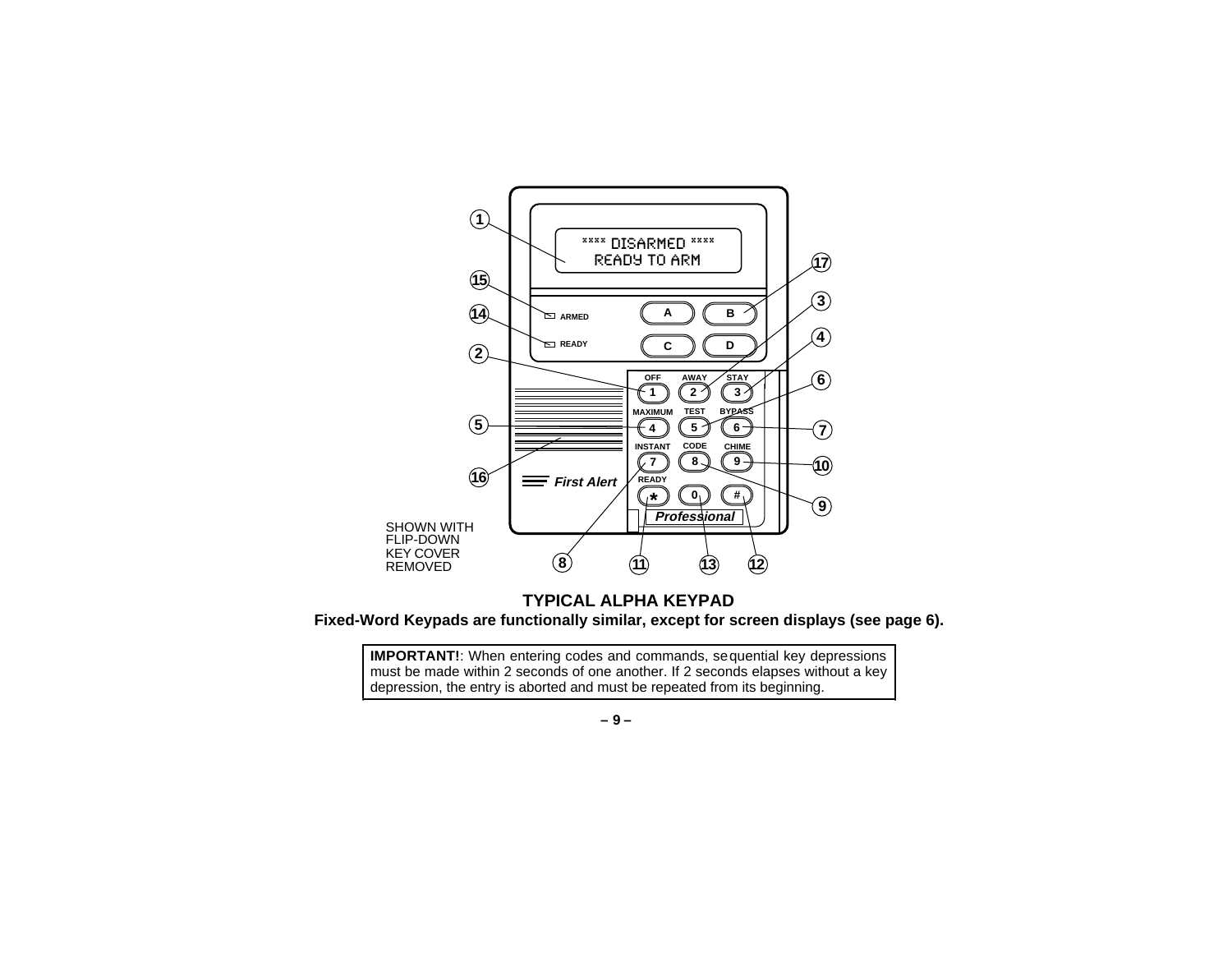

**TYPICAL ALPHA KEYPAD Fixed-Word Keypads are functionally similar, except for screen displays (see page 6).**

**IMPORTANT!:** When entering codes and commands, sequential key depressions must be made within 2 seconds of one another. If 2 seconds elapses without a key depression, the entry is aborted and must be repeated from its beginning.

**– 9 –**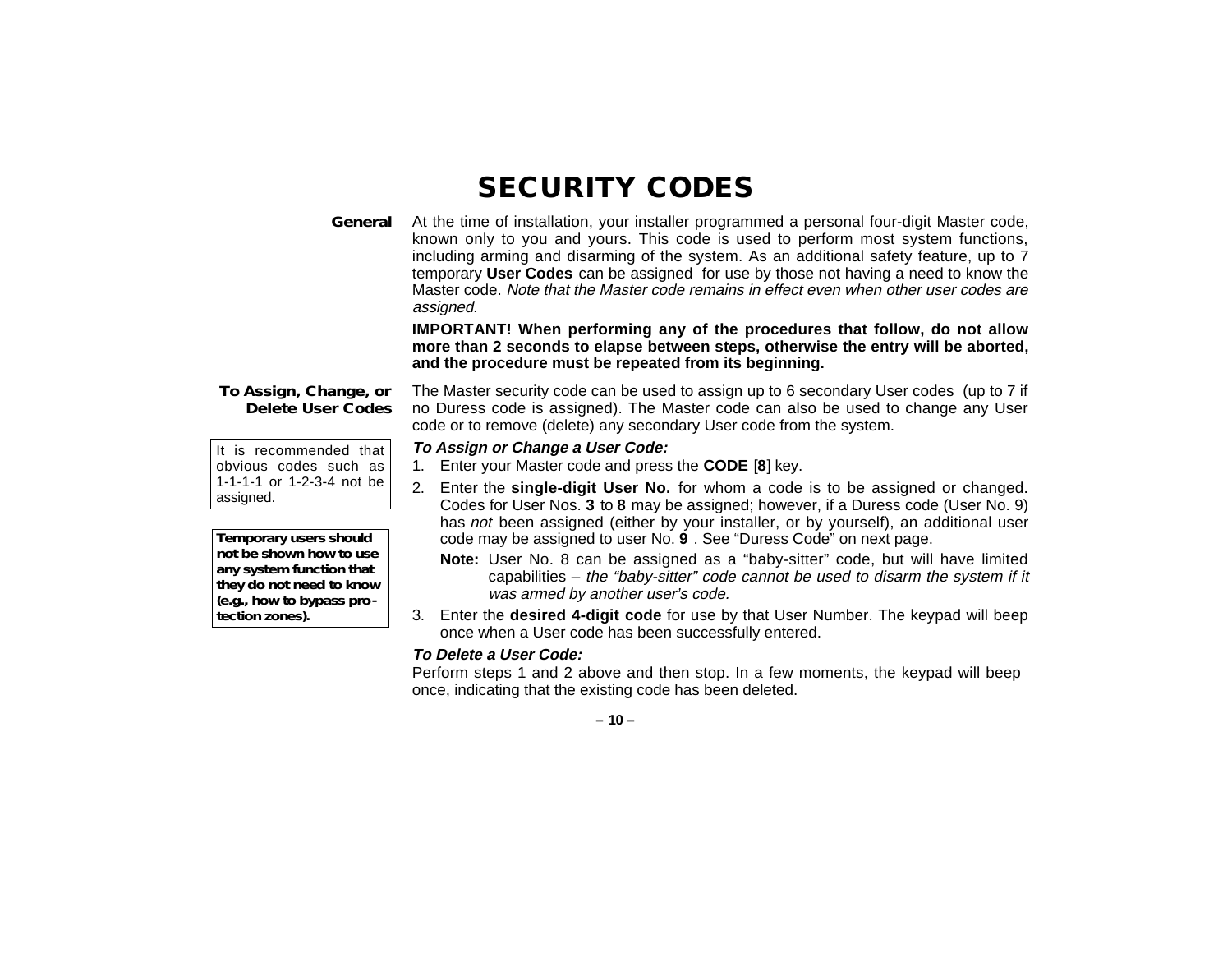# **SECURITY CODES**

**General** At the time of installation, your installer programmed a personal four-digit Master code, known only to you and yours. This code is used to perform most system functions, including arming and disarming of the system. As an additional safety feature, up to 7 temporary **User Codes** can be assigned for use by those not having a need to know the Master code. Note that the Master code remains in effect even when other user codes are assigned.

> **IMPORTANT! When performing any of the procedures that follow, do not allow more than 2 seconds to elapse between steps, otherwise the entry will be aborted, and the procedure must be repeated from its beginning.**

#### **To Assign, Change, or Delete User Codes**

It is recommended that obvious codes such as 1-1-1-1 or 1-2-3-4 not be assigned.

*Temporary users should not be shown how to use any system function that they do not need to know (e.g., how to bypass protection zones).*

The Master security code can be used to assign up to 6 secondary User codes (up to 7 if no Duress code is assigned). The Master code can also be used to change any User code or to remove (delete) any secondary User code from the system.

#### **To Assign or Change a User Code:**

- 1. Enter your Master code and press the **CODE** [ **8**] key.
- 2. Enter the **single-digit User No.** for whom a code is to be assigned or changed. Codes for User Nos. **3** to **8** may be assigned; however, if a Duress code (User No. 9) has not been assigned (either by your installer, or by yourself), an additional user code may be assigned to user No. **9** . See "Duress Code" on next page.
	- **Note:** User No. 8 can be assigned as a "baby-sitter" code, but will have limited capabilities – the "baby-sitter" code cannot be used to disarm the system if it was armed by another user's code.
- 3. Enter the **desired 4-digit code** for use by that User Number. The keypad will beep once when a User code has been successfully entered.

#### **To Delete a User Code:**

Perform steps 1 and 2 above and then stop. In a few moments, the keypad will beep once, indicating that the existing code has been deleted.

**– 10 –**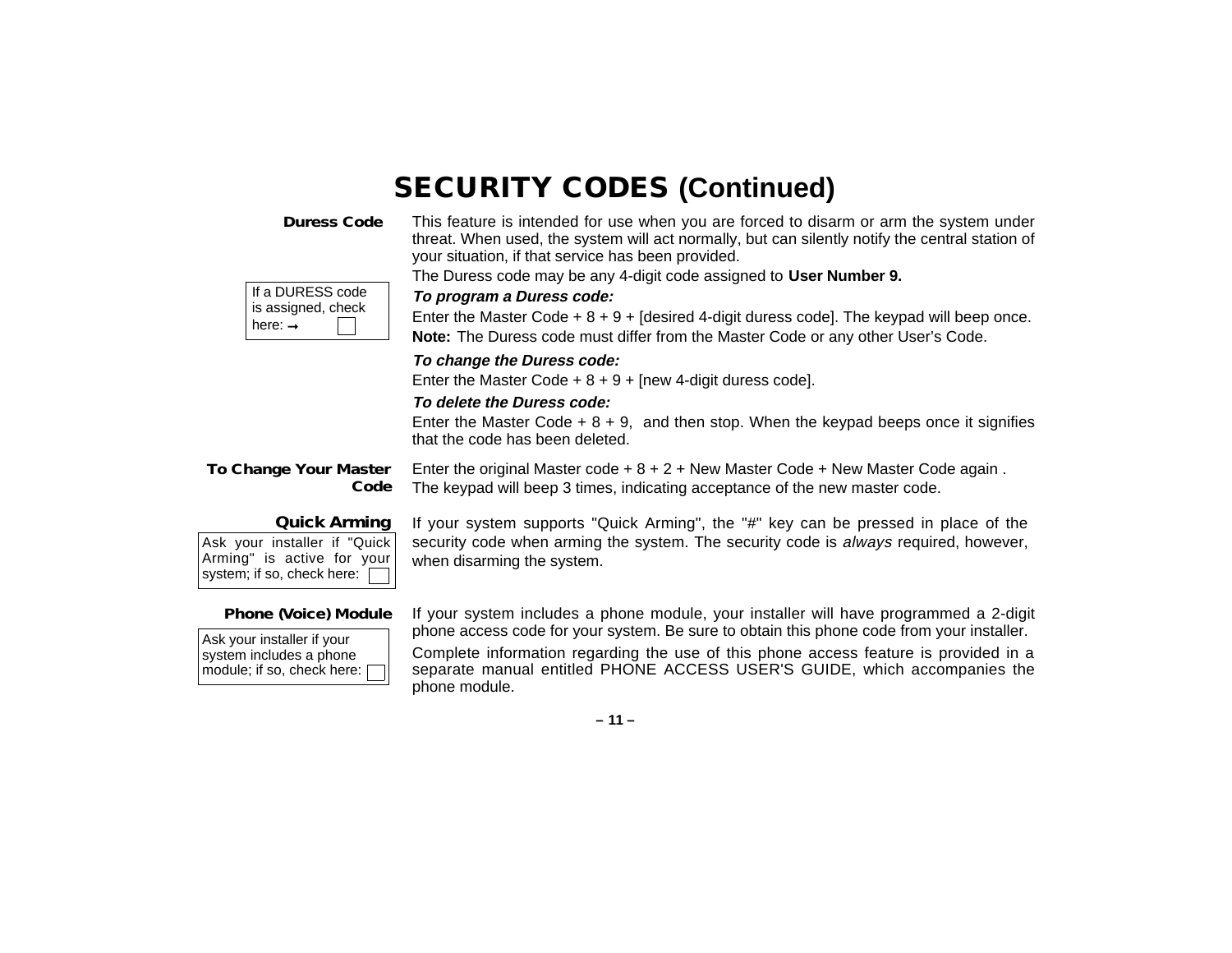# **SECURITY CODES (Continued)**

**Duress Code**

This feature is intended for use when you are forced to disarm or arm the system under threat. When used, the system will act normally, but can silently notify the central station of your situation, if that service has been provided.

The Duress code may be any 4-digit code assigned to **User Number 9.**

| If a DURESS code   |
|--------------------|
| is assigned, check |
| ∣ here: →          |

#### **To program a Duress code:**

Enter the Master Code  $+ 8 + 9 +$  [desired 4-digit duress code]. The keypad will beep once. **Note:** The Duress code must differ from the Master Code or any other User's Code.

#### **To change the Duress code:**

Enter the Master Code  $+ 8 + 9 +$  [new 4-digit duress code].

#### **To delete the Duress code:**

Enter the Master Code  $+ 8 + 9$ , and then stop. When the keypad beeps once it signifies that the code has been deleted.

**To Change Your Master Code** Enter the original Master code  $+ 8 + 2 +$  New Master Code + New Master Code again. The keypad will beep 3 times, indicating acceptance of the new master code.

#### **Quick Arming**

Ask your installer if "Quick Arming" is active for your system; if so, check here:

If your system supports "Quick Arming", the "#" key can be pressed in place of the security code when arming the system. The security code is *always* required, however, when disarming the system.

#### **Phone (Voice) Module**

Ask your installer if your system includes a phone module; if so, check here: If your system includes a phone module, your installer will have programmed a 2-digit phone access code for your system. Be sure to obtain this phone code from your installer.

Complete information regarding the use of this phone access feature is provided in a separate manual entitled PHONE ACCESS USER'S GUIDE, which accompanies the phone module.

**– 11 –**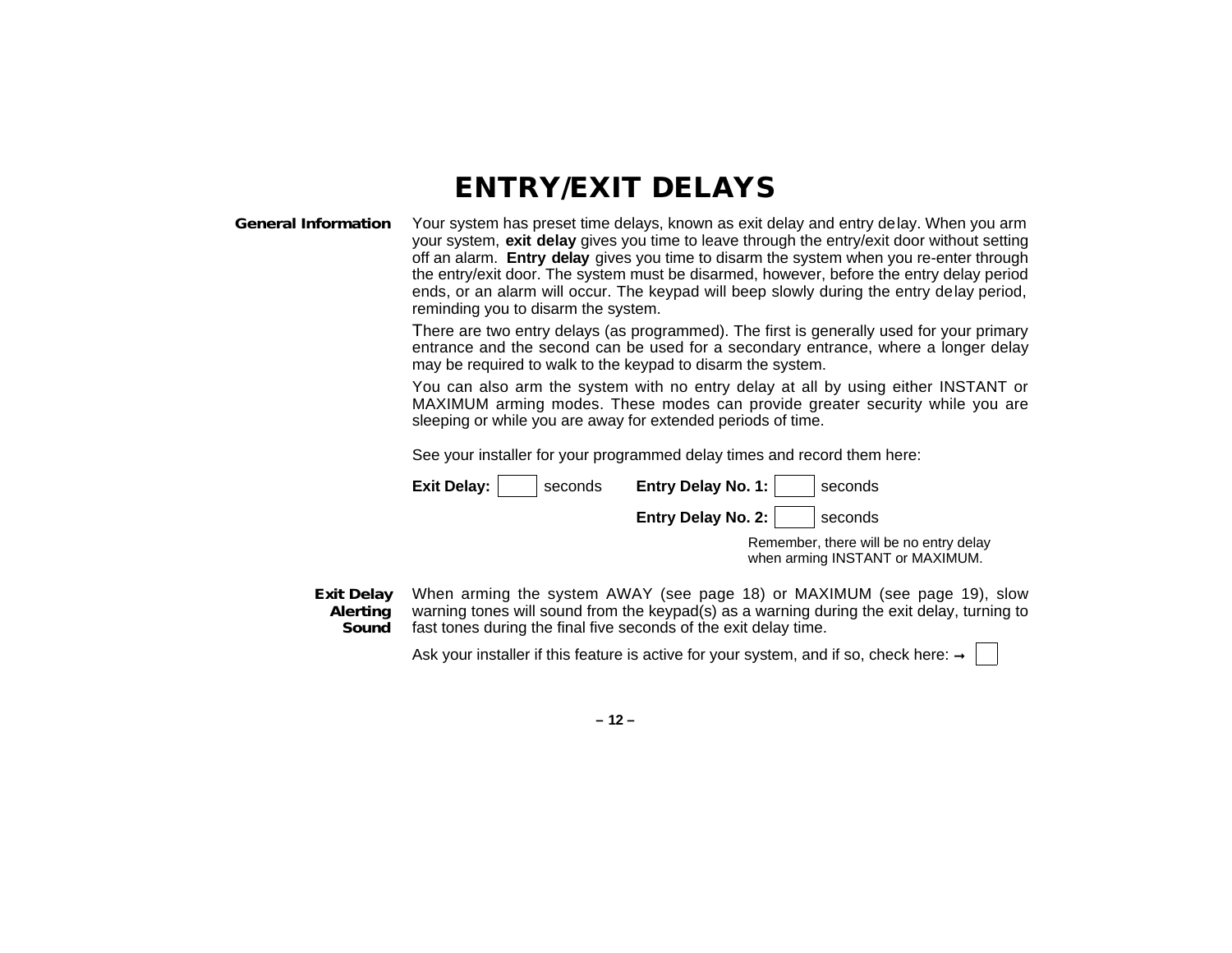### **ENTRY/EXIT DELAYS**

#### **General Information** Your system has preset time delays, known as exit delay and entry delay. When you arm your system, **exit delay** gives you time to leave through the entry/exit door without setting off an alarm. **Entry delay** gives you time to disarm the system when you re-enter through the entry/exit door. The system must be disarmed, however, before the entry delay period ends, or an alarm will occur. The keypad will beep slowly during the entry delay period, reminding you to disarm the system.

There are two entry delays (as programmed). The first is generally used for your primary entrance and the second can be used for a secondary entrance, where a longer delay may be required to walk to the keypad to disarm the system.

You can also arm the system with no entry delay at all by using either INSTANT or MAXIMUM arming modes. These modes can provide greater security while you are sleeping or while you are away for extended periods of time.

See your installer for your programmed delay times and record them here:

| Exit Delay:<br>seconds | Entry Delay No. 1:<br>seconds                                             |
|------------------------|---------------------------------------------------------------------------|
|                        | Entry Delay No. 2:<br>seconds                                             |
|                        | Remember, there will be no entry delay<br>when arming INSTANT or MAXIMUM. |

**Exit Delay Alerting Sound** When arming the system AWAY (see page 18) or MAXIMUM (see page 19), slow warning tones will sound from the keypad(s) as a warning during the exit delay, turning to fast tones during the final five seconds of the exit delay time.

Ask your installer if this feature is active for your system, and if so, check here:  $\rightarrow$ 

**– 12 –**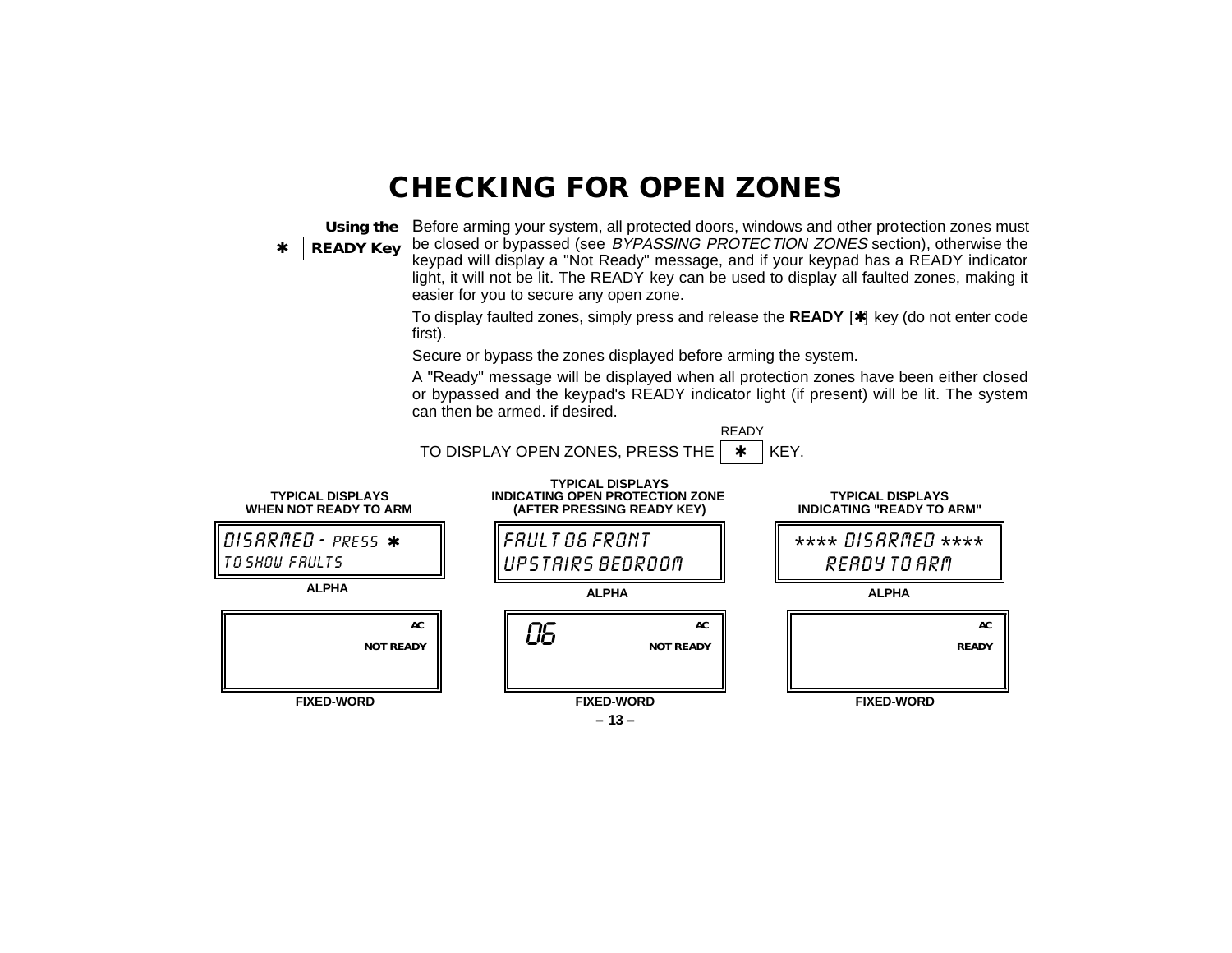### **CHECKING FOR OPEN ZONES**

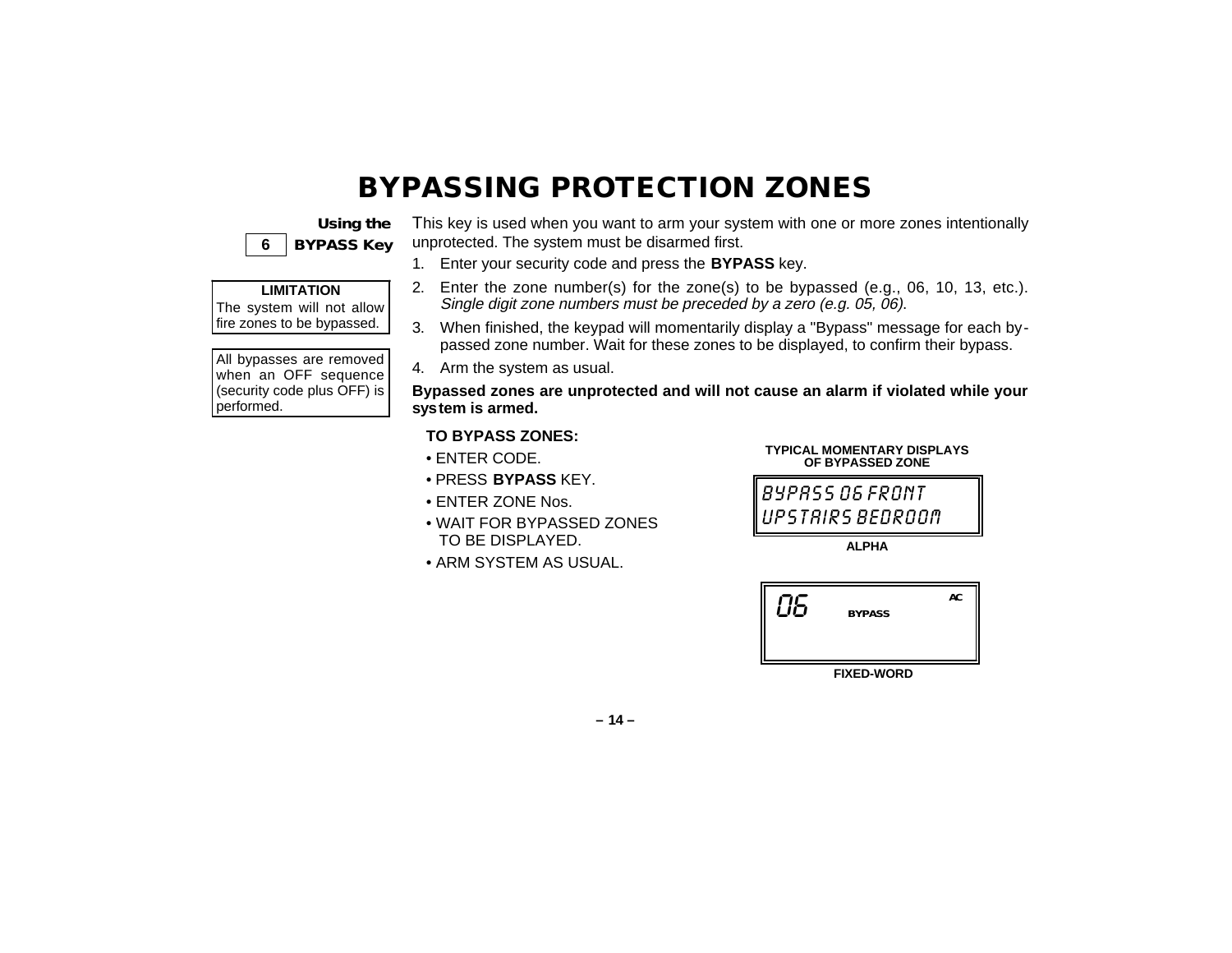# **BYPASSING PROTECTION ZONES**

|   | Using the         |
|---|-------------------|
| 6 | <b>BYPASS Key</b> |

This key is used when you want to arm your system with one or more zones intentionally unprotected. The system must be disarmed first.

1. Enter your security code and press the **BYPASS** key.

### **LIMITATION**

The system will not allow fire zones to be bypassed.

All bypasses are removed when an OFF sequence (security code plus OFF) is performed.

- 2. Enter the zone number(s) for the zone(s) to be bypassed (e.g., 06, 10, 13, etc.). Single digit zone numbers must be preceded by a zero (e.g. 05, 06).
- 3. When finished, the keypad will momentarily display a "Bypass" message for each bypassed zone number. Wait for these zones to be displayed, to confirm their bypass.
- 4. Arm the system as usual.

**Bypassed zones are unprotected and will not cause an alarm if violated while your system is armed.**

#### **TO BYPASS ZONES:**

- ENTER CODE.
- PRESS **BYPASS** KEY.
- ENTER ZONE Nos.
- WAIT FOR BYPASSED ZONES TO BE DISPLAYED.
- ARM SYSTEM AS USUAL.

#### **TYPICAL MOMENTARY DISPLAYS OF BYPASSED ZONE**

BYPASS 06 FRONT UPSTAIRS BEDROOM

**ALPHA**



**FIXED-WORD**

**– 14 –**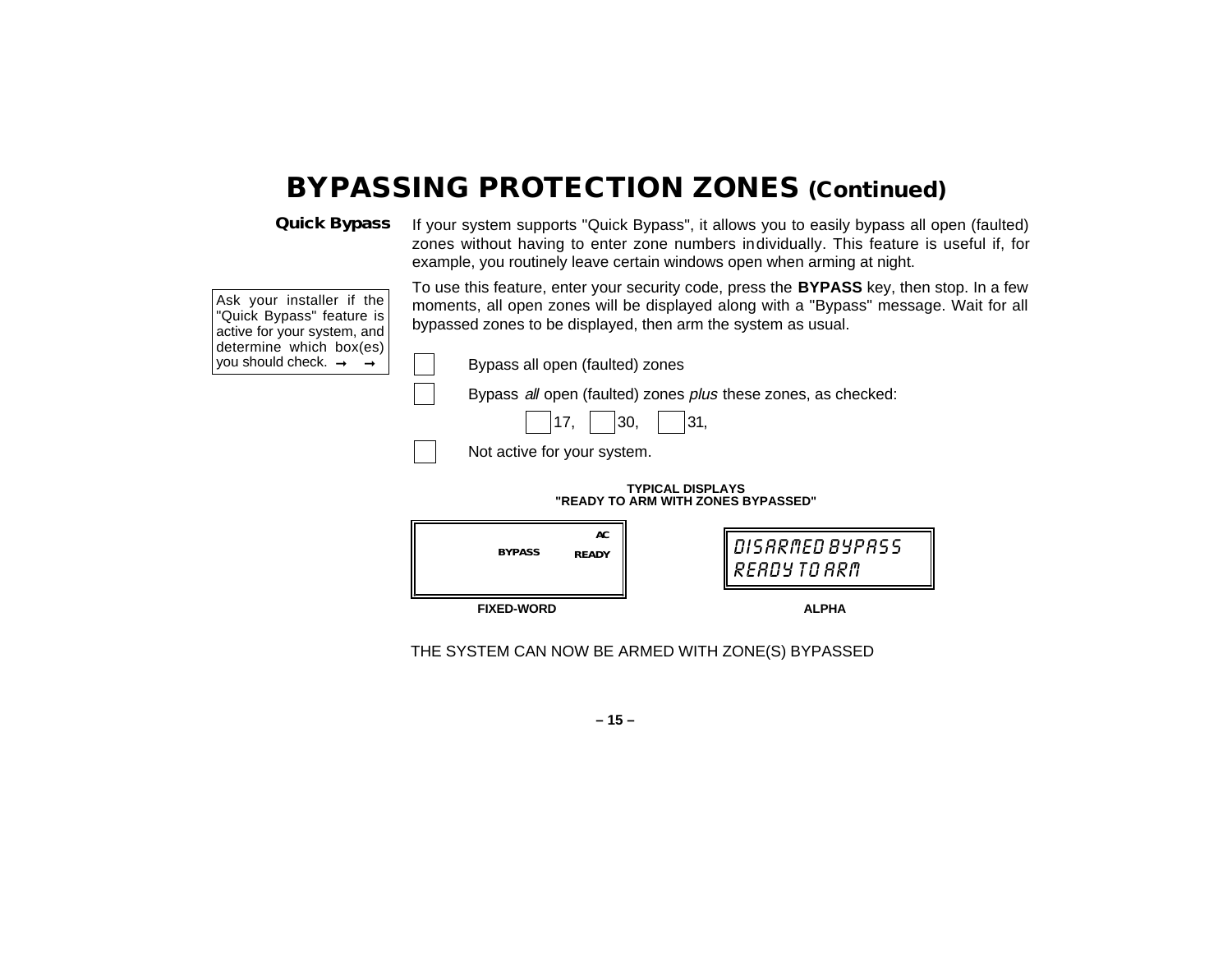### **BYPASSING PROTECTION ZONES (Continued)**

**Quick Bypass**

If your system supports "Quick Bypass", it allows you to easily bypass all open (faulted) zones without having to enter zone numbers individually. This feature is useful if, for example, you routinely leave certain windows open when arming at night.

Ask your installer if the "Quick Bypass" feature is active for your system, and determine which box(es) you should check.  $\rightarrow$   $\rightarrow$ 

To use this feature, enter your security code, press the **BYPASS** key, then stop. In a few moments, all open zones will be displayed along with a "Bypass" message. Wait for all bypassed zones to be displayed, then arm the system as usual.

Bypass all open (faulted) zones

Bypass all open (faulted) zones plus these zones, as checked:

|  |  | $\sim$<br>٠ |  | ~ -<br>٠ |
|--|--|-------------|--|----------|
|--|--|-------------|--|----------|

Not active for your system.

#### **TYPICAL DISPLAYS "READY TO ARM WITH ZONES BYPASSED"**



THE SYSTEM CAN NOW BE ARMED WITH ZONE(S) BYPASSED

**– 15 –**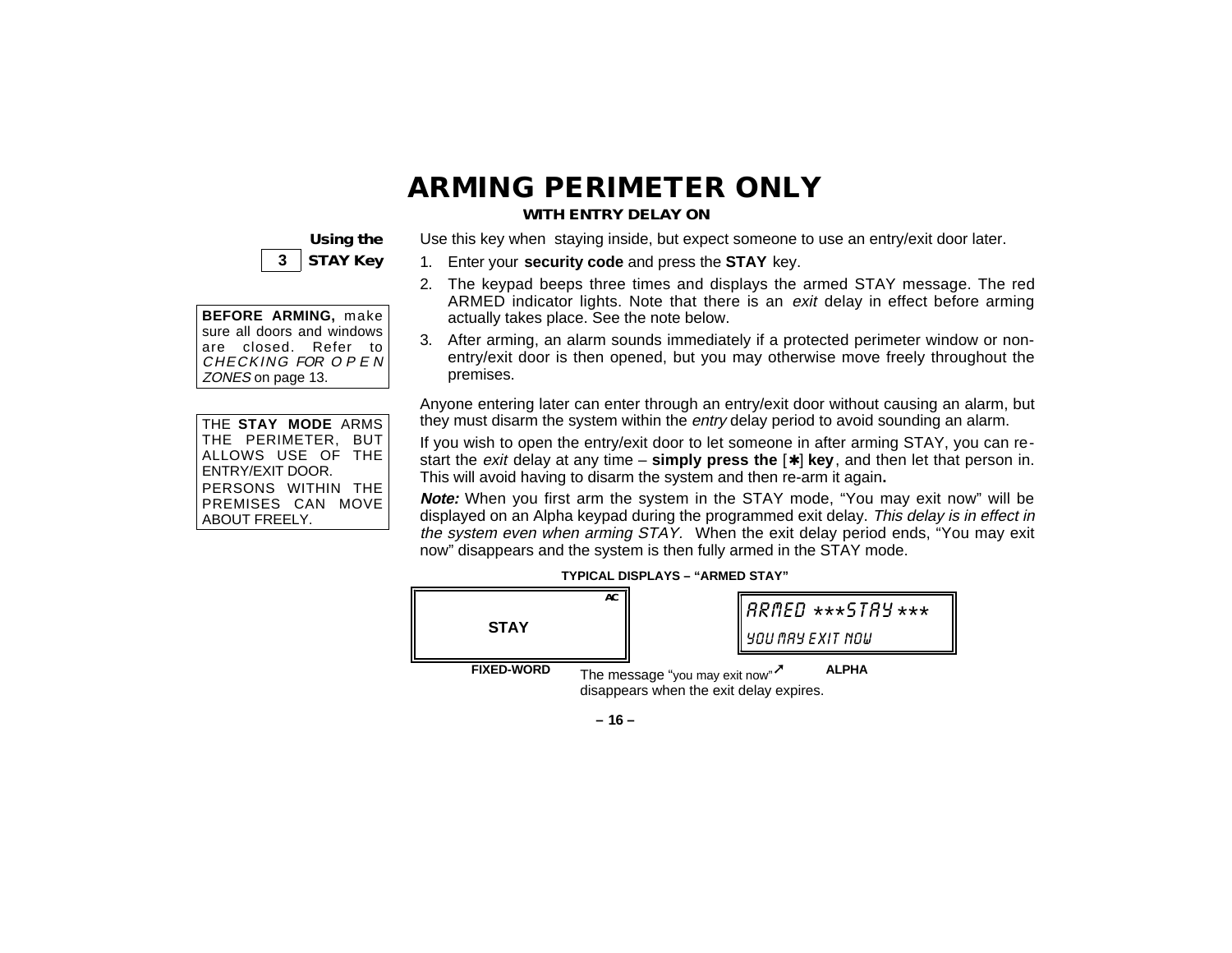# **ARMING PERIMETER ONLY**

#### **WITH ENTRY DELAY ON**



| BEFORE ARMING, make                       |
|-------------------------------------------|
| sure all doors and windows                |
| are closed. Refer to<br>CHECKING FOR OPEN |
|                                           |
| ZONES on page 13.                         |

| THE STAY MODE ARMS           |
|------------------------------|
| THE PERIMETER,<br><b>BUT</b> |
| ALLOWS USE OF THE            |
| ENTRY/EXIT DOOR.             |
| PERSONS WITHIN THE           |
| PREMISES CAN MOVE            |
| <b>ABOUT FREELY.</b>         |

Use this key when staying inside, but expect someone to use an entry/exit door later.

- 1. Enter your **security code** and press the **STAY** key.
- 2. The keypad beeps three times and displays the armed STAY message. The red ARMED indicator lights. Note that there is an *exit* delay in effect before arming actually takes place. See the note below.
- 3. After arming, an alarm sounds immediately if a protected perimeter window or nonentry/exit door is then opened, but you may otherwise move freely throughout the premises.

Anyone entering later can enter through an entry/exit door without causing an alarm, but they must disarm the system within the *entry* delay period to avoid sounding an alarm.

If you wish to open the entry/exit door to let someone in after arming STAY, you can restart the exit delay at any time – **simply press the** [✱] **key**, and then let that person in. This will avoid having to disarm the system and then re-arm it again**.**

**Note:** When you first arm the system in the STAY mode, "You may exit now" will be displayed on an Alpha keypad during the programmed exit delay. This delay is in effect in the system even when arming STAY. When the exit delay period ends, "You may exit now" disappears and the system is then fully armed in the STAY mode.



**TYPICAL DISPLAYS – "ARMED STAY"**

**– 16 –**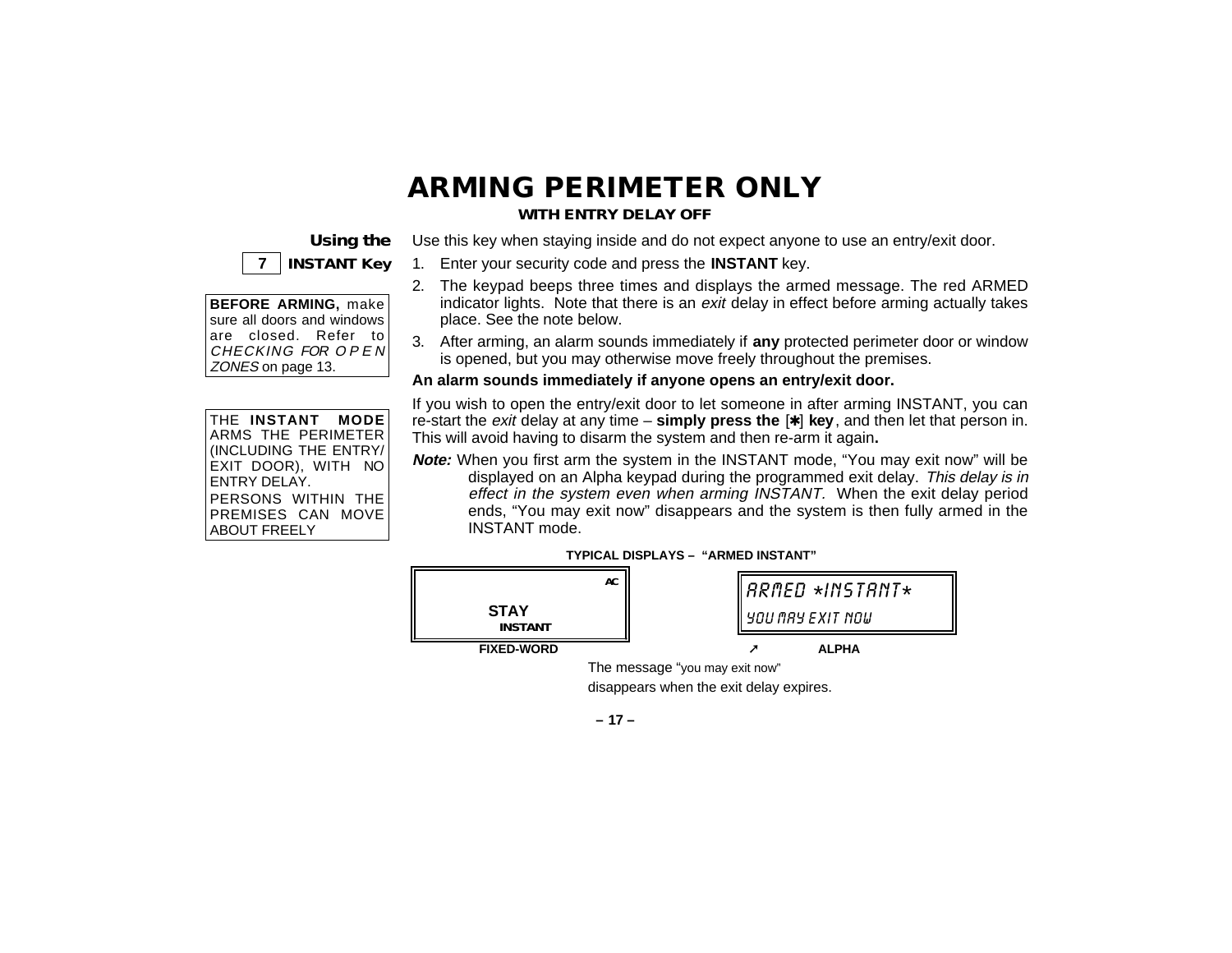# **ARMING PERIMETER ONLY**

#### **WITH ENTRY DELAY OFF**

Use this key when staying inside and do not expect anyone to use an entry/exit door.

### **Using the 7 INSTANT Key**

| <b>BEFORE ARMING, make</b> |
|----------------------------|
| sure all doors and windows |
| are closed. Refer to       |
| CHECKING FOR OPER          |
| ZONES on page 13.          |

THE **INSTANT MODE** ARMS THE PERIMETER (INCLUDING THE ENTRY/ EXIT DOOR), WITH NO ENTRY DELAY. PERSONS WITHIN THE PREMISES CAN MOVE ABOUT FREELY

- 1. Enter your security code and press the **INSTANT** key.
- 2. The keypad beeps three times and displays the armed message. The red ARMED indicator lights. Note that there is an exit delay in effect before arming actually takes place. See the note below.
- 3. After arming, an alarm sounds immediately if **any** protected perimeter door or window is opened, but you may otherwise move freely throughout the premises.

**An alarm sounds immediately if anyone opens an entry/exit door.**

If you wish to open the entry/exit door to let someone in after arming INSTANT, you can re-start the exit delay at any time – **simply press the** [✱] **key**, and then let that person in. This will avoid having to disarm the system and then re-arm it again**.**

**Note:** When you first arm the system in the INSTANT mode, "You may exit now" will be displayed on an Alpha keypad during the programmed exit delay. This delay is in effect in the system even when arming INSTANT. When the exit delay period ends, "You may exit now" disappears and the system is then fully armed in the INSTANT mode.





disappears when the exit delay expires.

**– 17 –**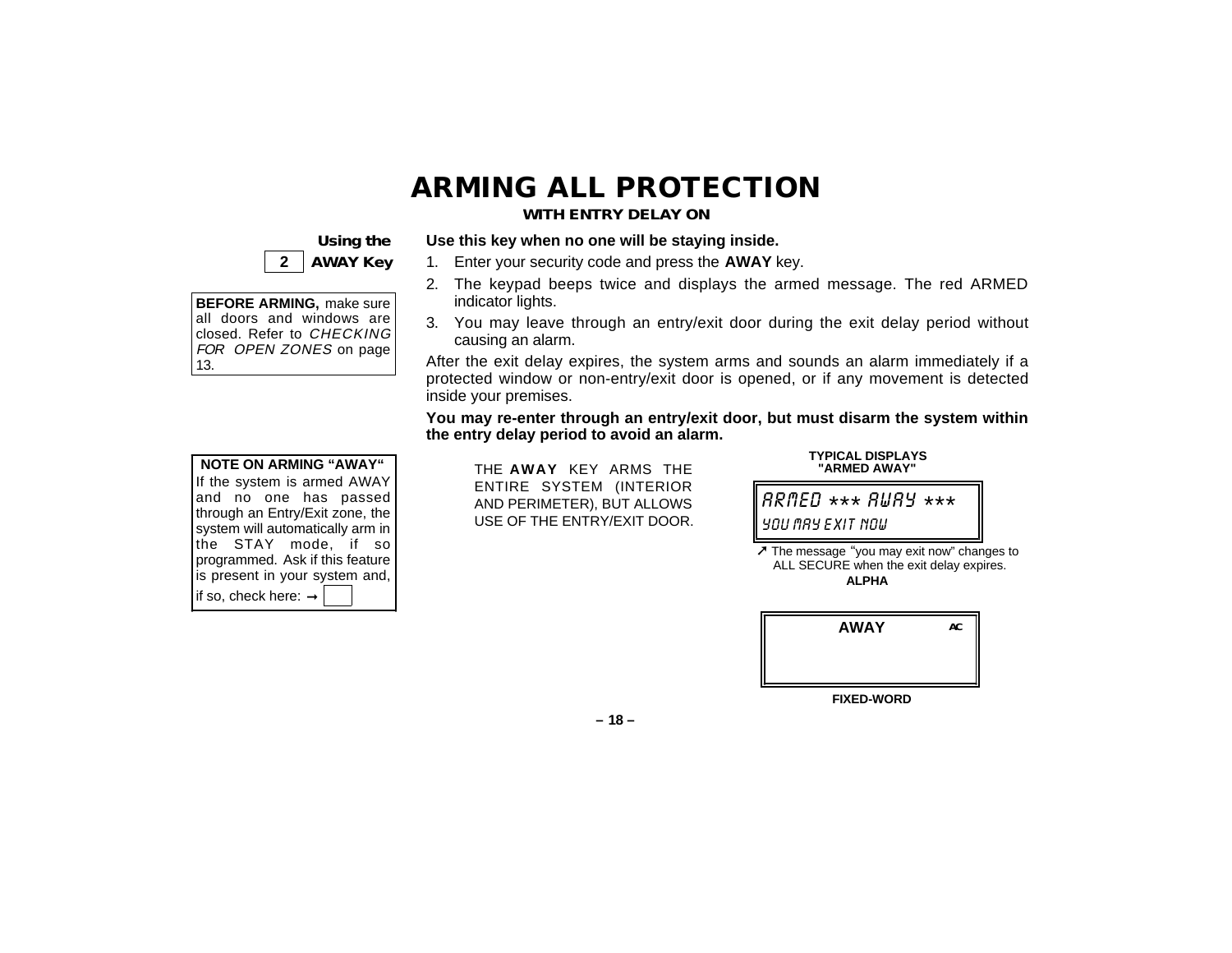# **ARMING ALL PROTECTION**

#### **WITH ENTRY DELAY ON**

### **Using the 2 AWAY Key**

| <b>BEFORE ARMING, make sure</b> |
|---------------------------------|
| all doors and windows are       |
| closed. Refer to CHECKING       |
| FOR OPEN ZONES on page          |
| 13.                             |

|     |  | all doors and windows are |  |
|-----|--|---------------------------|--|
|     |  | closed. Refer to CHECKING |  |
|     |  | FOR OPEN ZONES on page    |  |
| 13. |  |                           |  |
|     |  |                           |  |

| <b>NOTE ON ARMING "AWAY"</b>     |
|----------------------------------|
| If the system is armed AWAY      |
| and no one has passed            |
| through an Entry/Exit zone, the  |
| system will automatically arm in |
| the STAY mode, if so             |
| programmed. Ask if this feature  |
| is present in your system and,   |
| if so, check here: $\rightarrow$ |

### **Use this key when no one will be staying inside.**

- 1. Enter your security code and press the **AWAY** key.
- 2. The keypad beeps twice and displays the armed message. The red ARMED indicator lights.
- 3. You may leave through an entry/exit door during the exit delay period without causing an alarm.

After the exit delay expires, the system arms and sounds an alarm immediately if a protected window or non-entry/exit door is opened, or if any movement is detected inside your premises.

**You may re-enter through an entry/exit door, but must disarm the system within the entry delay period to avoid an alarm.**

THE **AWAY** KEY ARMS THE ENTIRE SYSTEM (INTERIOR AND PERIMETER), BUT ALLOWS USE OF THE ENTRY/EXIT DOOR.



**TYPICAL DISPLAYS "ARMED AWAY"**

➚ The message "you may exit now" changes to ALL SECURE when the exit delay expires. **ALPHA**

| <b>AWAY</b> | AC |
|-------------|----|
|             |    |
|             |    |

**FIXED-WORD**

**– 18 –**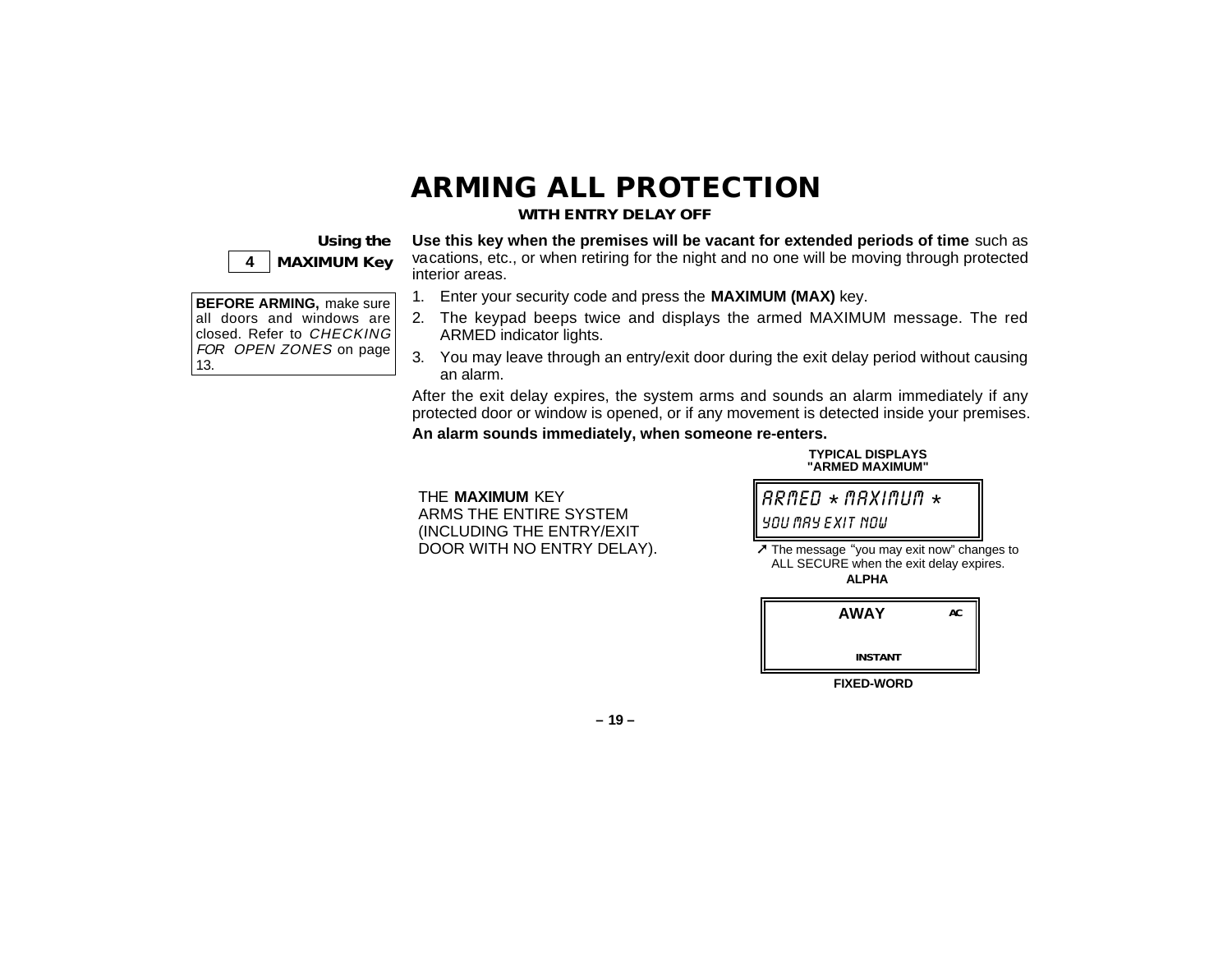# **ARMING ALL PROTECTION**

#### **WITH ENTRY DELAY OFF**

**Using the 4 MAXIMUM Key**

**BEFORE ARMING,** make sure all doors and windows are closed. Refer to CHECKING FOR OPEN ZONES on page

13.

**Use this key when the premises will be vacant for extended periods of time** such as vacations, etc., or when retiring for the night and no one will be moving through protected interior areas.

- 1. Enter your security code and press the **MAXIMUM (MAX)** key.
- 2. The keypad beeps twice and displays the armed MAXIMUM message. The red ARMED indicator lights.
- 3. You may leave through an entry/exit door during the exit delay period without causing an alarm.

After the exit delay expires, the system arms and sounds an alarm immediately if any protected door or window is opened, or if any movement is detected inside your premises. **An alarm sounds immediately, when someone re-enters.**

**TYPICAL DISPLAYS**

THE **MAXIMUM** KEY ARMS THE ENTIRE SYSTEM (INCLUDING THE ENTRY/EXIT DOOR WITH NO ENTRY DELAY).



**"ARMED MAXIMUM"**

➚ The message "you may exit now" changes to ALL SECURE when the exit delay expires. **ALPHA**

| <b>AWAY</b>       | AC |
|-------------------|----|
| <b>INSTANT</b>    |    |
| <b>FIXED-WORD</b> |    |

**– 19 –**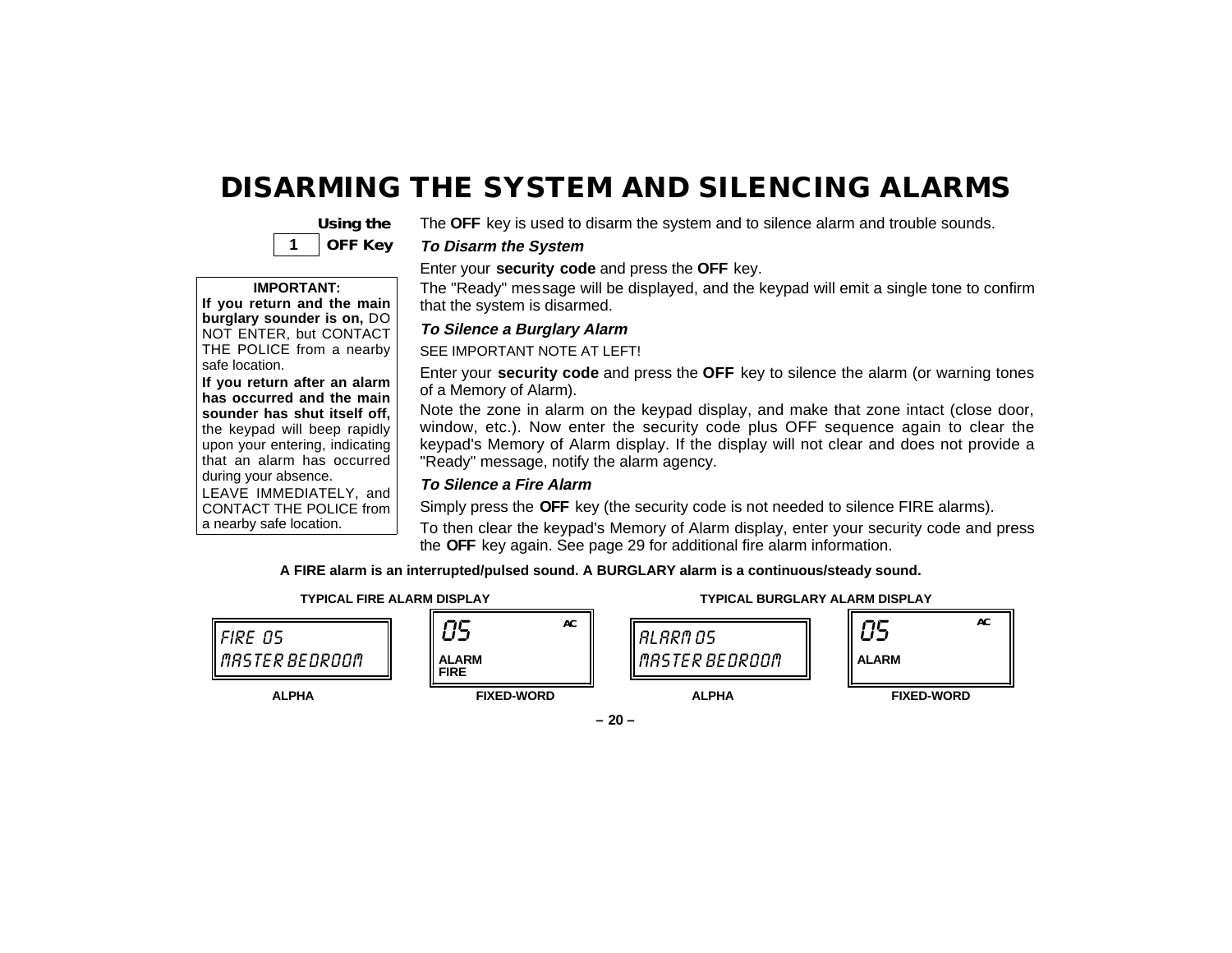### **DISARMING THE SYSTEM AND SILENCING ALARMS**



The **OFF** key is used to disarm the system and to silence alarm and trouble sounds.

#### **To Disarm the System**

#### **IMPORTANT:**

**If you return and the main burglary sounder is on,** DO NOT ENTER, but CONTACT THE POLICE from a nearby safe location.

**If you return after an alarm has occurred and the main sounder has shut itself off,** the keypad will beep rapidly upon your entering, indicating that an alarm has occurred during your absence. LEAVE IMMEDIATELY, and

CONTACT THE POLICE from a nearby safe location.

Enter your **security code** and press the **OFF** key.

The "Ready" message will be displayed, and the keypad will emit a single tone to confirm that the system is disarmed.

#### **To Silence a Burglary Alarm**

SEE IMPORTANT NOTE AT LEFT!

Enter your **security code** and press the **OFF** key to silence the alarm (or warning tones of a Memory of Alarm).

Note the zone in alarm on the keypad display, and make that zone intact (close door, window, etc.). Now enter the security code plus OFF sequence again to clear the keypad's Memory of Alarm display. If the display will not clear and does not provide a "Ready" message, notify the alarm agency.

#### **To Silence a Fire Alarm**

Simply press the **OFF** key (the security code is not needed to silence FIRE alarms).

To then clear the keypad's Memory of Alarm display, enter your security code and press the **OFF** key again. See page 29 for additional fire alarm information.

**A FIRE alarm is an interrupted/pulsed sound. A BURGLARY alarm is a continuous/steady sound.**



**– 20 –**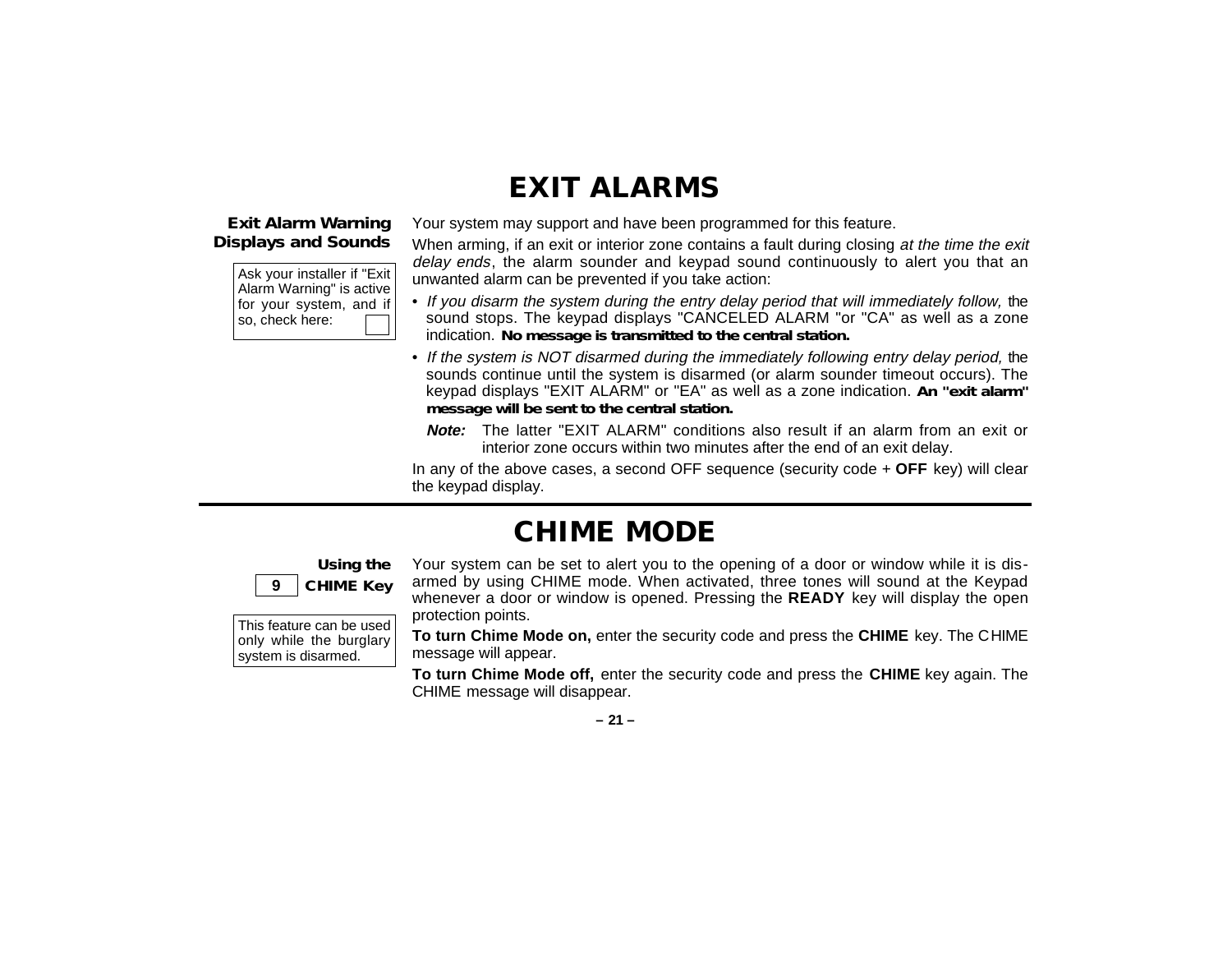### **EXIT ALARMS**

#### **Exit Alarm Warning Displays and Sounds**

Ask your installer if "Exit Alarm Warning" is active for your system, and if so, check here:

Your system may support and have been programmed for this feature.

When arming, if an exit or interior zone contains a fault during closing at the time the exit delay ends, the alarm sounder and keypad sound continuously to alert you that an unwanted alarm can be prevented if you take action:

- If you disarm the system during the entry delay period that will immediately follow, the sound stops. The keypad displays "CANCELED ALARM "or "CA" as well as a zone indication. **No message is transmitted to the central station.**
- If the system is NOT disarmed during the immediately following entry delay period, the sounds continue until the system is disarmed (or alarm sounder timeout occurs). The keypad displays "EXIT ALARM" or "EA" as well as a zone indication. **An "exit alarm" message will be sent to the central station.**
	- **Note:** The latter "EXIT ALARM" conditions also result if an alarm from an exit or interior zone occurs within two minutes after the end of an exit delay.

In any of the above cases, a second OFF sequence (security code + **OFF** key) will clear the keypad display.

### **CHIME MODE**

#### **Using the 9 CHIME Key**

This feature can be used only while the burglary system is disarmed.

Your system can be set to alert you to the opening of a door or window while it is disarmed by using CHIME mode. When activated, three tones will sound at the Keypad whenever a door or window is opened. Pressing the **READY** key will display the open protection points.

**To turn Chime Mode on,** enter the security code and press the **CHIME** key. The CHIME message will appear.

**To turn Chime Mode off,** enter the security code and press the **CHIME** key again. The CHIME message will disappear.

**– 21 –**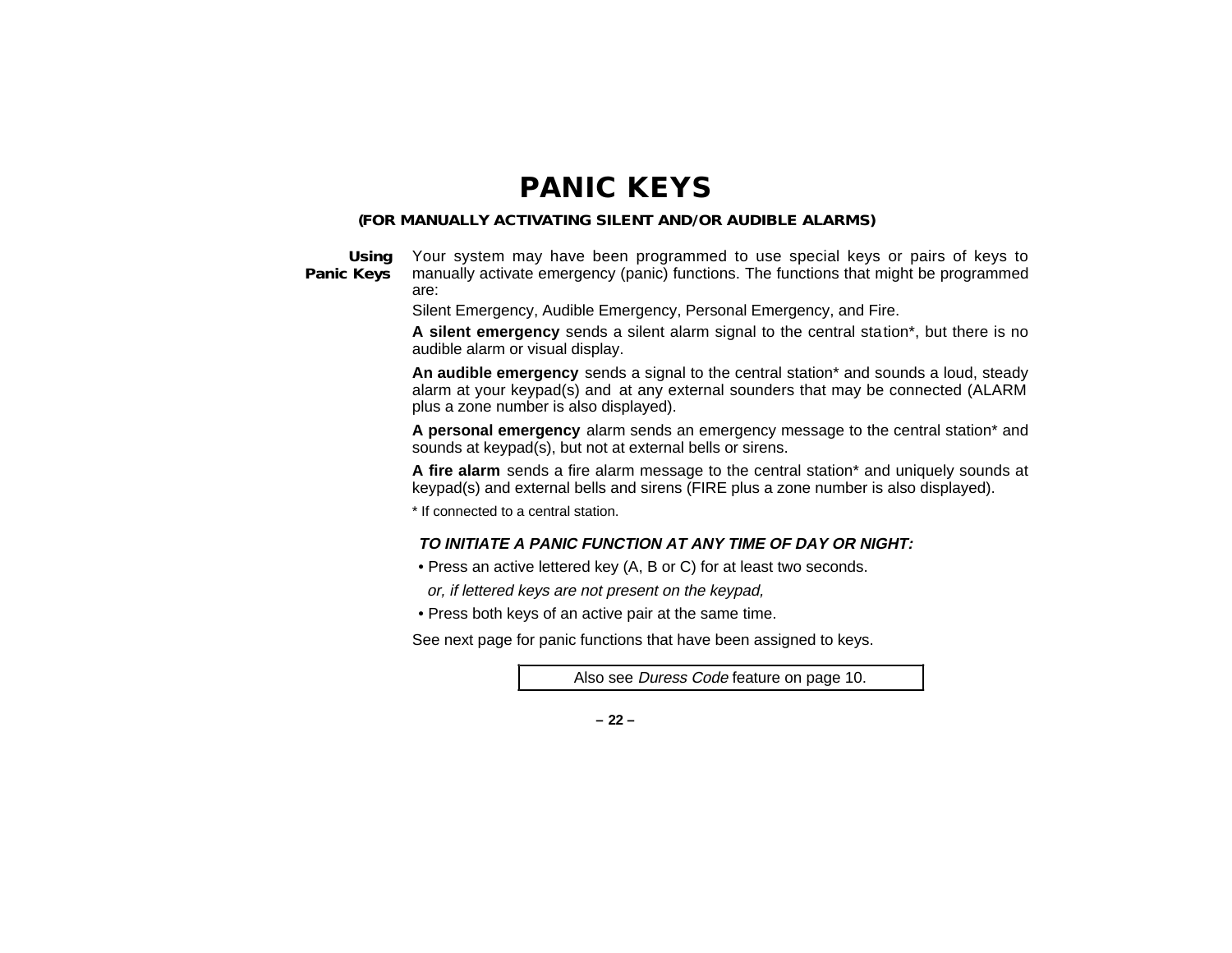### **PANIC KEYS**

#### **(FOR MANUALLY ACTIVATING SILENT AND/OR AUDIBLE ALARMS)**

**Using Panic Keys**

Your system may have been programmed to use special keys or pairs of keys to manually activate emergency (panic) functions. The functions that might be programmed are:

Silent Emergency, Audible Emergency, Personal Emergency, and Fire.

**A silent emergency** sends a silent alarm signal to the central station\*, but there is no audible alarm or visual display.

**An audible emergency** sends a signal to the central station\* and sounds a loud, steady alarm at your keypad(s) and at any external sounders that may be connected (ALARM plus a zone number is also displayed).

**A personal emergency** alarm sends an emergency message to the central station\* and sounds at keypad(s), but not at external bells or sirens.

**A fire alarm** sends a fire alarm message to the central station\* and uniquely sounds at keypad(s) and external bells and sirens (FIRE plus a zone number is also displayed).

\* If connected to a central station.

#### **TO INITIATE A PANIC FUNCTION AT ANY TIME OF DAY OR NIGHT:**

- Press an active lettered key (A, B or C) for at least two seconds.
- or, if lettered keys are not present on the keypad,
- Press both keys of an active pair at the same time.

See next page for panic functions that have been assigned to keys.

Also see Duress Code feature on page 10.

**– 22 –**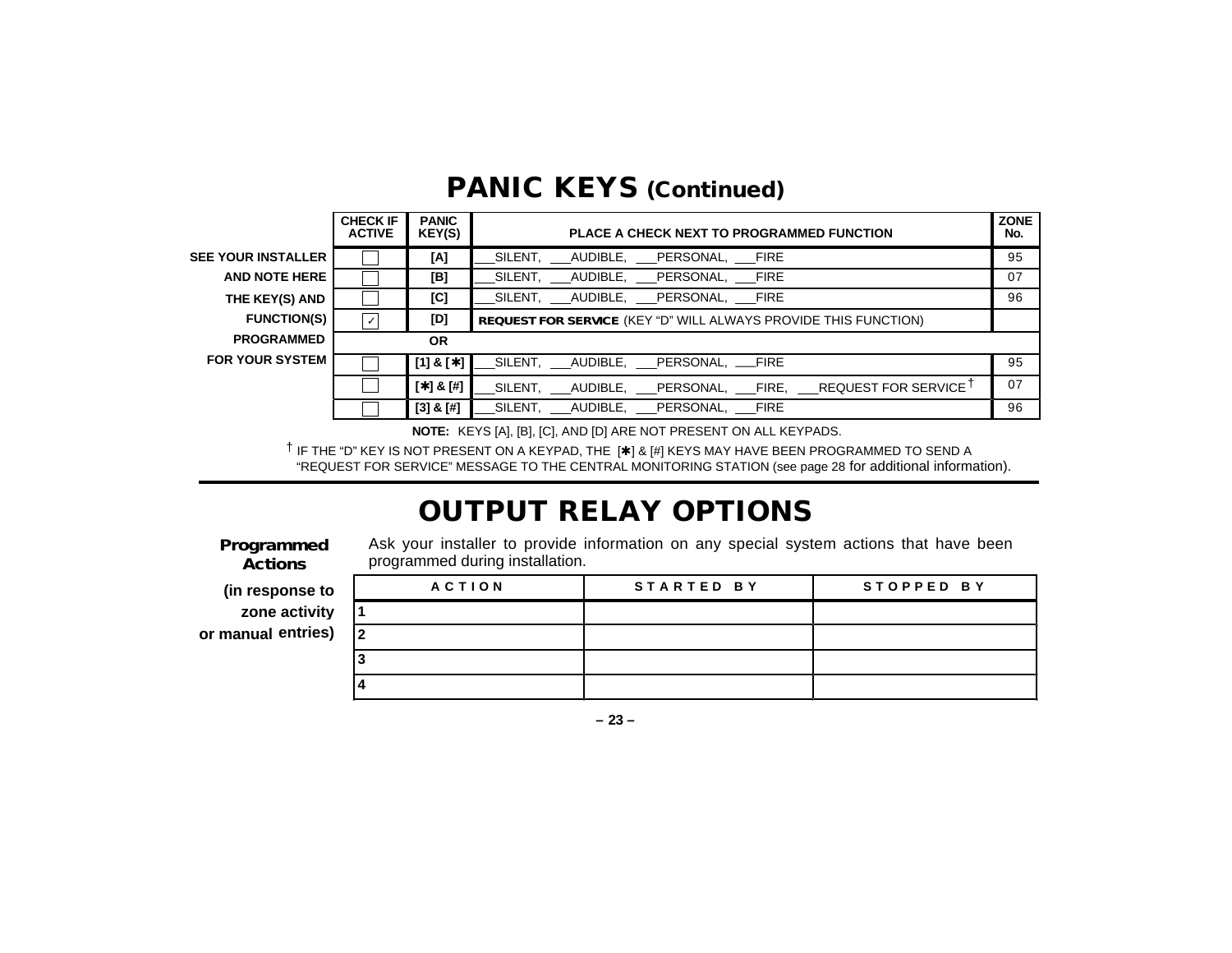|                           | <b>CHECK IF</b><br><b>ACTIVE</b> | <b>PANIC</b><br>KEY(S) | PLACE A CHECK NEXT TO PROGRAMMED FUNCTION                       |    |  |
|---------------------------|----------------------------------|------------------------|-----------------------------------------------------------------|----|--|
| <b>SEE YOUR INSTALLER</b> |                                  | [A]                    | SILENT, AUDIBLE, PERSONAL, FIRE                                 | 95 |  |
| <b>AND NOTE HERE</b>      |                                  | [B]                    | SILENT, AUDIBLE, PERSONAL, FIRE                                 | 07 |  |
| THE KEY(S) AND            |                                  | [C]                    | SILENT, AUDIBLE, PERSONAL, FIRE                                 | 96 |  |
| <b>FUNCTION(S)</b>        | $\checkmark$                     | [D]                    | REQUEST FOR SERVICE (KEY "D" WILL ALWAYS PROVIDE THIS FUNCTION) |    |  |
| <b>PROGRAMMED</b>         | <b>OR</b>                        |                        |                                                                 |    |  |
| <b>FOR YOUR SYSTEM</b>    |                                  | $[1]$ & $[$ $\star$ ]  | SILENT, AUDIBLE, PERSONAL, FIRE                                 | 95 |  |
|                           |                                  | $[ * ] 8 [ # ]$        |                                                                 | 07 |  |
|                           |                                  | $[3]$ & $[#]$          | SILENT, AUDIBLE, PERSONAL, FIRE                                 | 96 |  |

### **PANIC KEYS (Continued)**

**NOTE:** KEYS [A], [B], [C], AND [D] ARE NOT PRESENT ON ALL KEYPADS.

† IF THE "D" KEY IS NOT PRESENT ON A KEYPAD, THE [✱] & [#] KEYS MAY HAVE BEEN PROGRAMMED TO SEND A "REQUEST FOR SERVICE" MESSAGE TO THE CENTRAL MONITORING STATION (see page 28 for additional information).

# **OUTPUT RELAY OPTIONS**

**Programmed Actions**

Ask your installer to provide information on any special system actions that have been programmed during installation.

| (in response to    | ACTION         | STARTED BY | STOPPED BY |
|--------------------|----------------|------------|------------|
| zone activity      |                |            |            |
| or manual entries) | $\overline{2}$ |            |            |
|                    |                |            |            |
|                    |                |            |            |

**– 23 –**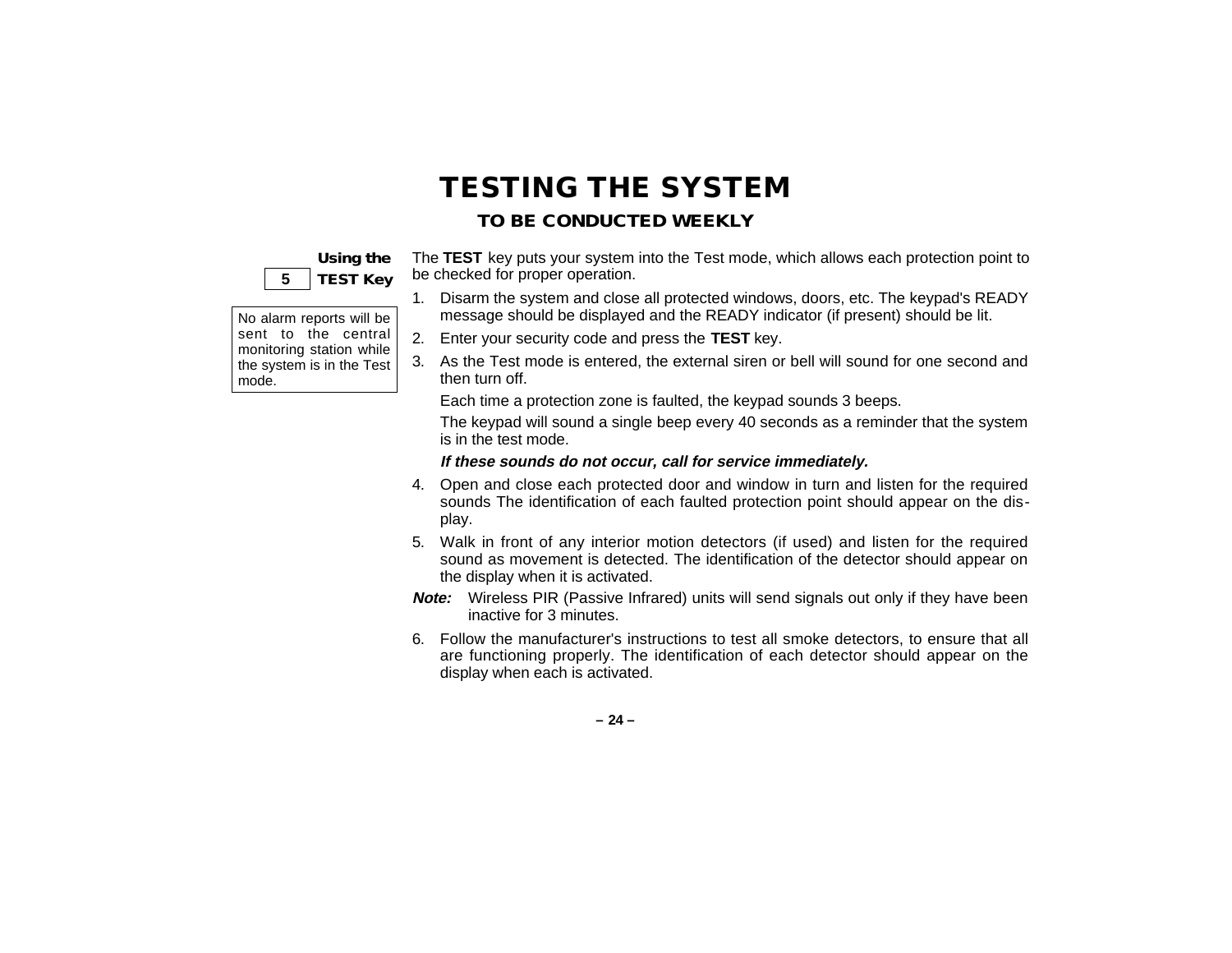# **TESTING THE SYSTEM**

### **TO BE CONDUCTED WEEKLY**

### **Using the 5 TEST Key**

The **TEST** key puts your system into the Test mode, which allows each protection point to be checked for proper operation.

- 1. Disarm the system and close all protected windows, doors, etc. The keypad's READY message should be displayed and the READY indicator (if present) should be lit.
- No alarm reports will be sent to the central monitoring station while the system is in the Test mode.
	- 2. Enter your security code and press the **TEST** key.
	- 3. As the Test mode is entered, the external siren or bell will sound for one second and then turn off.

Each time a protection zone is faulted, the keypad sounds 3 beeps.

The keypad will sound a single beep every 40 seconds as a reminder that the system is in the test mode.

#### **If these sounds do not occur, call for service immediately.**

- 4. Open and close each protected door and window in turn and listen for the required sounds The identification of each faulted protection point should appear on the display.
- 5. Walk in front of any interior motion detectors (if used) and listen for the required sound as movement is detected. The identification of the detector should appear on the display when it is activated.
- **Note:** Wireless PIR (Passive Infrared) units will send signals out only if they have been inactive for 3 minutes.
- 6. Follow the manufacturer's instructions to test all smoke detectors, to ensure that all are functioning properly. The identification of each detector should appear on the display when each is activated.

**– 24 –**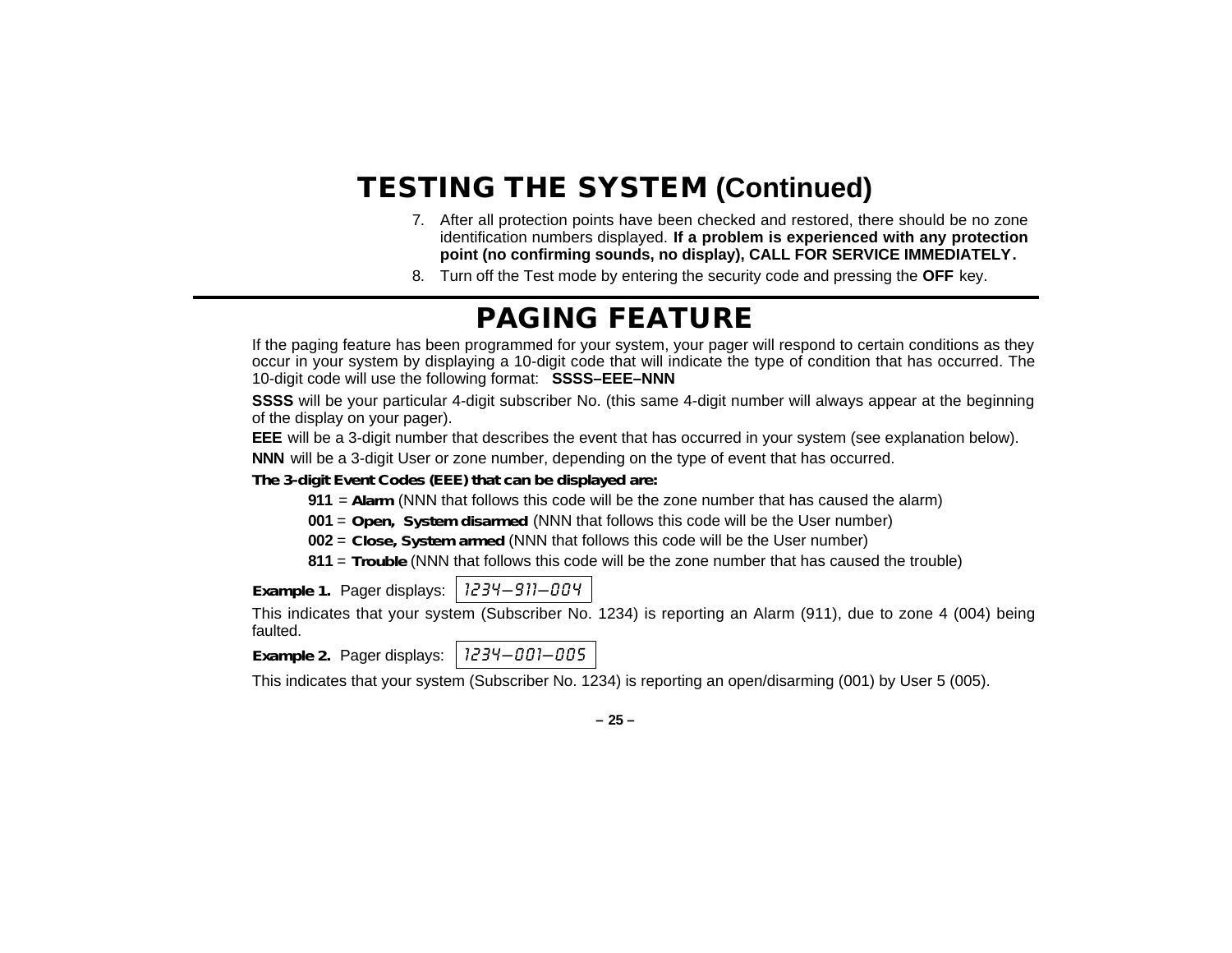# **TESTING THE SYSTEM (Continued)**

- 7. After all protection points have been checked and restored, there should be no zone identification numbers displayed. **If a problem is experienced with any protection point (no confirming sounds, no display), CALL FOR SERVICE IMMEDIATELY.**
- 8. Turn off the Test mode by entering the security code and pressing the **OFF** key.

### **PAGING FEATURE**

If the paging feature has been programmed for your system, your pager will respond to certain conditions as they occur in your system by displaying a 10-digit code that will indicate the type of condition that has occurred. The 10-digit code will use the following format: **SSSS–EEE–NNN**

**SSSS** will be your particular 4-digit subscriber No. (this same 4-digit number will always appear at the beginning of the display on your pager).

**EEE** will be a 3-digit number that describes the event that has occurred in your system (see explanation below).

**NNN** will be a 3-digit User or zone number, depending on the type of event that has occurred.

*The 3-digit Event Codes (EEE) that can be displayed are:*

**911** <sup>=</sup>**Alarm** (NNN that follows this code will be the zone number that has caused the alarm)

**001** = **Open, System disarmed** (NNN that follows this code will be the User number)

**002** = **Close, System armed** (NNN that follows this code will be the User number)

**811** = **Trouble** (NNN that follows this code will be the zone number that has caused the trouble)

*Example 1. Pager displays: 1234-911-004* 

This indicates that your system (Subscriber No. 1234) is reporting an Alarm (911), due to zone 4 (004) being faulted.

*Example 2.* Pager displays: 1234–001–005

This indicates that your system (Subscriber No. 1234) is reporting an open/disarming (001) by User 5 (005).

**– 25 –**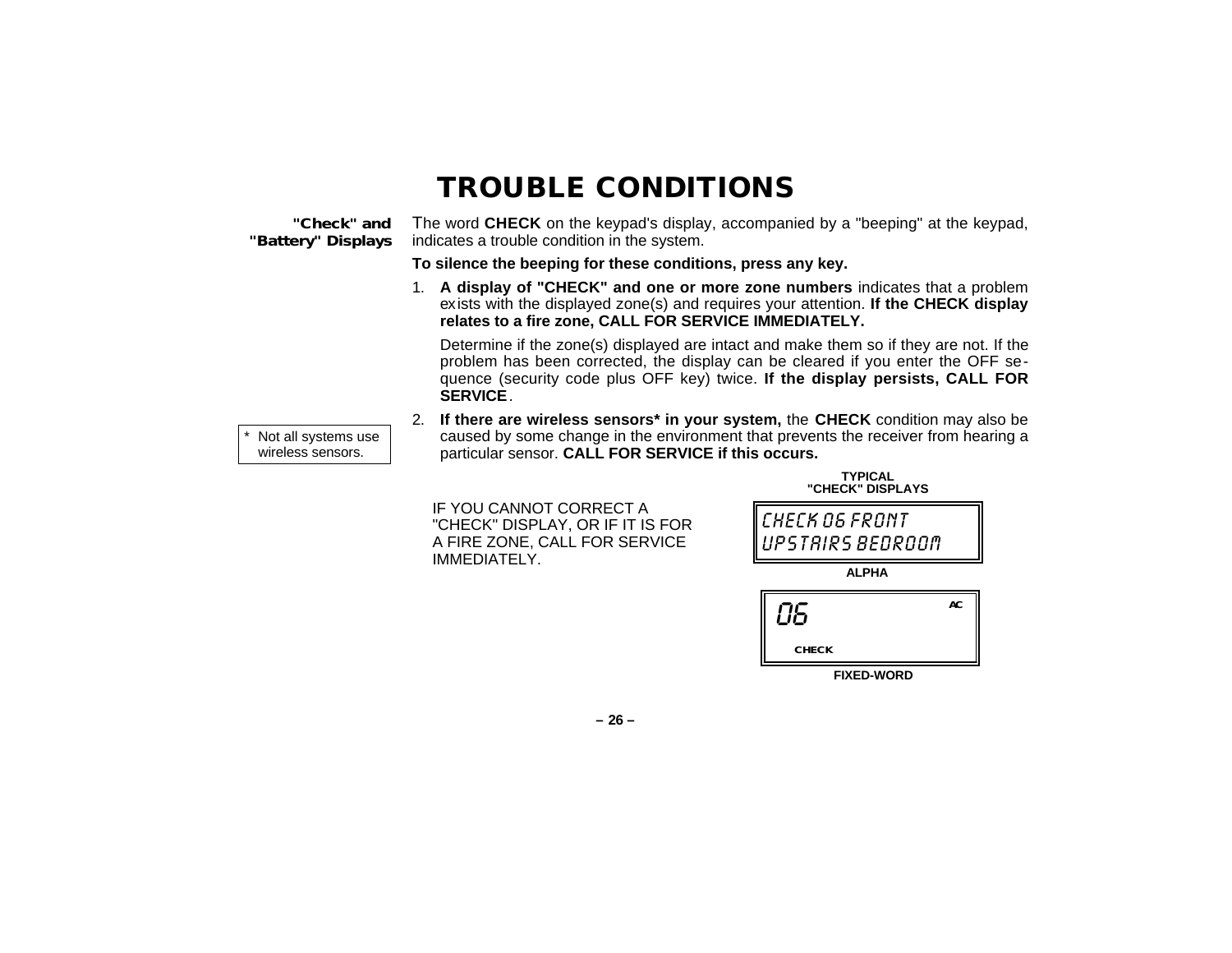### **TROUBLE CONDITIONS**

#### **"Check" and "Battery" Displays**

\*

The word **CHECK** on the keypad's display, accompanied by a "beeping" at the keypad, indicates a trouble condition in the system.

**To silence the beeping for these conditions, press any key.**

1. **A display of "CHECK" and one or more zone numbers** indicates that a problem exists with the displayed zone(s) and requires your attention. **If the CHECK display relates to a fire zone, CALL FOR SERVICE IMMEDIATELY.**

Determine if the zone(s) displayed are intact and make them so if they are not. If the problem has been corrected, the display can be cleared if you enter the OFF sequence (security code plus OFF key) twice. **If the display persists, CALL FOR SERVICE**.

- Not all systems use wireless sensors.
- 2. **If there are wireless sensors\* in your system,** the **CHECK** condition may also be caused by some change in the environment that prevents the receiver from hearing a particular sensor. **CALL FOR SERVICE if this occurs.**

IF YOU CANNOT CORRECT A "CHECK" DISPLAY, OR IF IT IS FOR A FIRE ZONE, CALL FOR SERVICE IMMEDIATELY.

| "CHECK" DISPLAYS                   |  |  |  |
|------------------------------------|--|--|--|
| CHECK OG FRONT<br>UPSTRIRS BEDROOM |  |  |  |
| <b>ALPHA</b>                       |  |  |  |
| AC<br>ПБ                           |  |  |  |
| <b>CHECK</b>                       |  |  |  |

**TYPICAL**

**FIXED-WORD**

**– 26 –**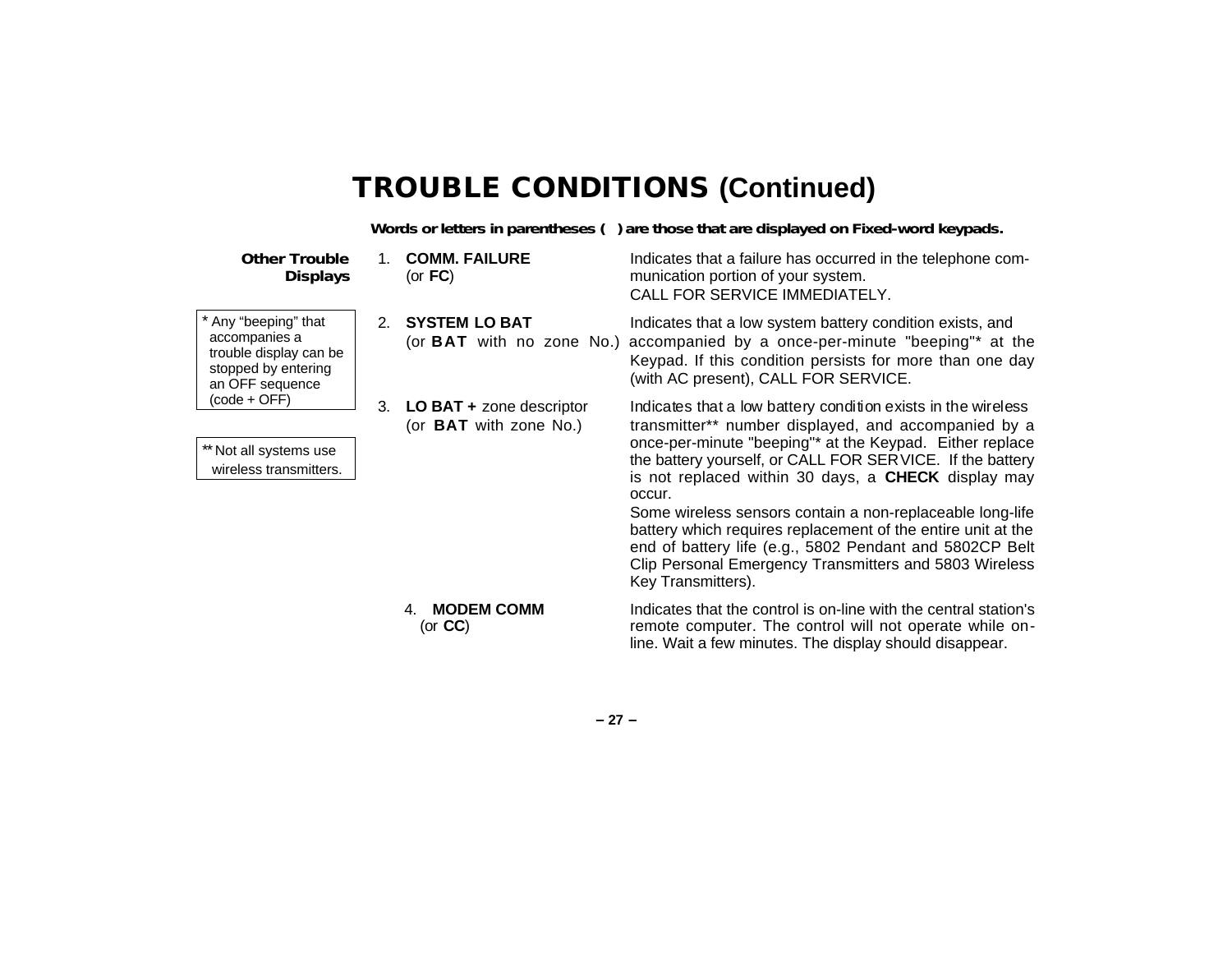### **TROUBLE CONDITIONS (Continued)**

**Words or letters in parentheses ( ) are those that are displayed on Fixed-word keypads.**

**Other Trouble Displays** \* Any "beeping" that accompanies a trouble display can be stopped by entering an OFF sequence (code + OFF) \*\* Not all systems use wireless transmitters. 1. **COMM. FAILURE Indicates that a failure has occurred in the telephone com-**(or **FC**) munication portion of your system. CALL FOR SERVICE IMMEDIATELY. 2. **SYSTEM LO BAT** Indicates that a low system battery condition exists, and (or **BAT** with no zone No.) accompanied by a once-per-minute "beeping"\* at the Keypad. If this condition persists for more than one day (with AC present), CALL FOR SERVICE. 3. **LO BAT +** zone descriptor Indicates that a low battery condition exists in the wireless (or **BAT** with zone No.) transmitter\*\* number displayed, and accompanied by a once-per-minute "beeping"\* at the Keypad. Either replace the battery yourself, or CALL FOR SERVICE. If the battery is not replaced within 30 days, a **CHECK** display may occur. Some wireless sensors contain a non-replaceable long-life battery which requires replacement of the entire unit at the end of battery life (e.g., 5802 Pendant and 5802CP Belt Clip Personal Emergency Transmitters and 5803 Wireless Key Transmitters). 4. **MODEM COMM** (or **CC**) Indicates that the control is on-line with the central station's remote computer. The control will not operate while online. Wait a few minutes. The display should disappear.

**– 27 –**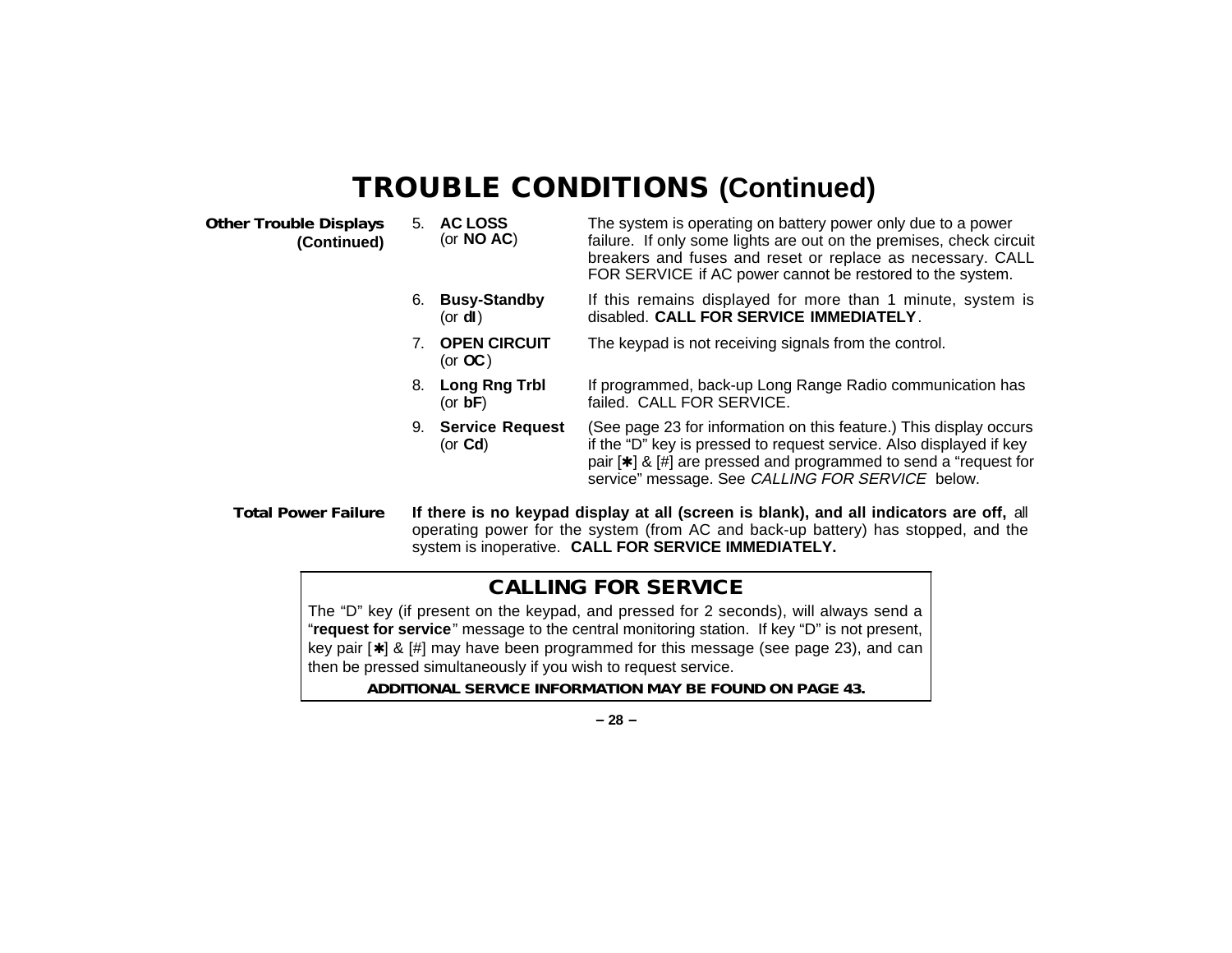# **TROUBLE CONDITIONS (Continued)**

| <b>Other Trouble Displays</b><br>(Continued) |    | 5. AC LOSS<br>(or $NO AC$ )            | The system is operating on battery power only due to a power<br>failure. If only some lights are out on the premises, check circuit<br>breakers and fuses and reset or replace as necessary. CALL<br>FOR SERVICE if AC power cannot be restored to the system.             |
|----------------------------------------------|----|----------------------------------------|----------------------------------------------------------------------------------------------------------------------------------------------------------------------------------------------------------------------------------------------------------------------------|
|                                              | 6. | <b>Busy-Standby</b><br>(or <b>dl</b> ) | If this remains displayed for more than 1 minute, system is<br>disabled. CALL FOR SERVICE IMMEDIATELY.                                                                                                                                                                     |
|                                              |    | <b>OPEN CIRCUIT</b><br>(or $OC$ )      | The keypad is not receiving signals from the control.                                                                                                                                                                                                                      |
|                                              | 8. | Long Rng Trbl<br>(or $bF$ )            | If programmed, back-up Long Range Radio communication has<br>failed. CALL FOR SERVICE.                                                                                                                                                                                     |
|                                              | 9. | <b>Service Request</b><br>(or $Cd$ )   | (See page 23 for information on this feature.) This display occurs<br>if the "D" key is pressed to request service. Also displayed if key<br>pair $[\star]$ & $[\#]$ are pressed and programmed to send a "request for<br>service" message. See CALLING FOR SERVICE below. |
| <b>Total Power Failure</b>                   |    |                                        | If there is no keypad display at all (screen is blank), and all indicators are off, all                                                                                                                                                                                    |

operating power for the system (from AC and back-up battery) has stopped, and the system is inoperative. **CALL FOR SERVICE IMMEDIATELY.**

### **CALLING FOR SERVICE**

The "D" key (if present on the keypad, and pressed for 2 seconds), will always send a "**request for service**" message to the central monitoring station. If key "D" is not present, key pair [✱] & [#] may have been programmed for this message (see page 23), and can then be pressed simultaneously if you wish to request service.

**ADDITIONAL SERVICE INFORMATION MAY BE FOUND ON PAGE 43.**

**– 28 –**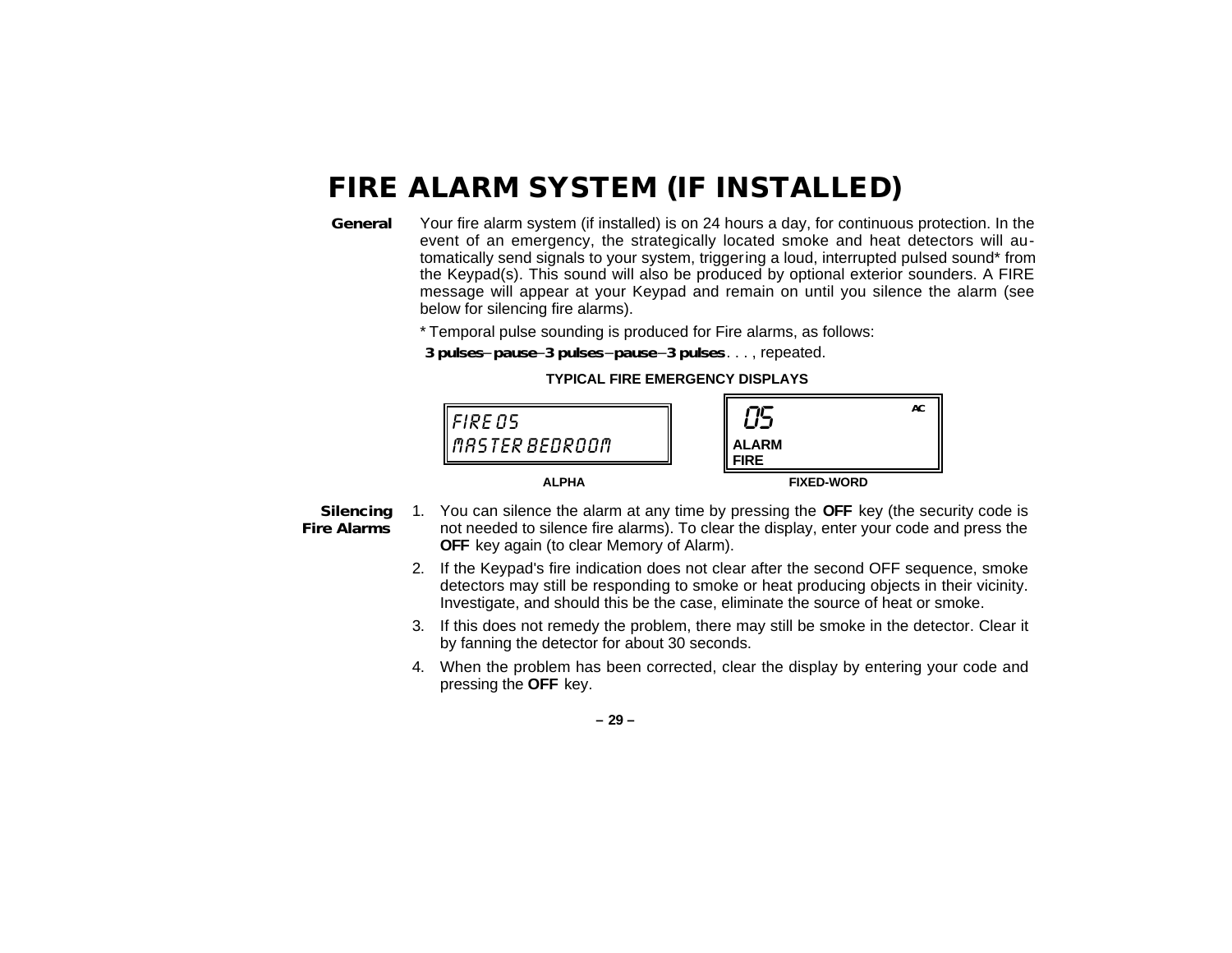### **FIRE ALARM SYSTEM (IF INSTALLED)**

**General** Your fire alarm system (if installed) is on 24 hours a day, for continuous protection. In the event of an emergency, the strategically located smoke and heat detectors will automatically send signals to your system, triggering a loud, interrupted pulsed sound\* from the Keypad(s). This sound will also be produced by optional exterior sounders. A FIRE message will appear at your Keypad and remain on until you silence the alarm (see below for silencing fire alarms).

\* Temporal pulse sounding is produced for Fire alarms, as follows:

**3 pulses**–**pause**–**3 pulses**–**pause**–**3 pulses**. . . , repeated.





#### **Silencing Fire Alarms**

- 1. You can silence the alarm at any time by pressing the **OFF** key (the security code is not needed to silence fire alarms). To clear the display, enter your code and press the **OFF** key again (to clear Memory of Alarm).
- 2. If the Keypad's fire indication does not clear after the second OFF sequence, smoke detectors may still be responding to smoke or heat producing objects in their vicinity. Investigate, and should this be the case, eliminate the source of heat or smoke.
- 3. If this does not remedy the problem, there may still be smoke in the detector. Clear it by fanning the detector for about 30 seconds.
- 4. When the problem has been corrected, clear the display by entering your code and pressing the **OFF** key.

**– 29 –**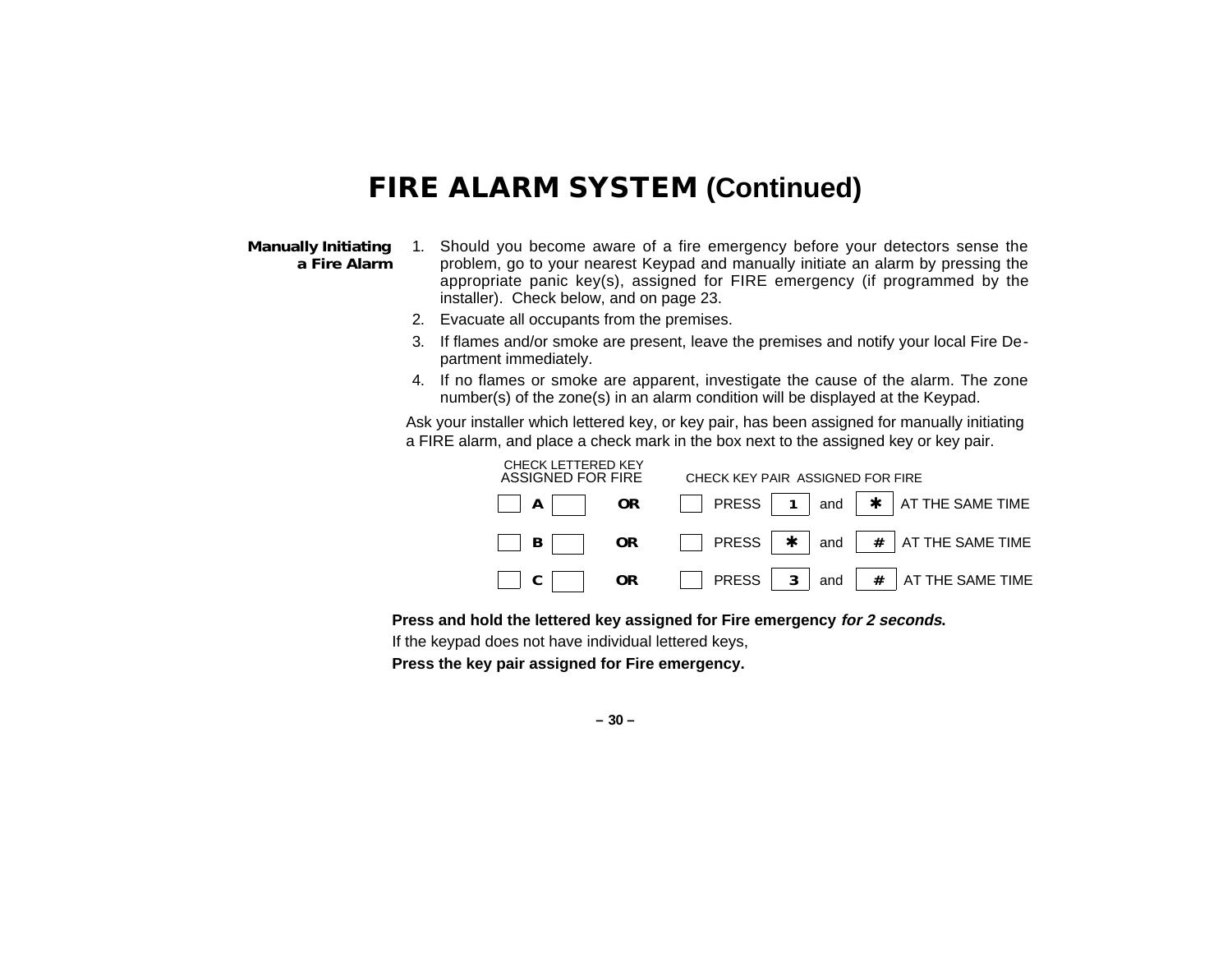### **FIRE ALARM SYSTEM (Continued)**

#### **Manually Initiating a Fire Alarm**

- 1. Should you become aware of a fire emergency before your detectors sense the problem, go to your nearest Keypad and manually initiate an alarm by pressing the appropriate panic key(s), assigned for FIRE emergency (if programmed by the installer). Check below, and on page 23.
- 2. Evacuate all occupants from the premises.
- 3. If flames and/or smoke are present, leave the premises and notify your local Fire Department immediately.
- 4. If no flames or smoke are apparent, investigate the cause of the alarm. The zone number(s) of the zone(s) in an alarm condition will be displayed at the Keypad.

Ask your installer which lettered key, or key pair, has been assigned for manually initiating a FIRE alarm, and place a check mark in the box next to the assigned key or key pair.

| <b>CHECK LETTERED KEY</b><br>ASSIGNED FOR FIRE | CHECK KEY PAIR ASSIGNED FOR FIRE                                       |  |  |  |
|------------------------------------------------|------------------------------------------------------------------------|--|--|--|
| OR<br>AA                                       | $\Box$ PRESS   1   and   $\star$   AT THE SAME TIME                    |  |  |  |
| <b>OR</b>                                      | $\Box$ PRESS $\vert \star \vert$ and $\vert \# \vert$ AT THE SAME TIME |  |  |  |
| OR.                                            | PRESS   $3$   and   $#$   AT THE SAME TIME                             |  |  |  |

**Press and hold the lettered key assigned for Fire emergency for 2 seconds.**

If the keypad does not have individual lettered keys,

**Press the key pair assigned for Fire emergency.**

**– 30 –**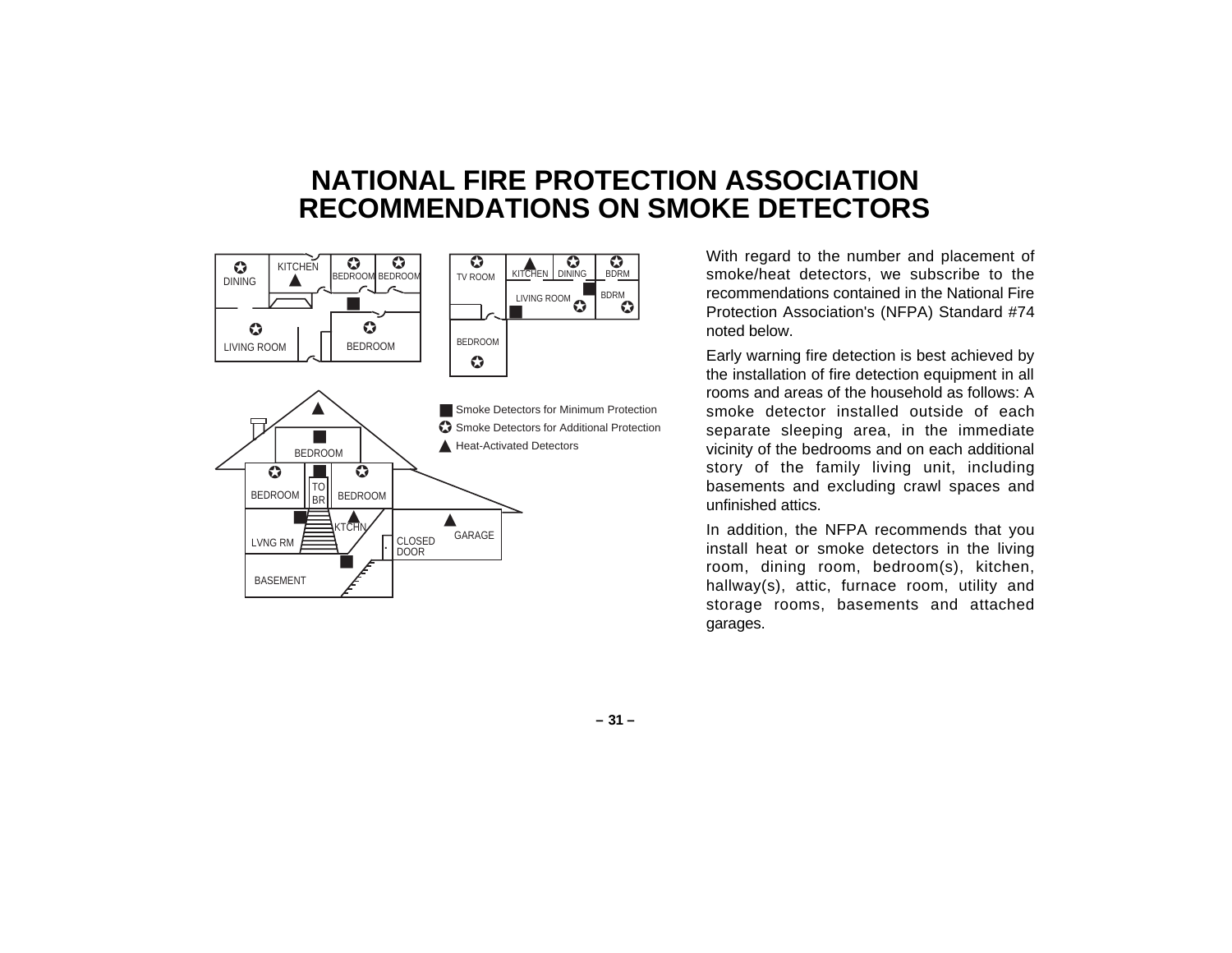### **NATIONAL FIRE PROTECTION ASSOCIATION RECOMMENDATIONS ON SMOKE DETECTORS**



With regard to the number and placement of smoke/heat detectors, we subscribe to the recommendations contained in the National Fire Protection Association's (NFPA) Standard #74 noted below.

Early warning fire detection is best achieved by the installation of fire detection equipment in all rooms and areas of the household as follows: A smoke detector installed outside of each separate sleeping area, in the immediate vicinity of the bedrooms and on each additional story of the family living unit, including basements and excluding crawl spaces and unfinished attics.

In addition, the NFPA recommends that you install heat or smoke detectors in the living room, dining room, bedroom(s), kitchen, hallway(s), attic, furnace room, utility and storage rooms, basements and attached garages.

**– 31 –**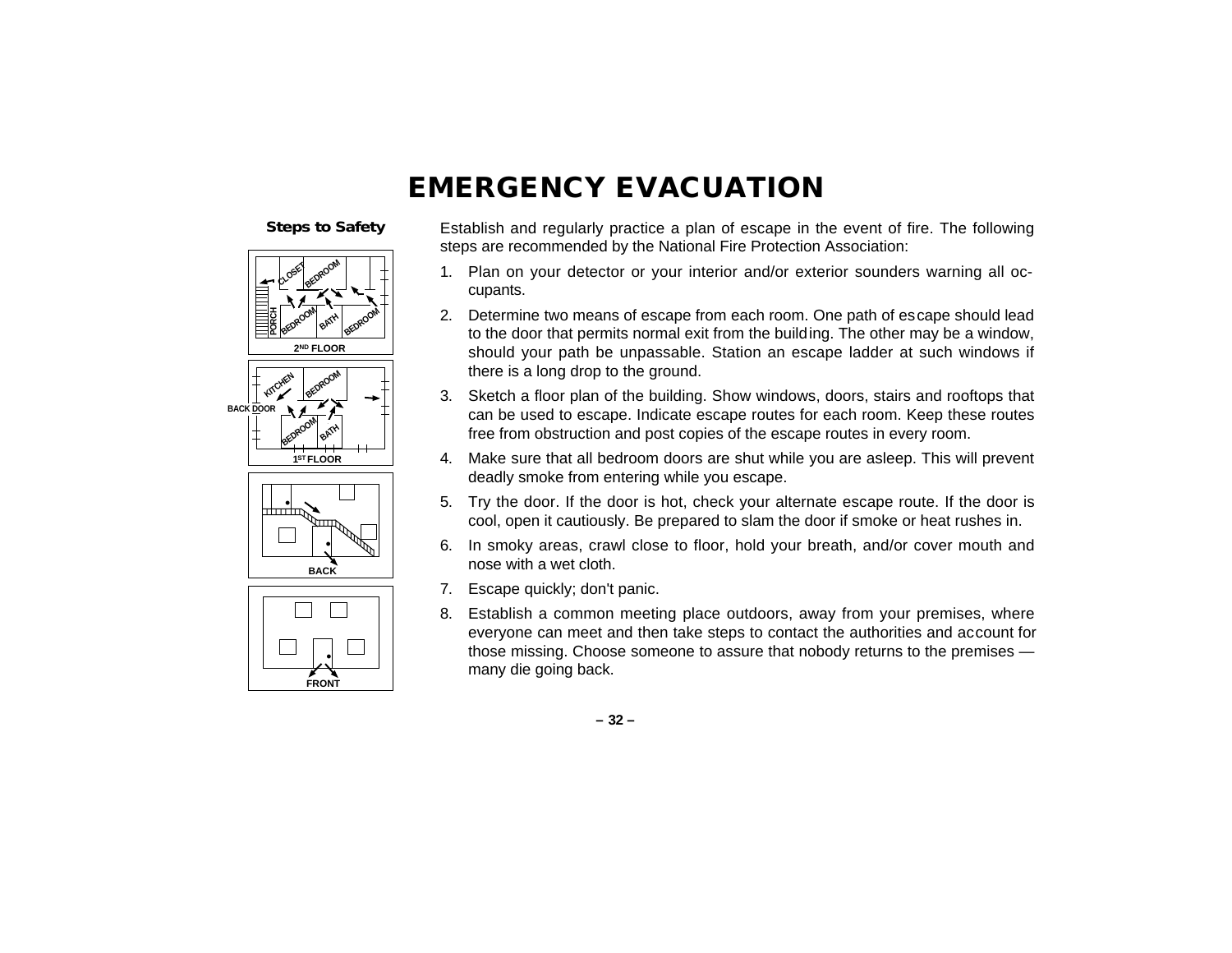### **EMERGENCY EVACUATION**

#### **Steps to Safety**









Establish and regularly practice a plan of escape in the event of fire. The following steps are recommended by the National Fire Protection Association:

- 1. Plan on your detector or your interior and/or exterior sounders warning all occupants.
- 2. Determine two means of escape from each room. One path of escape should lead to the door that permits normal exit from the building. The other may be a window, should your path be unpassable. Station an escape ladder at such windows if there is a long drop to the ground.
- 3. Sketch a floor plan of the building. Show windows, doors, stairs and rooftops that can be used to escape. Indicate escape routes for each room. Keep these routes free from obstruction and post copies of the escape routes in every room.
- 4. Make sure that all bedroom doors are shut while you are asleep. This will prevent deadly smoke from entering while you escape.
- 5. Try the door. If the door is hot, check your alternate escape route. If the door is cool, open it cautiously. Be prepared to slam the door if smoke or heat rushes in.
- 6. In smoky areas, crawl close to floor, hold your breath, and/or cover mouth and nose with a wet cloth.
- 7. Escape quickly; don't panic.
- 8. Establish a common meeting place outdoors, away from your premises, where everyone can meet and then take steps to contact the authorities and account for those missing. Choose someone to assure that nobody returns to the premises many die going back.

**– 32 –**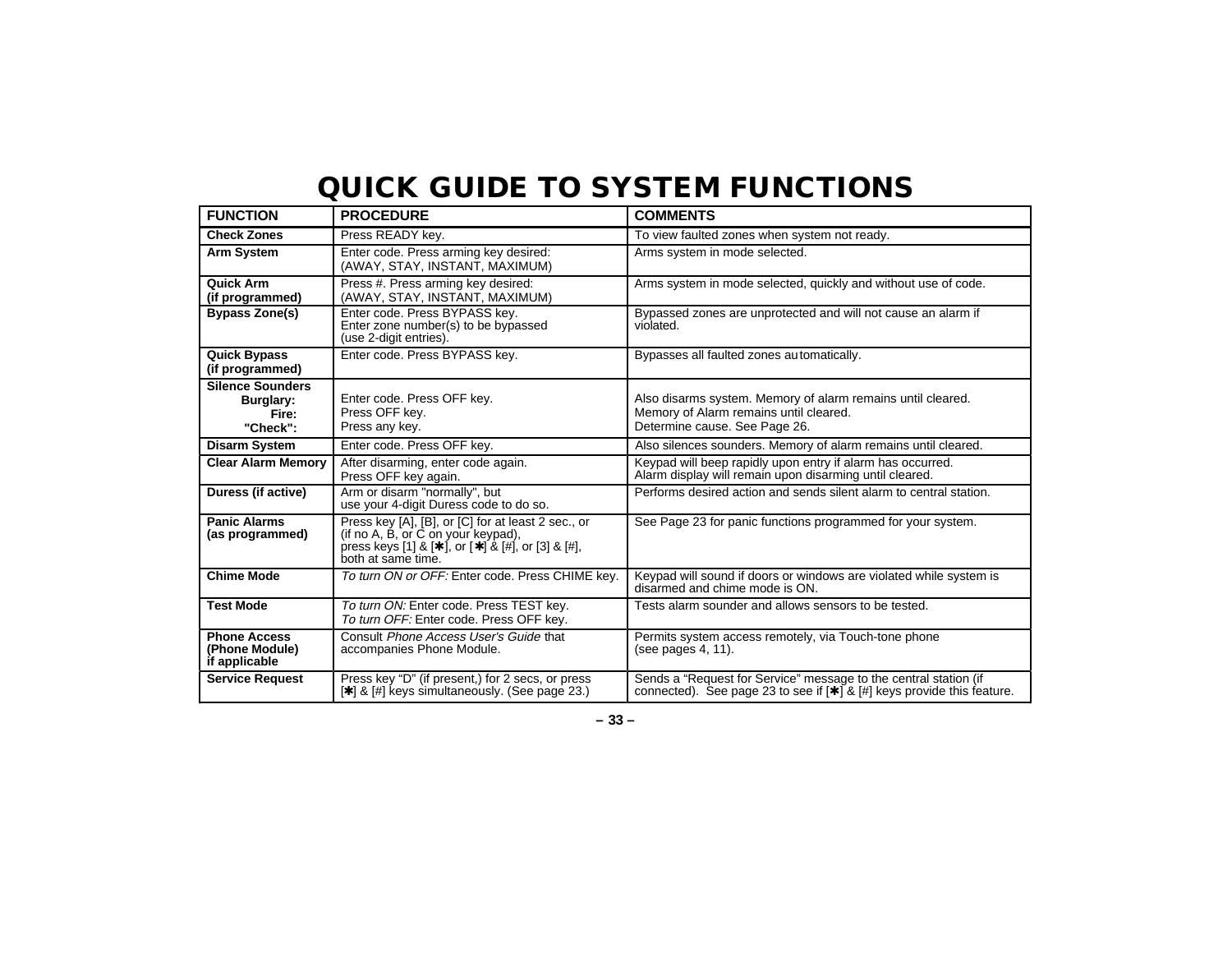# **QUICK GUIDE TO SYSTEM FUNCTIONS**

| <b>FUNCTION</b>                                           | <b>PROCEDURE</b>                                                                                                                                                                    | <b>COMMENTS</b>                                                                                                                                     |
|-----------------------------------------------------------|-------------------------------------------------------------------------------------------------------------------------------------------------------------------------------------|-----------------------------------------------------------------------------------------------------------------------------------------------------|
| <b>Check Zones</b>                                        | Press READY key.                                                                                                                                                                    | To view faulted zones when system not ready.                                                                                                        |
| Arm System                                                | Enter code. Press arming key desired:<br>(AWAY, STAY, INSTANT, MAXIMUM)                                                                                                             | Arms system in mode selected.                                                                                                                       |
| Quick Arm<br>(if programmed)                              | Press #. Press arming key desired:<br>(AWAY, STAY, INSTANT, MAXIMUM)                                                                                                                | Arms system in mode selected, quickly and without use of code.                                                                                      |
| <b>Bypass Zone(s)</b>                                     | Enter code. Press BYPASS key.<br>Enter zone number(s) to be bypassed<br>(use 2-digit entries).                                                                                      | Bypassed zones are unprotected and will not cause an alarm if<br>violated.                                                                          |
| <b>Quick Bypass</b><br>(if programmed)                    | Enter code. Press BYPASS key.                                                                                                                                                       | Bypasses all faulted zones automatically.                                                                                                           |
| <b>Silence Sounders</b><br>Burglary:<br>Fire:<br>"Check": | Enter code. Press OFF key.<br>Press OFF key.<br>Press any key.                                                                                                                      | Also disarms system. Memory of alarm remains until cleared.<br>Memory of Alarm remains until cleared.<br>Determine cause. See Page 26.              |
| <b>Disarm System</b>                                      | Enter code. Press OFF key.                                                                                                                                                          | Also silences sounders. Memory of alarm remains until cleared.                                                                                      |
| <b>Clear Alarm Memory</b>                                 | After disarming, enter code again.<br>Press OFF key again.                                                                                                                          | Keypad will beep rapidly upon entry if alarm has occurred.<br>Alarm display will remain upon disarming until cleared.                               |
| Duress (if active)                                        | Arm or disarm "normally", but<br>use your 4-digit Duress code to do so.                                                                                                             | Performs desired action and sends silent alarm to central station.                                                                                  |
| <b>Panic Alarms</b><br>(as programmed)                    | Press key [A], [B], or [C] for at least 2 sec., or<br>(if no A, B, or C on your keypad),<br>press keys [1] & [ $\star$ ], or [ $\star$ ] & [#], or [3] & [#],<br>both at same time. | See Page 23 for panic functions programmed for your system.                                                                                         |
| <b>Chime Mode</b>                                         | To turn ON or OFF: Enter code. Press CHIME key.                                                                                                                                     | Keypad will sound if doors or windows are violated while system is<br>disarmed and chime mode is ON.                                                |
| <b>Test Mode</b>                                          | To turn ON: Enter code. Press TEST key.<br>To turn OFF: Enter code. Press OFF kev.                                                                                                  | Tests alarm sounder and allows sensors to be tested.                                                                                                |
| <b>Phone Access</b><br>(Phone Module)<br>if applicable    | Consult Phone Access User's Guide that<br>accompanies Phone Module.                                                                                                                 | Permits system access remotely, via Touch-tone phone<br>(see pages 4, 11).                                                                          |
| <b>Service Request</b>                                    | Press key "D" (if present,) for 2 secs, or press<br>[*] & [#] keys simultaneously. (See page 23.)                                                                                   | Sends a "Request for Service" message to the central station (if<br>connected). See page 23 to see if $[\star]$ & $[\#]$ keys provide this feature. |

**– 33 –**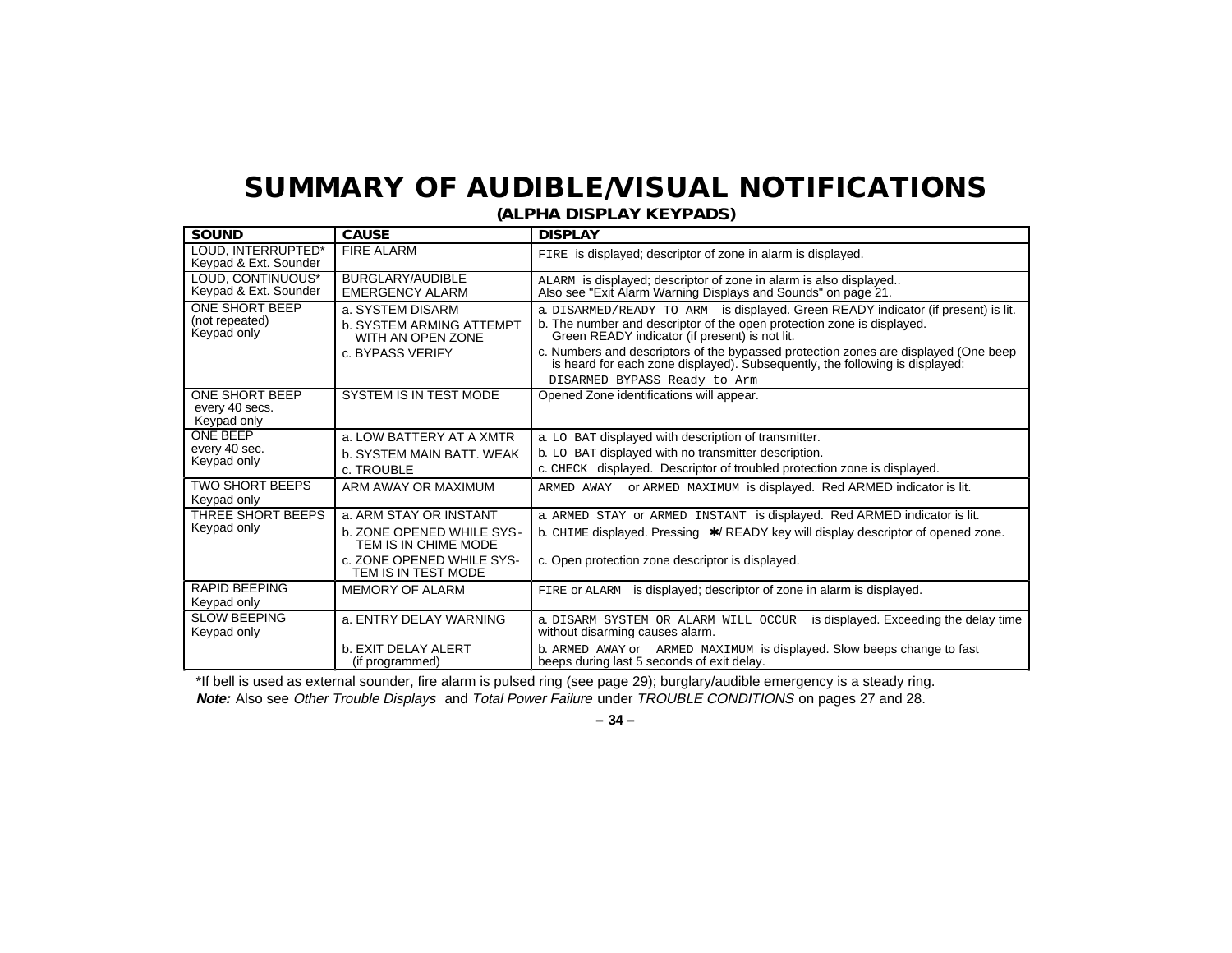# **SUMMARY OF AUDIBLE/VISUAL NOTIFICATIONS**

**SOUND CAUSE DISPLAY** LOUD, INTERRUPTED\* Keypad & Ext. Sounder FIRE ALARM FIRE is displayed; descriptor of zone in alarm is displayed. LOUD, CONTINUOUS\* Keypad & Ext. Sounder BURGLARY/AUDIBLE EMERGENCY ALARM ALARM is displayed; descriptor of zone in alarm is also displayed.. Also see "Exit Alarm Warning Displays and Sounds" on page 21. ONE SHORT BEEP (not repeated) Keypad only a. SYSTEM DISARM b. SYSTEM ARMING ATTEMPT WITH AN OPEN ZONE c. BYPASS VERIFY a. DISARMED/READY TO ARM is displayed. Green READY indicator (if present) is lit. b. The number and descriptor of the open protection zone is displayed. Green READY indicator (if present) is not lit. c. Numbers and descriptors of the bypassed protection zones are displayed (One beep is heard for each zone displayed). Subsequently, the following is displayed: DISARMED BYPASS Ready to Arm ONE SHORT BEEP every 40 secs. Keypad only SYSTEM IS IN TEST MODE | Opened Zone identifications will appear. ONE BEEP every 40 sec. Keypad only a. LOW BATTERY AT A XMTR b. SYSTEM MAIN BATT. WEAK c. TROUBLE a. LO BAT displayed with description of transmitter. b. LO BAT displayed with no transmitter description. c. CHECK displayed. Descriptor of troubled protection zone is displayed. TWO SHORT BEEPS Keypad only ARM AWAY OR MAXIMUM ARMED AWAY or ARMED MAXIMUM is displayed. Red ARMED indicator is lit. THREE SHORT BEEPS Keypad only a. ARM STAY OR INSTANT b. ZONE OPENED WHILE SYS- TEM IS IN CHIME MODE c. ZONE OPENED WHILE SYS- TEM IS IN TEST MODE a. ARMED STAY or ARMED INSTANT is displayed. Red ARMED indicator is lit. b. CHIME displayed. Pressing ∗/ READY key will display descriptor of opened zone. c. Open protection zone descriptor is displayed. RAPID BEEPING Keypad only MEMORY OF ALARM FIRE or ALARM is displayed; descriptor of zone in alarm is displayed. SLOW BEEPING Keypad only a. ENTRY DELAY WARNING b. EXIT DELAY ALERT (if programmed) a. DISARM SYSTEM OR ALARM WILL OCCUR is displayed. Exceeding the delay time without disarming causes alarm. b. ARMED AWAY or ARMED MAXIMUM is displayed. Slow beeps change to fast beeps during last 5 seconds of exit delay.

**(ALPHA DISPLAY KEYPADS)**

\*If bell is used as external sounder, fire alarm is pulsed ring (see page 29); burglary/audible emergency is a steady ring. **Note:** Also see Other Trouble Displays and Total Power Failure under TROUBLE CONDITIONS on pages 27 and 28.

**– 34 –**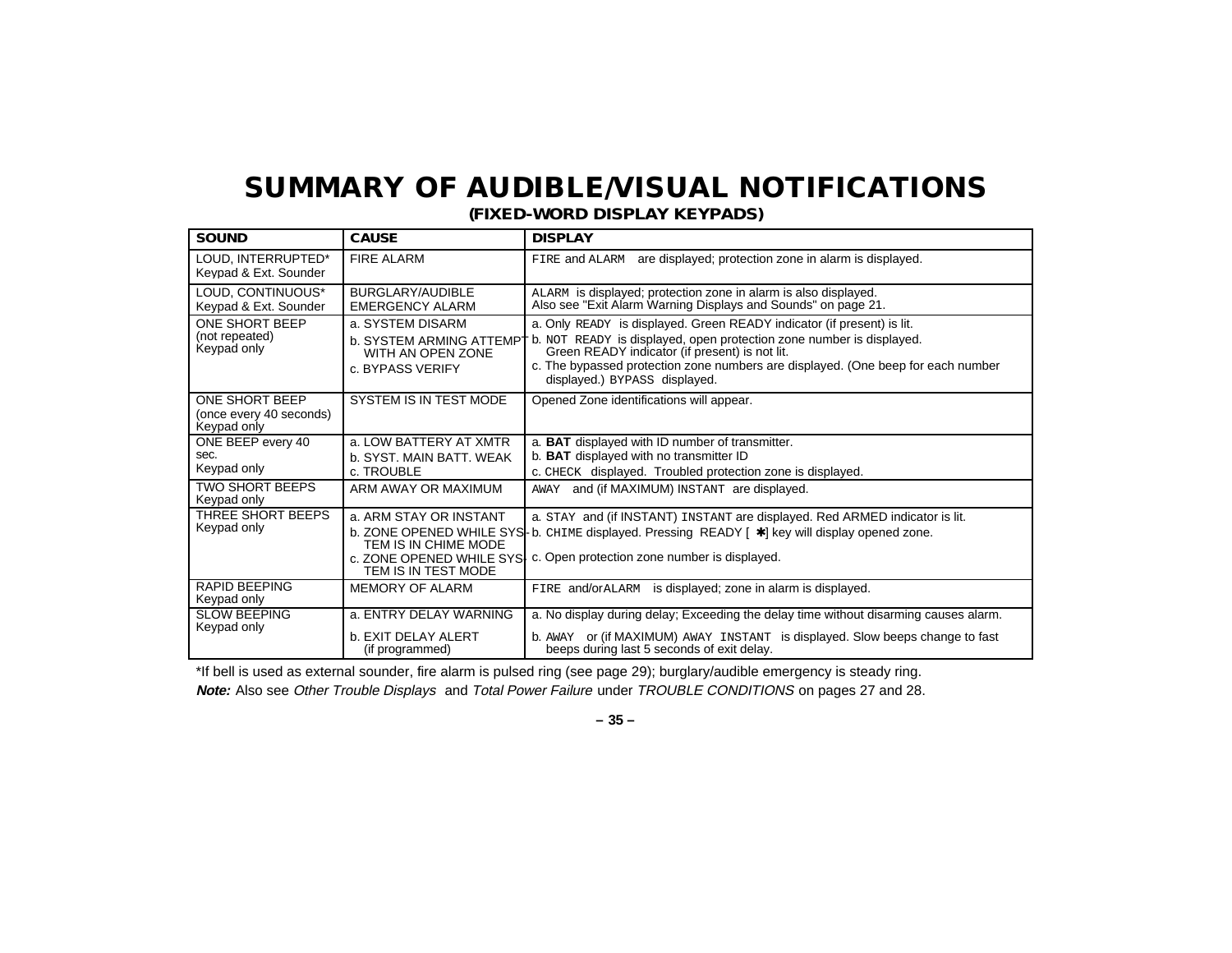# **SUMMARY OF AUDIBLE/VISUAL NOTIFICATIONS**

**(FIXED-WORD DISPLAY KEYPADS)**

| <b>SOUND</b>                                                    | <b>CAUSE</b>                                                                                       | <b>DISPLAY</b>                                                                                                                                                                                                                                                                                                        |
|-----------------------------------------------------------------|----------------------------------------------------------------------------------------------------|-----------------------------------------------------------------------------------------------------------------------------------------------------------------------------------------------------------------------------------------------------------------------------------------------------------------------|
| LOUD, INTERRUPTED*<br>Keypad & Ext. Sounder                     | <b>FIRE ALARM</b>                                                                                  | FIRE and ALARM are displayed; protection zone in alarm is displayed.                                                                                                                                                                                                                                                  |
| LOUD, CONTINUOUS*<br>Keypad & Ext. Sounder                      | BURGLARY/AUDIBLE<br><b>EMERGENCY ALARM</b>                                                         | ALARM is displayed; protection zone in alarm is also displayed.<br>Also see "Exit Alarm Warning Displays and Sounds" on page 21.                                                                                                                                                                                      |
| ONE SHORT BEEP<br>(not repeated)<br>Keypad only                 | a. SYSTEM DISARM<br><b>b. SYSTEM ARMING ATTEMPT</b><br>WITH AN OPEN ZONE<br>c. BYPASS VERIFY       | a. Only READY is displayed. Green READY indicator (if present) is lit.<br>b. NOT READY is displayed, open protection zone number is displayed.<br>Green READY indicator (if present) is not lit.<br>c. The bypassed protection zone numbers are displayed. (One beep for each number<br>displayed.) BYPASS displayed. |
| <b>ONE SHORT BEEP</b><br>(once every 40 seconds)<br>Keypad only | <b>SYSTEM IS IN TEST MODE</b>                                                                      | Opened Zone identifications will appear.                                                                                                                                                                                                                                                                              |
| ONE BEEP every 40<br>sec.<br>Keypad only                        | a. LOW BATTERY AT XMTR<br>b. SYST, MAIN BATT, WEAK<br>c. TROUBLE                                   | a. <b>BAT</b> displayed with ID number of transmitter.<br>b. BAT displayed with no transmitter ID<br>c. CHECK displayed. Troubled protection zone is displayed.                                                                                                                                                       |
| <b>TWO SHORT BEEPS</b><br>Keypad only                           | ARM AWAY OR MAXIMUM                                                                                | and (if MAXIMUM) INSTANT are displayed.<br>AWAY                                                                                                                                                                                                                                                                       |
| THREE SHORT BEEPS<br>Keypad only                                | a. ARM STAY OR INSTANT<br>TEM IS IN CHIME MODE<br>c. ZONE OPENED WHILE SYS.<br>TEM IS IN TEST MODE | a. STAY and (if INSTANT) INSTANT are displayed. Red ARMED indicator is lit.<br>b. ZONE OPENED WHILE SYS- b. CHIME displayed. Pressing READY [ *] key will display opened zone.<br>c. Open protection zone number is displayed.                                                                                        |
| <b>RAPID BEEPING</b><br>Keypad only                             | <b>MEMORY OF ALARM</b>                                                                             | is displayed; zone in alarm is displayed.<br>FIRE and/orALARM                                                                                                                                                                                                                                                         |
| <b>SLOW BEEPING</b><br>Keypad only                              | a. ENTRY DELAY WARNING<br>b. EXIT DELAY ALERT<br>(if programmed)                                   | a. No display during delay; Exceeding the delay time without disarming causes alarm.<br>b. AWAY or (if MAXIMUM) AWAY INSTANT is displayed. Slow beeps change to fast<br>beeps during last 5 seconds of exit delay.                                                                                                    |

\*If bell is used as external sounder, fire alarm is pulsed ring (see page 29); burglary/audible emergency is steady ring. **Note:** Also see Other Trouble Displays and Total Power Failure under TROUBLE CONDITIONS on pages 27 and 28.

**– 35 –**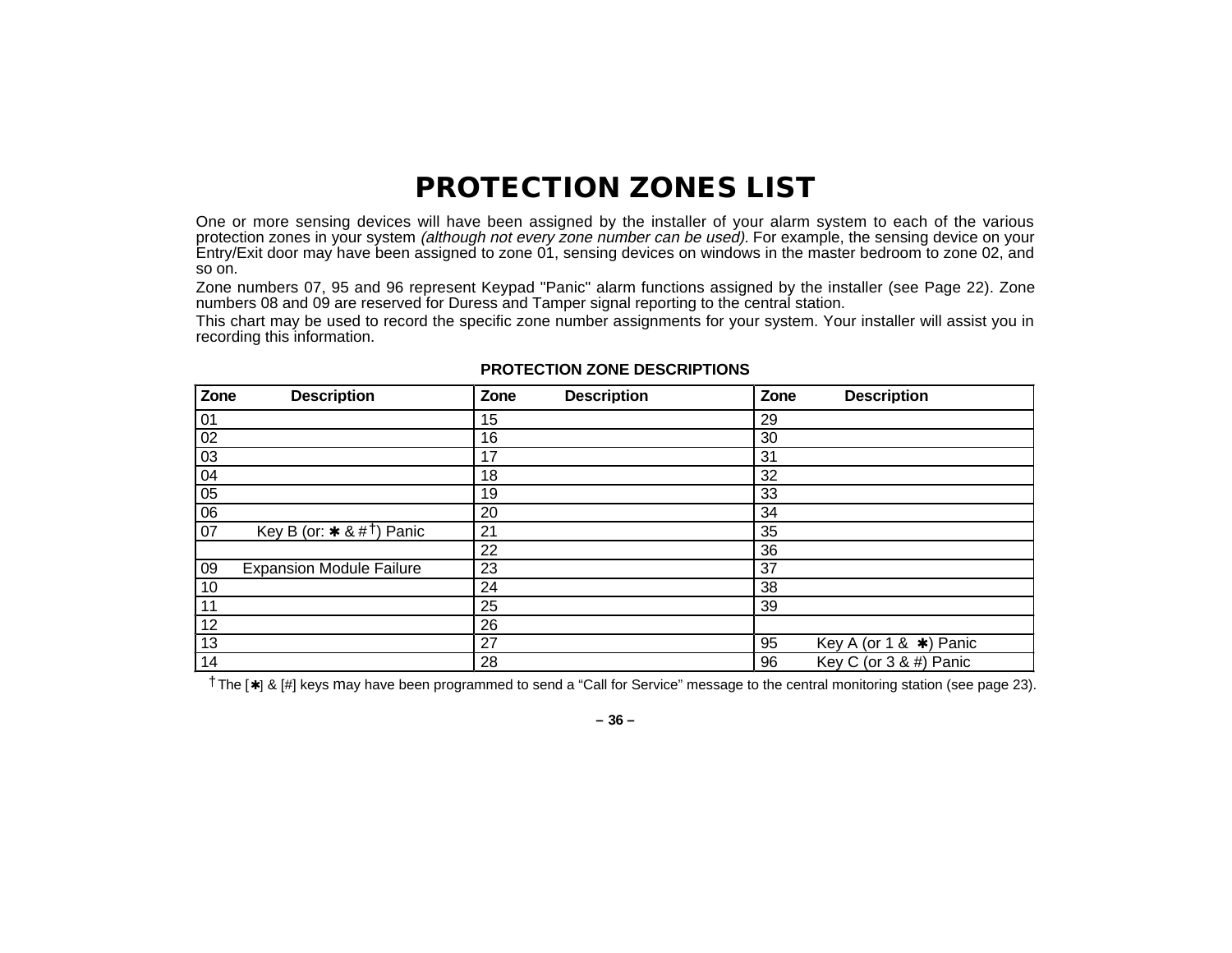### **PROTECTION ZONES LIST**

One or more sensing devices will have been assigned by the installer of your alarm system to each of the various protection zones in your system *(although not every zone number can be used).* For example, the sensing device on your Entry/Exit door may have been assigned to zone 01, sensing devices on windows in the master bedroom to zone 02, and so on.

Zone numbers 07, 95 and 96 represent Keypad "Panic" alarm functions assigned by the installer (see Page 22). Zone numbers 08 and 09 are reserved for Duress and Tamper signal reporting to the central station.

This chart may be used to record the specific zone number assignments for your system. Your installer will assist you in recording this information.

| Zone<br><b>Description</b>            | Zone<br><b>Description</b> | Zone<br><b>Description</b>          |
|---------------------------------------|----------------------------|-------------------------------------|
| 01                                    | 15                         | 29                                  |
| 02                                    | 16                         | 30                                  |
| 03                                    | 17                         | 31                                  |
| 04                                    | 18                         | 32                                  |
| 05                                    | 19                         | 33                                  |
| $\overline{06}$                       | 20                         | 34                                  |
| Key B (or: $* 8 #1$ ) Panic<br>07     | 21                         | 35                                  |
|                                       | 22                         | 36                                  |
| 09<br><b>Expansion Module Failure</b> | 23                         | 37                                  |
| 10                                    | 24                         | 38                                  |
| 11                                    | 25                         | 39                                  |
| 12                                    | 26                         |                                     |
| 13                                    | 27                         | Key A (or 1 & $\star$ ) Panic<br>95 |
| 14                                    | 28                         | Key C (or $3 & 4$ ) Panic<br>96     |

#### **PROTECTION ZONE DESCRIPTIONS**

†The [✱] & [#] keys may have been programmed to send a "Call for Service" message to the central monitoring station (see page 23).

**– 36 –**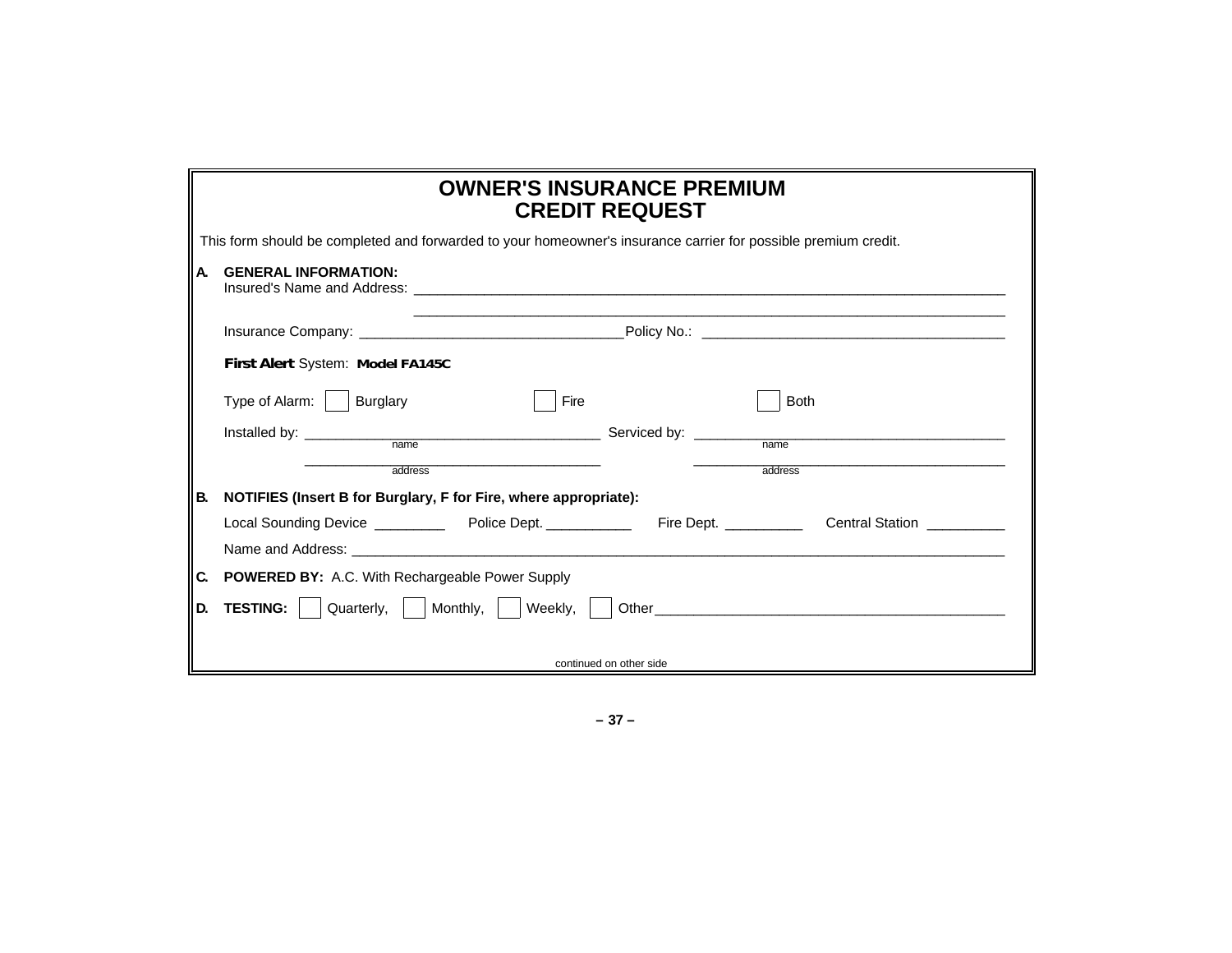### **OWNER'S INSURANCE PREMIUM CREDIT REQUEST**

| This form should be completed and forwarded to your homeowner's insurance carrier for possible premium credit. |  |  |  |
|----------------------------------------------------------------------------------------------------------------|--|--|--|
|                                                                                                                |  |  |  |

### **A. GENERAL INFORMATION:**

|           | Insured's Name and Address: <u>the account of the second contract of the second contract of the second contract of</u> |                         |                        |
|-----------|------------------------------------------------------------------------------------------------------------------------|-------------------------|------------------------|
|           |                                                                                                                        |                         |                        |
|           | First Alert System: Model FA145C                                                                                       |                         |                        |
|           | Burglary<br>Type of Alarm:  <br>Fire                                                                                   |                         | <b>Both</b>            |
|           | name                                                                                                                   |                         | name                   |
|           | address                                                                                                                |                         | address                |
| <b>B.</b> | NOTIFIES (Insert B for Burglary, F for Fire, where appropriate):                                                       |                         |                        |
|           | Local Sounding Device ____________ Police Dept. ___________                                                            | Fire Dept. __________   | <b>Central Station</b> |
|           |                                                                                                                        |                         |                        |
| C.        | <b>POWERED BY:</b> A.C. With Rechargeable Power Supply                                                                 |                         |                        |
| D.        | <b>TESTING:</b> Quarterly, Monthly, Weekly,                                                                            |                         |                        |
|           |                                                                                                                        |                         |                        |
|           |                                                                                                                        | continued on other side |                        |

**– 37 –**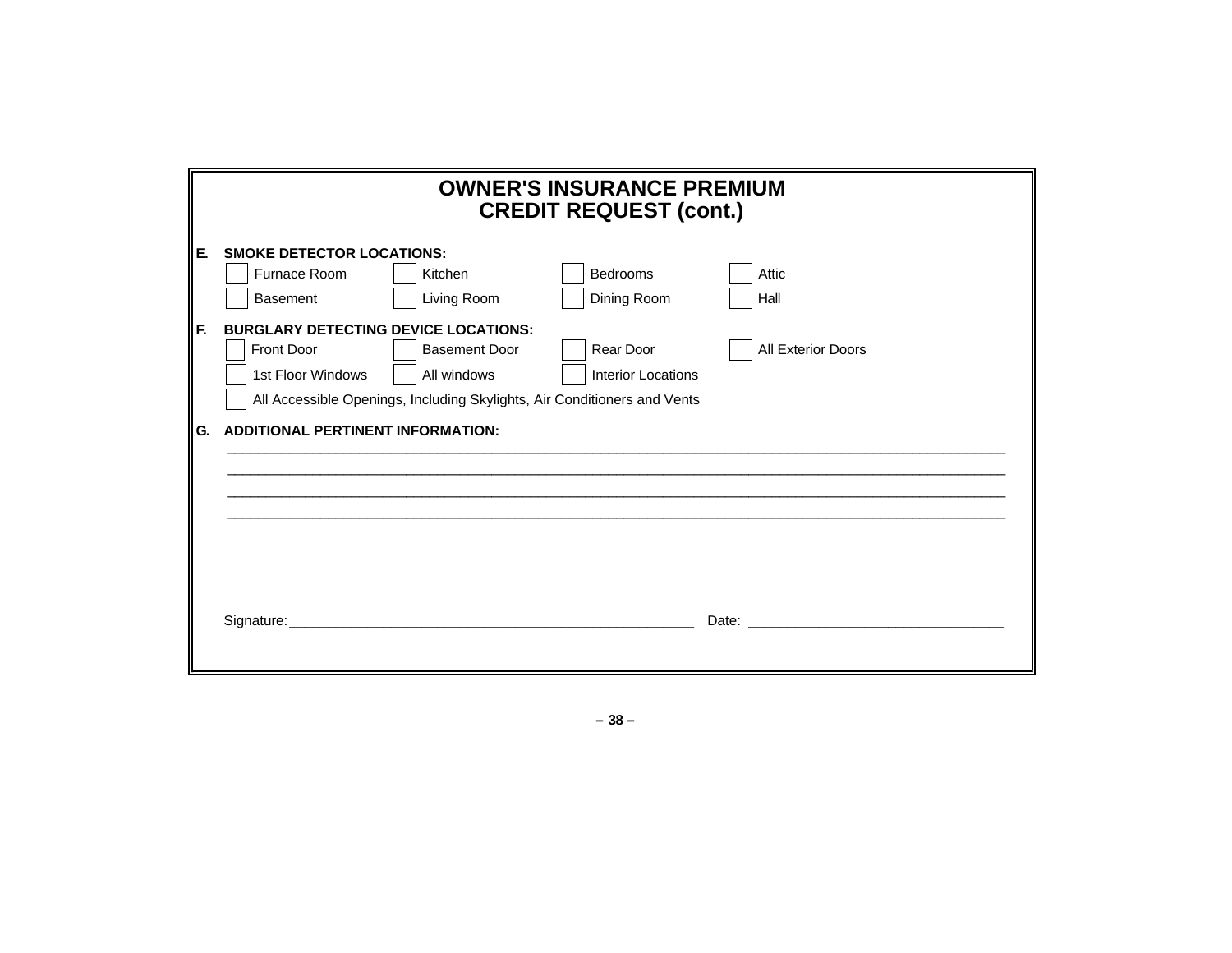|    | <b>OWNER'S INSURANCE PREMIUM</b><br><b>CREDIT REQUEST (cont.)</b> |                                                                          |                           |                                                                                                                |  |  |
|----|-------------------------------------------------------------------|--------------------------------------------------------------------------|---------------------------|----------------------------------------------------------------------------------------------------------------|--|--|
| E. | <b>SMOKE DETECTOR LOCATIONS:</b>                                  |                                                                          |                           |                                                                                                                |  |  |
|    | Furnace Room                                                      | Kitchen                                                                  | <b>Bedrooms</b>           | Attic                                                                                                          |  |  |
|    | <b>Basement</b>                                                   | Living Room                                                              | Dining Room               | Hall                                                                                                           |  |  |
| F. |                                                                   | <b>BURGLARY DETECTING DEVICE LOCATIONS:</b>                              |                           |                                                                                                                |  |  |
|    | <b>Front Door</b>                                                 | <b>Basement Door</b>                                                     | Rear Door                 | <b>All Exterior Doors</b>                                                                                      |  |  |
|    | 1st Floor Windows                                                 | All windows                                                              | <b>Interior Locations</b> |                                                                                                                |  |  |
|    |                                                                   | All Accessible Openings, Including Skylights, Air Conditioners and Vents |                           |                                                                                                                |  |  |
| G. | <b>ADDITIONAL PERTINENT INFORMATION:</b>                          |                                                                          |                           |                                                                                                                |  |  |
|    |                                                                   |                                                                          |                           |                                                                                                                |  |  |
|    |                                                                   |                                                                          |                           |                                                                                                                |  |  |
|    |                                                                   |                                                                          |                           |                                                                                                                |  |  |
|    |                                                                   |                                                                          |                           |                                                                                                                |  |  |
|    |                                                                   |                                                                          |                           |                                                                                                                |  |  |
|    |                                                                   |                                                                          |                           |                                                                                                                |  |  |
|    |                                                                   |                                                                          |                           | Date: Note: Note: Note: Note: Note: Note: Note: Note: Note: Note: Note: Note: Note: Note: Note: Note: Note: No |  |  |
|    |                                                                   |                                                                          |                           |                                                                                                                |  |  |

**– 38 –**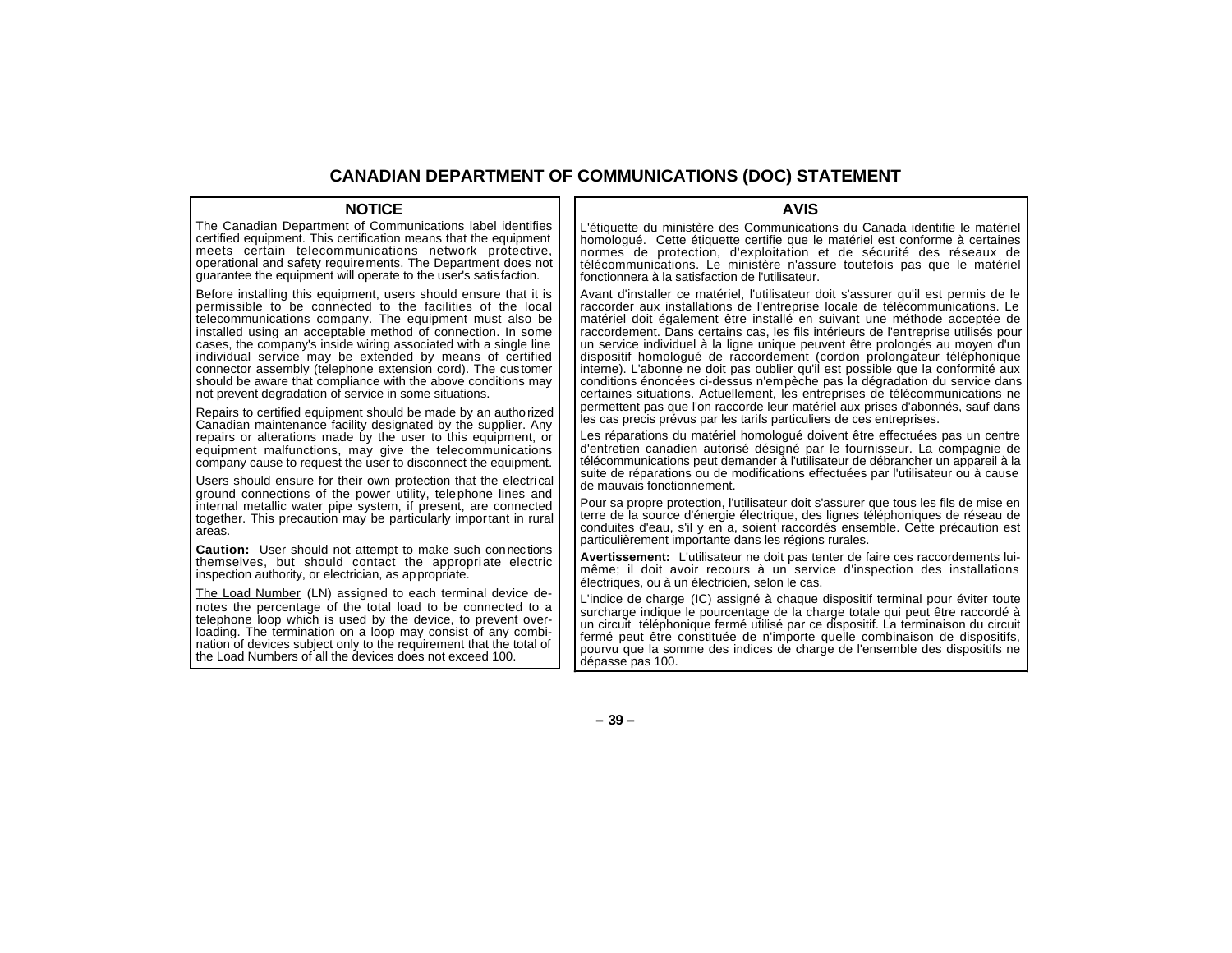#### **CANADIAN DEPARTMENT OF COMMUNICATIONS (DOC) STATEMENT**

#### **NOTICE**

The Canadian Department of Communications label identifies certified equipment. This certification means that the equipment meets certain telecommunications network protective, operational and safety requirements. The Department does not guarantee the equipment will operate to the user's satis faction.

Before installing this equipment, users should ensure that it is permissible to be connected to the facilities of the local telecommunications company. The equipment must also be installed using an acceptable method of connection. In some cases, the company's inside wiring associated with a single line individual service may be extended by means of certified connector assembly (telephone extension cord). The customer should be aware that compliance with the above conditions may not prevent degradation of service in some situations.

Repairs to certified equipment should be made by an authorized Canadian maintenance facility designated by the supplier. Any repairs or alterations made by the user to this equipment, or equipment malfunctions, may give the telecommunications company cause to request the user to disconnect the equipment.

Users should ensure for their own protection that the electrical ground connections of the power utility, telephone lines and internal metallic water pipe system, if present, are connected together. This precaution may be particularly important in rural areas.

**Caution:** User should not attempt to make such connections themselves, but should contact the appropriate electric inspection authority, or electrician, as appropriate.

The Load Number (LN) assigned to each terminal device denotes the percentage of the total load to be connected to a telephone loop which is used by the device, to prevent overloading. The termination on a loop may consist of any combination of devices subject only to the requirement that the total of the Load Numbers of all the devices does not exceed 100.

#### **AVIS**

L'étiquette du ministère des Communications du Canada identifie le matériel homologué. Cette étiquette certifie que le matériel est conforme à certaines normes de protection, d'exploitation et de sécurité des réseaux de télécommunications. Le ministère n'assure toutefois pas que le matériel fonctionnera à la satisfaction de l'utilisateur.

Avant d'installer ce matériel, l'utilisateur doit s'assurer qu'il est permis de le raccorder aux installations de l'entreprise locale de télécommunications. Le matériel doit également être installé en suivant une méthode acceptée de raccordement. Dans certains cas, les fils intérieurs de l'entreprise utilisés pour un service individuel à la ligne unique peuvent être prolongés au moyen d'un dispositif homologué de raccordement (cordon prolongateur téléphonique interne). L'abonne ne doit pas oublier qu'il est possible que la conformité aux conditions énoncées ci-dessus n'empèche pas la dégradation du service dans certaines situations. Actuellement, les entreprises de télécommunications ne permettent pas que l'on raccorde leur matériel aux prises d'abonnés, sauf dans les cas precis prévus par les tarifs particuliers de ces entreprises.

Les réparations du matériel homologué doivent être effectuées pas un centre d'entretien canadien autorisé désigné par le fournisseur. La compagnie de télécommunications peut demander à l'utilisateur de débrancher un appareil à la suite de réparations ou de modifications effectuées par l'utilisateur ou à cause de mauvais fonctionnement.

Pour sa propre protection, l'utilisateur doit s'assurer que tous les fils de mise en terre de la source d'énergie électrique, des lignes téléphoniques de réseau de conduites d'eau, s'il y en a, soient raccordés ensemble. Cette précaution est particulièrement importante dans les régions rurales.

**Avertissement:** L'utilisateur ne doit pas tenter de faire ces raccordements luimême; il doit avoir recours à un service d'inspection des installations électriques, ou à un électricien, selon le cas.

L'indice de charge (IC) assigné à chaque dispositif terminal pour éviter toute surcharge indique le pourcentage de la charge totale qui peut être raccordé à un circuit téléphonique fermé utilisé par ce dispositif. La terminaison du circuit fermé peut être constituée de n'importe quelle combinaison de dispositifs, pourvu que la somme des indices de charge de l'ensemble des dispositifs ne dépasse pas 100.

**– 39 –**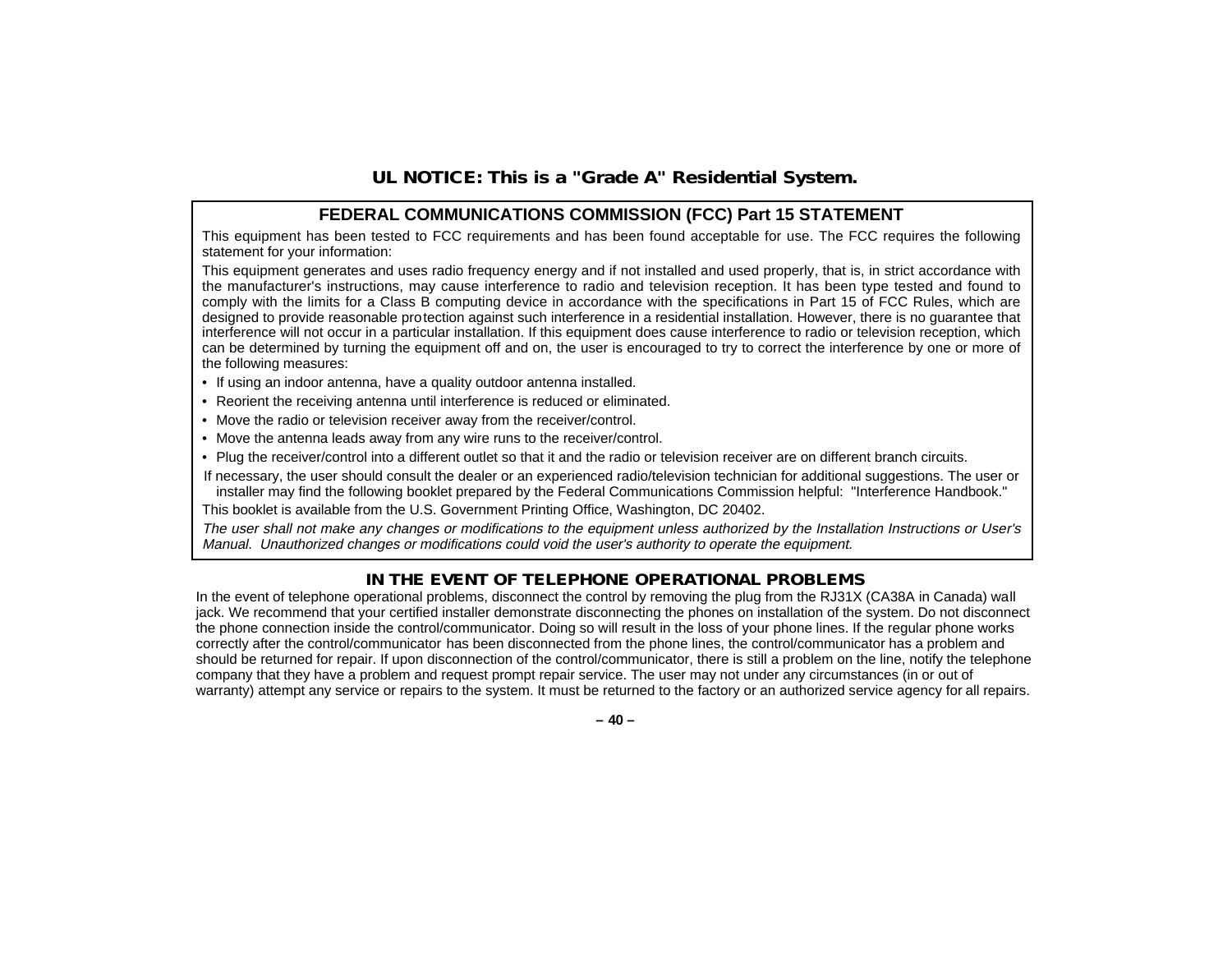### **UL NOTICE: This is a "Grade A" Residential System.**

#### **FEDERAL COMMUNICATIONS COMMISSION (FCC) Part 15 STATEMENT**

This equipment has been tested to FCC requirements and has been found acceptable for use. The FCC requires the following statement for your information:

This equipment generates and uses radio frequency energy and if not installed and used properly, that is, in strict accordance with the manufacturer's instructions, may cause interference to radio and television reception. It has been type tested and found to comply with the limits for a Class B computing device in accordance with the specifications in Part 15 of FCC Rules, which are designed to provide reasonable protection against such interference in a residential installation. However, there is no guarantee that interference will not occur in a particular installation. If this equipment does cause interference to radio or television reception, which can be determined by turning the equipment off and on, the user is encouraged to try to correct the interference by one or more of the following measures:

- If using an indoor antenna, have a quality outdoor antenna installed.
- Reorient the receiving antenna until interference is reduced or eliminated.
- Move the radio or television receiver away from the receiver/control.
- Move the antenna leads away from any wire runs to the receiver/control.
- Plug the receiver/control into a different outlet so that it and the radio or television receiver are on different branch circuits.

If necessary, the user should consult the dealer or an experienced radio/television technician for additional suggestions. The user or installer may find the following booklet prepared by the Federal Communications Commission helpful: "Interference Handbook."

This booklet is available from the U.S. Government Printing Office, Washington, DC 20402.

The user shall not make any changes or modifications to the equipment unless authorized by the Installation Instructions or User's Manual. Unauthorized changes or modifications could void the user's authority to operate the equipment.

### **IN THE EVENT OF TELEPHONE OPERATIONAL PROBLEMS**

In the event of telephone operational problems, disconnect the control by removing the plug from the RJ31X (CA38A in Canada) wall jack. We recommend that your certified installer demonstrate disconnecting the phones on installation of the system. Do not disconnect the phone connection inside the control/communicator. Doing so will result in the loss of your phone lines. If the regular phone works correctly after the control/communicator has been disconnected from the phone lines, the control/communicator has a problem and should be returned for repair. If upon disconnection of the control/communicator, there is still a problem on the line, notify the telephone company that they have a problem and request prompt repair service. The user may not under any circumstances (in or out of warranty) attempt any service or repairs to the system. It must be returned to the factory or an authorized service agency for all repairs.

**– 40 –**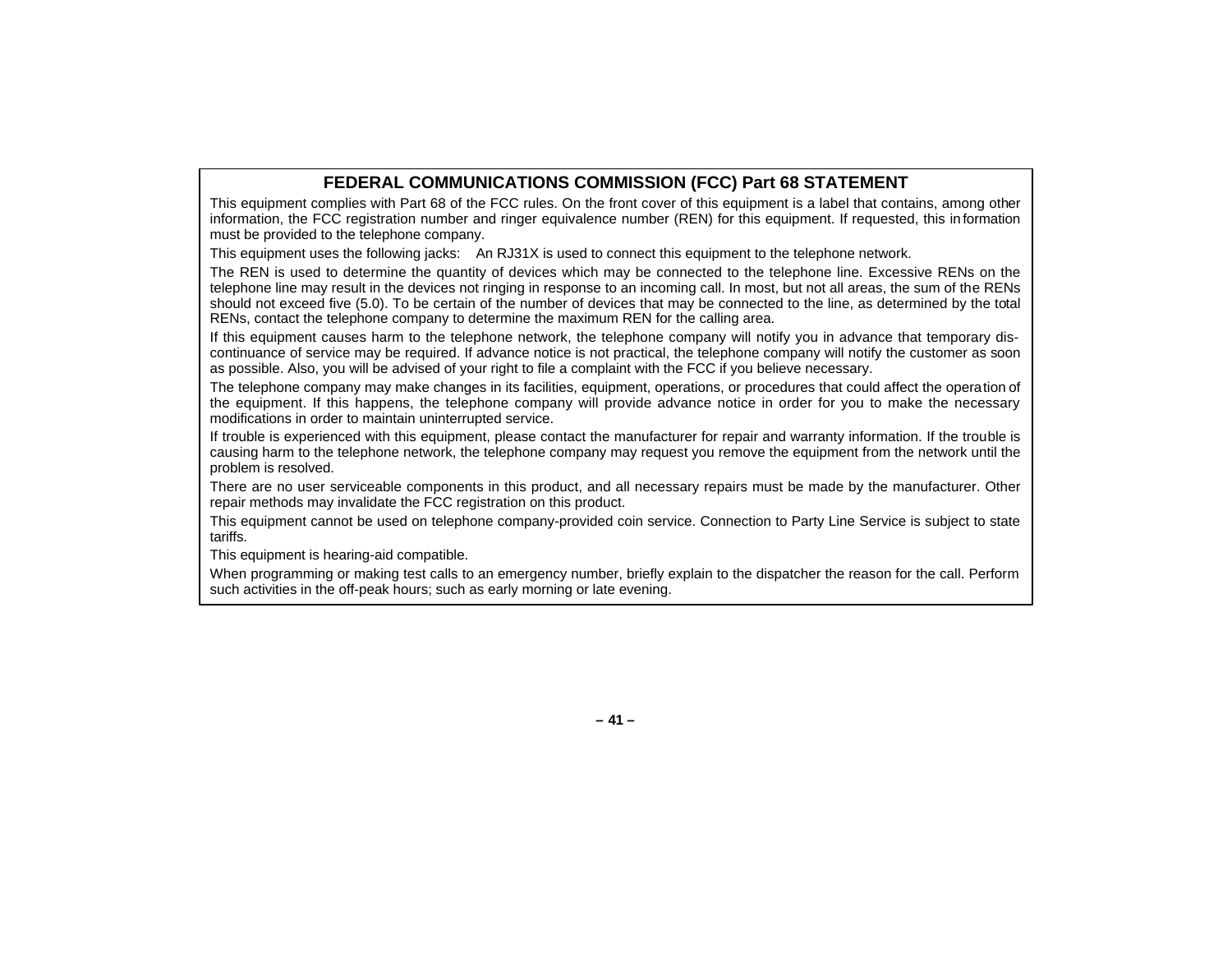### **FEDERAL COMMUNICATIONS COMMISSION (FCC) Part 68 STATEMENT**

This equipment complies with Part 68 of the FCC rules. On the front cover of this equipment is a label that contains, among other information, the FCC registration number and ringer equivalence number (REN) for this equipment. If requested, this in formation must be provided to the telephone company.

This equipment uses the following jacks: An RJ31X is used to connect this equipment to the telephone network.

The REN is used to determine the quantity of devices which may be connected to the telephone line. Excessive RENs on the telephone line may result in the devices not ringing in response to an incoming call. In most, but not all areas, the sum of the RENs should not exceed five (5.0). To be certain of the number of devices that may be connected to the line, as determined by the total RENs, contact the telephone company to determine the maximum REN for the calling area.

If this equipment causes harm to the telephone network, the telephone company will notify you in advance that temporary discontinuance of service may be required. If advance notice is not practical, the telephone company will notify the customer as soon as possible. Also, you will be advised of your right to file a complaint with the FCC if you believe necessary.

The telephone company may make changes in its facilities, equipment, operations, or procedures that could affect the operation of the equipment. If this happens, the telephone company will provide advance notice in order for you to make the necessary modifications in order to maintain uninterrupted service.

If trouble is experienced with this equipment, please contact the manufacturer for repair and warranty information. If the trouble is causing harm to the telephone network, the telephone company may request you remove the equipment from the network until the problem is resolved.

There are no user serviceable components in this product, and all necessary repairs must be made by the manufacturer. Other repair methods may invalidate the FCC registration on this product.

This equipment cannot be used on telephone company-provided coin service. Connection to Party Line Service is subject to state tariffs.

This equipment is hearing-aid compatible.

When programming or making test calls to an emergency number, briefly explain to the dispatcher the reason for the call. Perform such activities in the off-peak hours; such as early morning or late evening.

**– 41 –**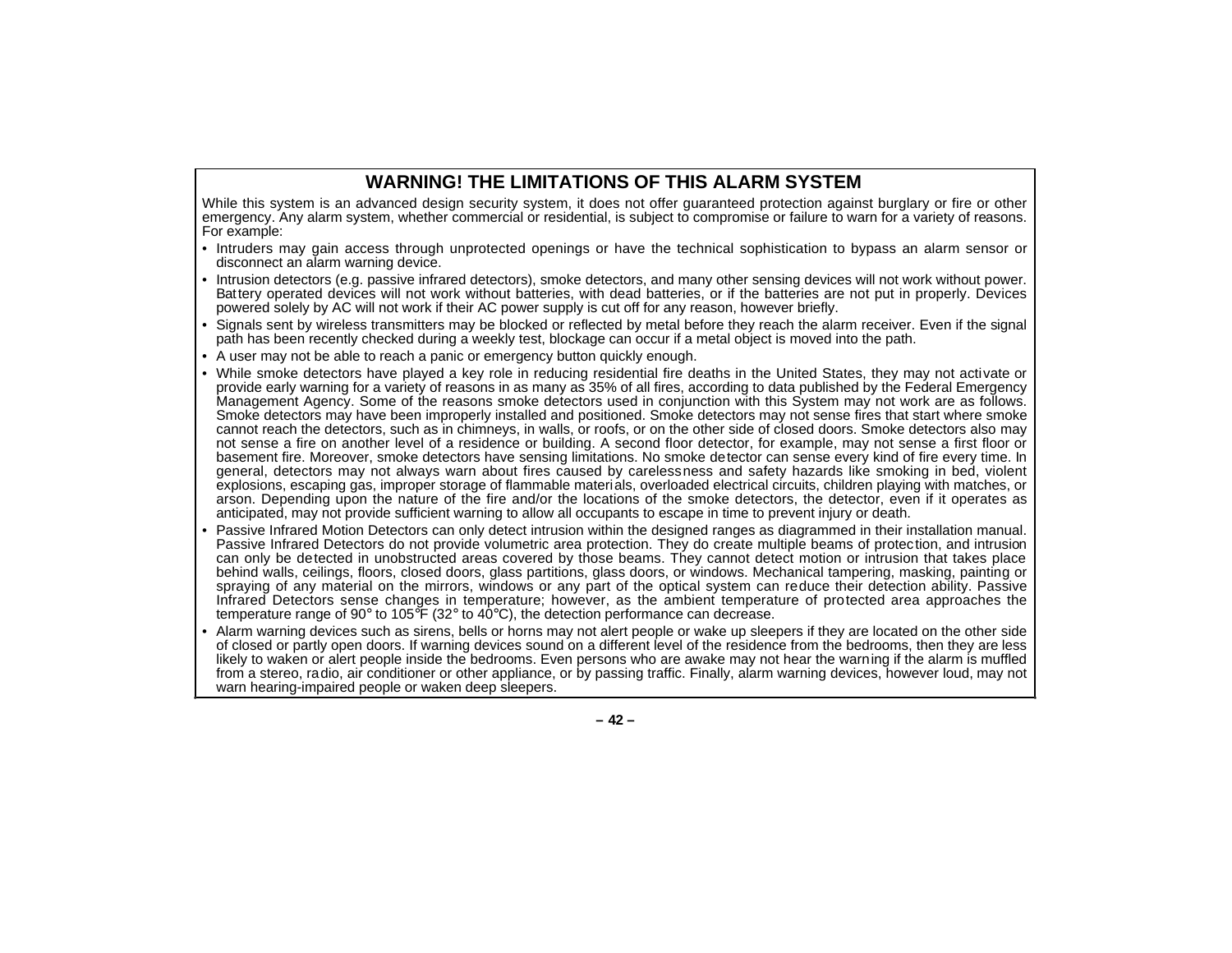### **WARNING! THE LIMITATIONS OF THIS ALARM SYSTEM**

While this system is an advanced design security system, it does not offer guaranteed protection against burglary or fire or other emergency. Any alarm system, whether commercial or residential, is subject to compromise or failure to warn for a variety of reasons. For example:

- Intruders may gain access through unprotected openings or have the technical sophistication to bypass an alarm sensor or disconnect an alarm warning device.
- Intrusion detectors (e.g. passive infrared detectors), smoke detectors, and many other sensing devices will not work without power. Battery operated devices will not work without batteries, with dead batteries, or if the batteries are not put in properly. Devices powered solely by AC will not work if their AC power supply is cut off for any reason, however briefly.
- Signals sent by wireless transmitters may be blocked or reflected by metal before they reach the alarm receiver. Even if the signal path has been recently checked during a weekly test, blockage can occur if a metal object is moved into the path.
- A user may not be able to reach a panic or emergency button quickly enough.
- While smoke detectors have played a key role in reducing residential fire deaths in the United States, they may not activate or provide early warning for a variety of reasons in as many as 35% of all fires, according to data published by the Federal Emergency Management Agency. Some of the reasons smoke detectors used in conjunction with this System may not work are as follows. Smoke detectors may have been improperly installed and positioned. Smoke detectors may not sense fires that start where smoke cannot reach the detectors, such as in chimneys, in walls, or roofs, or on the other side of closed doors. Smoke detectors also may not sense a fire on another level of a residence or building. A second floor detector, for example, may not sense a first floor or basement fire. Moreover, smoke detectors have sensing limitations. No smoke detector can sense every kind of fire every time. In general, detectors may not always warn about fires caused by carelessness and safety hazards like smoking in bed, violent explosions, escaping gas, improper storage of flammable materials, overloaded electrical circuits, children playing with matches, or arson. Depending upon the nature of the fire and/or the locations of the smoke detectors, the detector, even if it operates as anticipated, may not provide sufficient warning to allow all occupants to escape in time to prevent injury or death.
- • Passive Infrared Motion Detectors can only detect intrusion within the designed ranges as diagrammed in their installation manual. Passive Infrared Detectors do not provide volumetric area protection. They do create multiple beams of protection, and intrusion can only be detected in unobstructed areas covered by those beams. They cannot detect motion or intrusion that takes place behind walls, ceilings, floors, closed doors, glass partitions, glass doors, or windows. Mechanical tampering, masking, painting or spraying of any material on the mirrors, windows or any part of the optical system can reduce their detection ability. Passive Infrared Detectors sense changes in temperature; however, as the ambient temperature of protected area approaches the temperature range of 90° to 105°F (32° to 40°C), the detection performance can decrease.
- Alarm warning devices such as sirens, bells or horns may not alert people or wake up sleepers if they are located on the other side of closed or partly open doors. If warning devices sound on a different level of the residence from the bedrooms, then they are less likely to waken or alert people inside the bedrooms. Even persons who are awake may not hear the warning if the alarm is muffled from a stereo, radio, air conditioner or other appliance, or by passing traffic. Finally, alarm warning devices, however loud, may not warn hearing-impaired people or waken deep sleepers.

**– 42 –**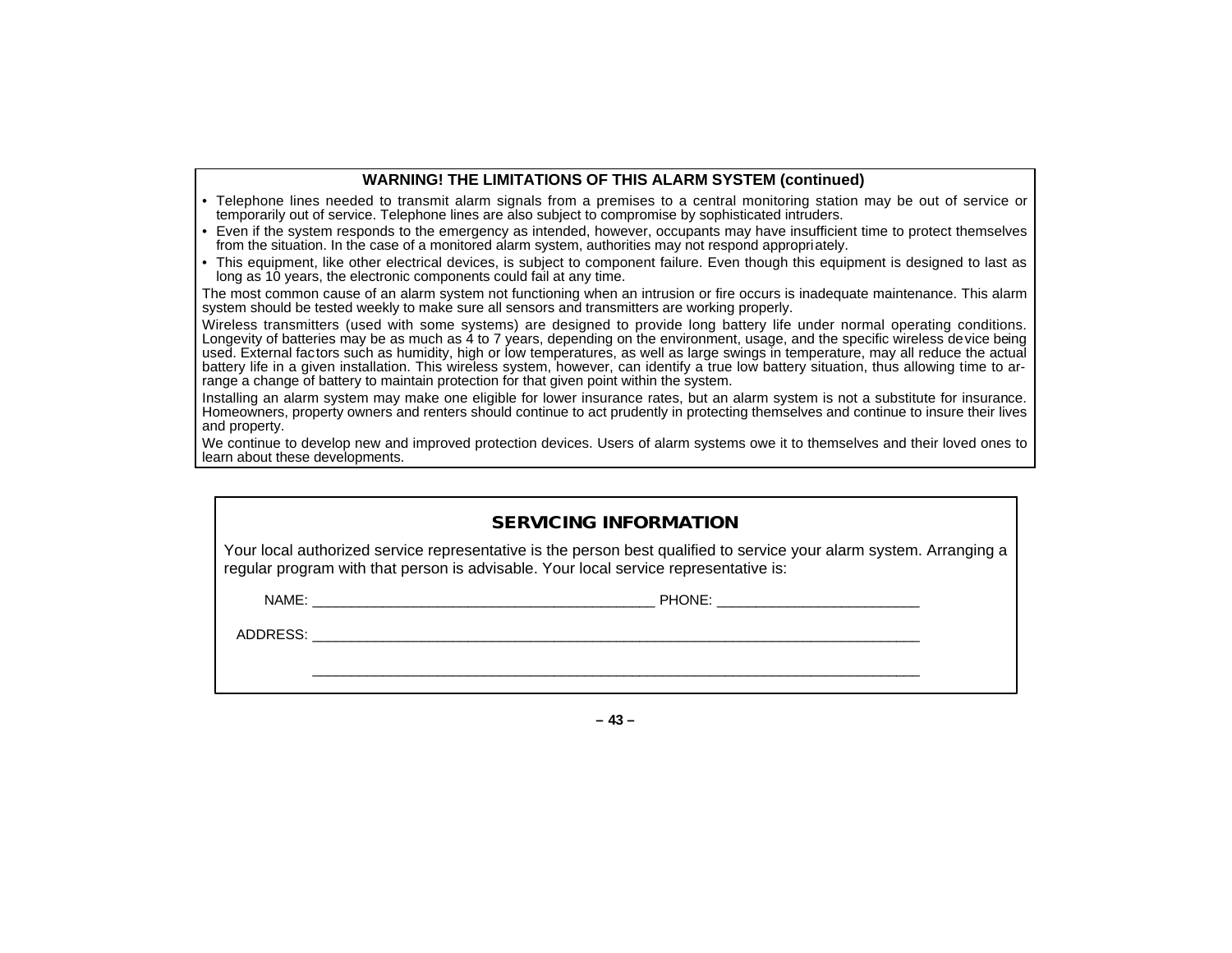#### **WARNING! THE LIMITATIONS OF THIS ALARM SYSTEM (continued)**

- Telephone lines needed to transmit alarm signals from a premises to a central monitoring station may be out of service or temporarily out of service. Telephone lines are also subject to compromise by sophisticated intruders.
- Even if the system responds to the emergency as intended, however, occupants may have insufficient time to protect themselves from the situation. In the case of a monitored alarm system, authorities may not respond appropriately.
- This equipment, like other electrical devices, is subject to component failure. Even though this equipment is designed to last as long as 10 years, the electronic components could fail at any time.

The most common cause of an alarm system not functioning when an intrusion or fire occurs is inadequate maintenance. This alarm system should be tested weekly to make sure all sensors and transmitters are working properly.

Wireless transmitters (used with some systems) are designed to provide long battery life under normal operating conditions. Longevity of batteries may be as much as 4 to 7 years, depending on the environment, usage, and the specific wireless device being used. External factors such as humidity, high or low temperatures, as well as large swings in temperature, may all reduce the actual battery life in a given installation. This wireless system, however, can identify a true low battery situation, thus allowing time to arrange a change of battery to maintain protection for that given point within the system.

Installing an alarm system may make one eligible for lower insurance rates, but an alarm system is not a substitute for insurance. Homeowners, property owners and renters should continue to act prudently in protecting themselves and continue to insure their lives and property.

We continue to develop new and improved protection devices. Users of alarm systems owe it to themselves and their loved ones to learn about these developments.

| <b>SERVICING INFORMATION</b>                                                                                                                                                                                |        |  |  |  |  |
|-------------------------------------------------------------------------------------------------------------------------------------------------------------------------------------------------------------|--------|--|--|--|--|
| Your local authorized service representative is the person best qualified to service your alarm system. Arranging a<br>regular program with that person is advisable. Your local service representative is: |        |  |  |  |  |
|                                                                                                                                                                                                             |        |  |  |  |  |
|                                                                                                                                                                                                             |        |  |  |  |  |
|                                                                                                                                                                                                             |        |  |  |  |  |
|                                                                                                                                                                                                             | - 43 - |  |  |  |  |